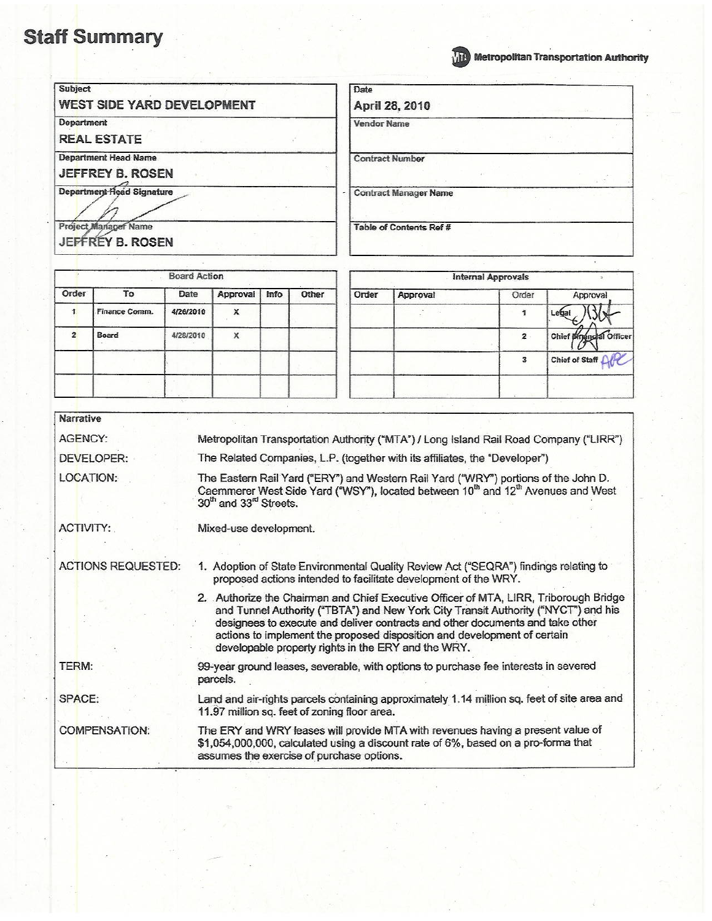

# **WE Metropolitan Transportation Authority**

| <b>Subject</b>                                         | Date                         |
|--------------------------------------------------------|------------------------------|
| <b>WEST SIDE YARD DEVELOPMENT</b>                      | April 28, 2010               |
| Department<br><b>REAL ESTATE</b>                       | <b>Vendor Name</b>           |
| <b>Department Head Name</b><br><b>JEFFREY B. ROSEN</b> | <b>Contract Number</b>       |
| Department Head Signature                              | <b>Contract Manager Name</b> |
| Project Manager Name<br>JEFFREY B. ROSEN               | Table of Contents Ref #      |

|       |               | <b>Board Action</b> |          |      |       |       |          | <b>Internal Approvals</b> |                         |
|-------|---------------|---------------------|----------|------|-------|-------|----------|---------------------------|-------------------------|
| Order | To            | Date                | Approval | Info | Other | Order | Approval | Order                     | Approval                |
|       | Finance Comm. | 4/26/2010           | x        |      |       |       |          |                           | Legal                   |
|       | Board         | 4/28/2010           | x        |      |       |       |          | $\overline{2}$            | Chief pinging al Office |
|       |               |                     |          |      |       |       |          |                           | AC<br>Chief of Staff    |
|       |               |                     |          |      |       |       |          |                           |                         |

| <b>Narrative</b>          |                                                                                                                                                                                                                                                                                                                                                                                                 |
|---------------------------|-------------------------------------------------------------------------------------------------------------------------------------------------------------------------------------------------------------------------------------------------------------------------------------------------------------------------------------------------------------------------------------------------|
| AGENCY:                   | Metropolitan Transportation Authority ("MTA") / Long Island Rail Road Company ("LIRR")                                                                                                                                                                                                                                                                                                          |
| DEVELOPER:                | The Related Companies, L.P. (together with its affiliates, the "Developer")                                                                                                                                                                                                                                                                                                                     |
| LOCATION:                 | The Eastern Rail Yard ("ERY") and Western Rail Yard ("WRY") portions of the John D.<br>Caemmerer West Side Yard ("WSY"), located between 10 <sup>th</sup> and 12 <sup>th</sup> Avenues and West<br>30th and 33 <sup>rd</sup> Streets.                                                                                                                                                           |
| ACTIVITY:                 | Mixed-use development.                                                                                                                                                                                                                                                                                                                                                                          |
| <b>ACTIONS REQUESTED:</b> | 1. Adoption of State Environmental Quality Review Act ("SEQRA") findings relating to<br>proposed actions intended to facilitate development of the WRY.                                                                                                                                                                                                                                         |
|                           | 2. Authorize the Chairman and Chief Executive Officer of MTA, LIRR, Triborough Bridge<br>and Tunnel Authority ("TBTA") and New York City Transit Authority ("NYCT") and his<br>designees to execute and deliver contracts and other documents and take other<br>actions to implement the proposed disposition and development of certain<br>developable property rights in the ERY and the WRY. |
| TERM:                     | 99-year ground leases, severable, with options to purchase fee interests in severed<br>parcels.                                                                                                                                                                                                                                                                                                 |
| SPACE:                    | Land and air-rights parcels containing approximately 1.14 million sq. feet of site area and<br>11.97 million sq. feet of zoning floor area.                                                                                                                                                                                                                                                     |
| <b>COMPENSATION:</b>      | The ERY and WRY leases will provide MTA with revenues having a present value of<br>\$1,054,000,000, calculated using a discount rate of 6%, based on a pro-forma that<br>assumes the exercise of purchase options.                                                                                                                                                                              |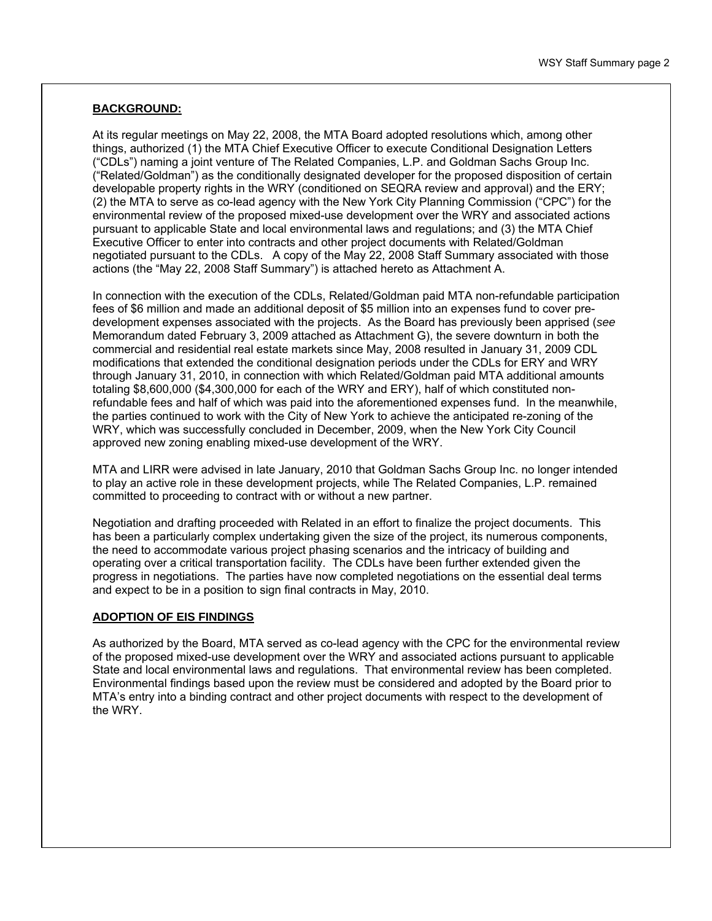#### **BACKGROUND:**

At its regular meetings on May 22, 2008, the MTA Board adopted resolutions which, among other things, authorized (1) the MTA Chief Executive Officer to execute Conditional Designation Letters ("CDLs") naming a joint venture of The Related Companies, L.P. and Goldman Sachs Group Inc. ("Related/Goldman") as the conditionally designated developer for the proposed disposition of certain developable property rights in the WRY (conditioned on SEQRA review and approval) and the ERY; (2) the MTA to serve as co-lead agency with the New York City Planning Commission ("CPC") for the environmental review of the proposed mixed-use development over the WRY and associated actions pursuant to applicable State and local environmental laws and regulations; and (3) the MTA Chief Executive Officer to enter into contracts and other project documents with Related/Goldman negotiated pursuant to the CDLs. A copy of the May 22, 2008 Staff Summary associated with those actions (the "May 22, 2008 Staff Summary") is attached hereto as Attachment A.

In connection with the execution of the CDLs, Related/Goldman paid MTA non-refundable participation fees of \$6 million and made an additional deposit of \$5 million into an expenses fund to cover predevelopment expenses associated with the projects. As the Board has previously been apprised (*see*  Memorandum dated February 3, 2009 attached as Attachment G), the severe downturn in both the commercial and residential real estate markets since May, 2008 resulted in January 31, 2009 CDL modifications that extended the conditional designation periods under the CDLs for ERY and WRY through January 31, 2010, in connection with which Related/Goldman paid MTA additional amounts totaling \$8,600,000 (\$4,300,000 for each of the WRY and ERY), half of which constituted nonrefundable fees and half of which was paid into the aforementioned expenses fund. In the meanwhile, the parties continued to work with the City of New York to achieve the anticipated re-zoning of the WRY, which was successfully concluded in December, 2009, when the New York City Council approved new zoning enabling mixed-use development of the WRY.

MTA and LIRR were advised in late January, 2010 that Goldman Sachs Group Inc. no longer intended to play an active role in these development projects, while The Related Companies, L.P. remained committed to proceeding to contract with or without a new partner.

Negotiation and drafting proceeded with Related in an effort to finalize the project documents. This has been a particularly complex undertaking given the size of the project, its numerous components, the need to accommodate various project phasing scenarios and the intricacy of building and operating over a critical transportation facility. The CDLs have been further extended given the progress in negotiations. The parties have now completed negotiations on the essential deal terms and expect to be in a position to sign final contracts in May, 2010.

#### **ADOPTION OF EIS FINDINGS**

As authorized by the Board, MTA served as co-lead agency with the CPC for the environmental review of the proposed mixed-use development over the WRY and associated actions pursuant to applicable State and local environmental laws and regulations. That environmental review has been completed. Environmental findings based upon the review must be considered and adopted by the Board prior to MTA's entry into a binding contract and other project documents with respect to the development of the WRY.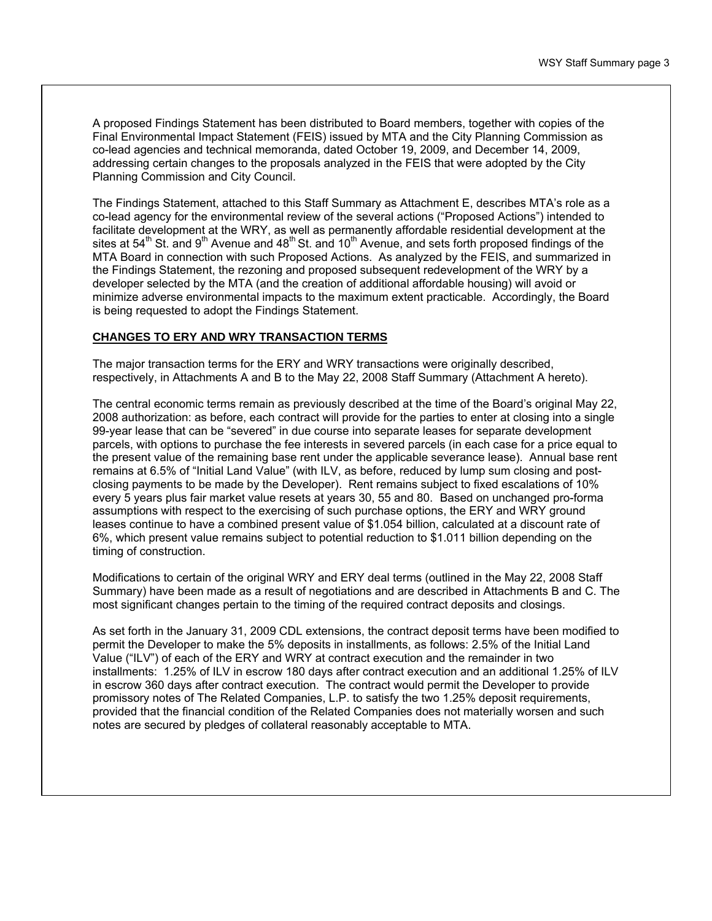A proposed Findings Statement has been distributed to Board members, together with copies of the Final Environmental Impact Statement (FEIS) issued by MTA and the City Planning Commission as co-lead agencies and technical memoranda, dated October 19, 2009, and December 14, 2009, addressing certain changes to the proposals analyzed in the FEIS that were adopted by the City Planning Commission and City Council.

The Findings Statement, attached to this Staff Summary as Attachment E, describes MTA's role as a co-lead agency for the environmental review of the several actions ("Proposed Actions") intended to facilitate development at the WRY, as well as permanently affordable residential development at the sites at 54<sup>th</sup> St. and 9<sup>th</sup> Avenue and 48<sup>th</sup> St. and 10<sup>th</sup> Avenue, and sets forth proposed findings of the MTA Board in connection with such Proposed Actions. As analyzed by the FEIS, and summarized in the Findings Statement, the rezoning and proposed subsequent redevelopment of the WRY by a developer selected by the MTA (and the creation of additional affordable housing) will avoid or minimize adverse environmental impacts to the maximum extent practicable. Accordingly, the Board is being requested to adopt the Findings Statement.

#### **CHANGES TO ERY AND WRY TRANSACTION TERMS**

The major transaction terms for the ERY and WRY transactions were originally described, respectively, in Attachments A and B to the May 22, 2008 Staff Summary (Attachment A hereto).

The central economic terms remain as previously described at the time of the Board's original May 22, 2008 authorization: as before, each contract will provide for the parties to enter at closing into a single 99-year lease that can be "severed" in due course into separate leases for separate development parcels, with options to purchase the fee interests in severed parcels (in each case for a price equal to the present value of the remaining base rent under the applicable severance lease). Annual base rent remains at 6.5% of "Initial Land Value" (with ILV, as before, reduced by lump sum closing and postclosing payments to be made by the Developer). Rent remains subject to fixed escalations of 10% every 5 years plus fair market value resets at years 30, 55 and 80. Based on unchanged pro-forma assumptions with respect to the exercising of such purchase options, the ERY and WRY ground leases continue to have a combined present value of \$1.054 billion, calculated at a discount rate of 6%, which present value remains subject to potential reduction to \$1.011 billion depending on the timing of construction.

Modifications to certain of the original WRY and ERY deal terms (outlined in the May 22, 2008 Staff Summary) have been made as a result of negotiations and are described in Attachments B and C. The most significant changes pertain to the timing of the required contract deposits and closings.

As set forth in the January 31, 2009 CDL extensions, the contract deposit terms have been modified to permit the Developer to make the 5% deposits in installments, as follows: 2.5% of the Initial Land Value ("ILV") of each of the ERY and WRY at contract execution and the remainder in two installments: 1.25% of ILV in escrow 180 days after contract execution and an additional 1.25% of ILV in escrow 360 days after contract execution. The contract would permit the Developer to provide promissory notes of The Related Companies, L.P. to satisfy the two 1.25% deposit requirements, provided that the financial condition of the Related Companies does not materially worsen and such notes are secured by pledges of collateral reasonably acceptable to MTA.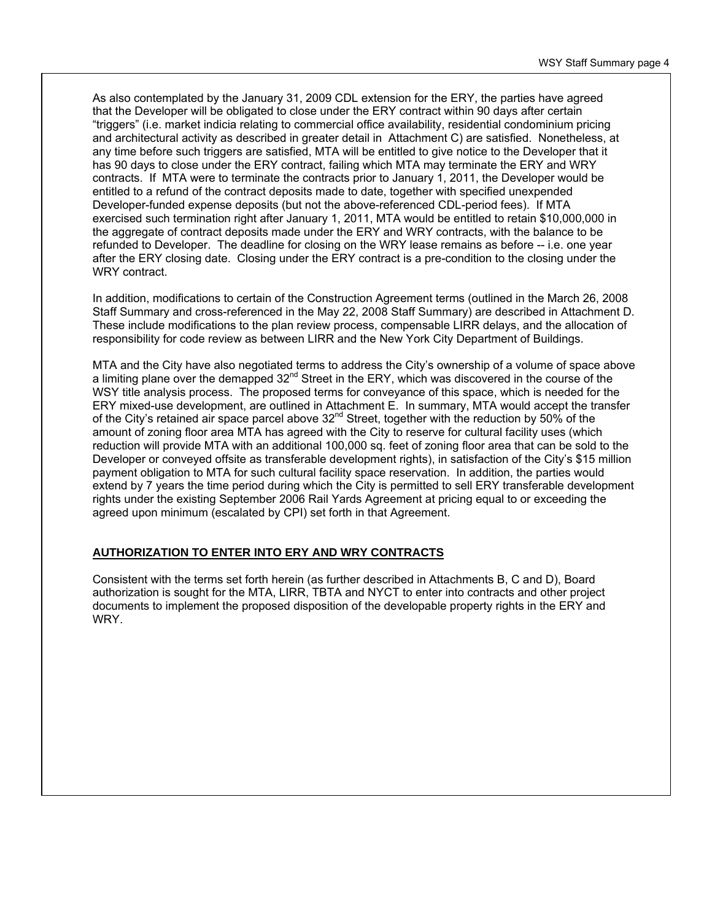As also contemplated by the January 31, 2009 CDL extension for the ERY, the parties have agreed that the Developer will be obligated to close under the ERY contract within 90 days after certain "triggers" (i.e. market indicia relating to commercial office availability, residential condominium pricing and architectural activity as described in greater detail in Attachment C) are satisfied. Nonetheless, at any time before such triggers are satisfied, MTA will be entitled to give notice to the Developer that it has 90 days to close under the ERY contract, failing which MTA may terminate the ERY and WRY contracts. If MTA were to terminate the contracts prior to January 1, 2011, the Developer would be entitled to a refund of the contract deposits made to date, together with specified unexpended Developer-funded expense deposits (but not the above-referenced CDL-period fees). If MTA exercised such termination right after January 1, 2011, MTA would be entitled to retain \$10,000,000 in the aggregate of contract deposits made under the ERY and WRY contracts, with the balance to be refunded to Developer. The deadline for closing on the WRY lease remains as before -- i.e. one year after the ERY closing date. Closing under the ERY contract is a pre-condition to the closing under the WRY contract.

In addition, modifications to certain of the Construction Agreement terms (outlined in the March 26, 2008 Staff Summary and cross-referenced in the May 22, 2008 Staff Summary) are described in Attachment D. These include modifications to the plan review process, compensable LIRR delays, and the allocation of responsibility for code review as between LIRR and the New York City Department of Buildings.

MTA and the City have also negotiated terms to address the City's ownership of a volume of space above a limiting plane over the demapped  $32<sup>nd</sup>$  Street in the ERY, which was discovered in the course of the WSY title analysis process. The proposed terms for conveyance of this space, which is needed for the ERY mixed-use development, are outlined in Attachment E. In summary, MTA would accept the transfer of the City's retained air space parcel above  $32<sup>nd</sup>$  Street, together with the reduction by 50% of the amount of zoning floor area MTA has agreed with the City to reserve for cultural facility uses (which reduction will provide MTA with an additional 100,000 sq. feet of zoning floor area that can be sold to the Developer or conveyed offsite as transferable development rights), in satisfaction of the City's \$15 million payment obligation to MTA for such cultural facility space reservation. In addition, the parties would extend by 7 years the time period during which the City is permitted to sell ERY transferable development rights under the existing September 2006 Rail Yards Agreement at pricing equal to or exceeding the agreed upon minimum (escalated by CPI) set forth in that Agreement.

#### **AUTHORIZATION TO ENTER INTO ERY AND WRY CONTRACTS**

Consistent with the terms set forth herein (as further described in Attachments B, C and D), Board authorization is sought for the MTA, LIRR, TBTA and NYCT to enter into contracts and other project documents to implement the proposed disposition of the developable property rights in the ERY and WRY.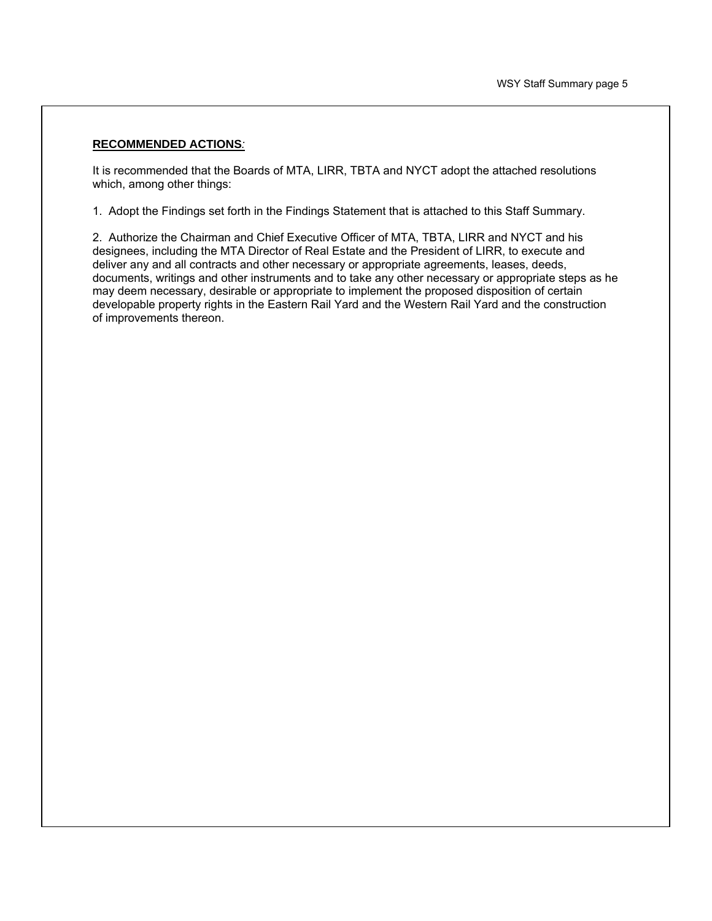#### **RECOMMENDED ACTIONS***:*

It is recommended that the Boards of MTA, LIRR, TBTA and NYCT adopt the attached resolutions which, among other things:

1. Adopt the Findings set forth in the Findings Statement that is attached to this Staff Summary.

2. Authorize the Chairman and Chief Executive Officer of MTA, TBTA, LIRR and NYCT and his designees, including the MTA Director of Real Estate and the President of LIRR, to execute and deliver any and all contracts and other necessary or appropriate agreements, leases, deeds, documents, writings and other instruments and to take any other necessary or appropriate steps as he may deem necessary, desirable or appropriate to implement the proposed disposition of certain developable property rights in the Eastern Rail Yard and the Western Rail Yard and the construction of improvements thereon.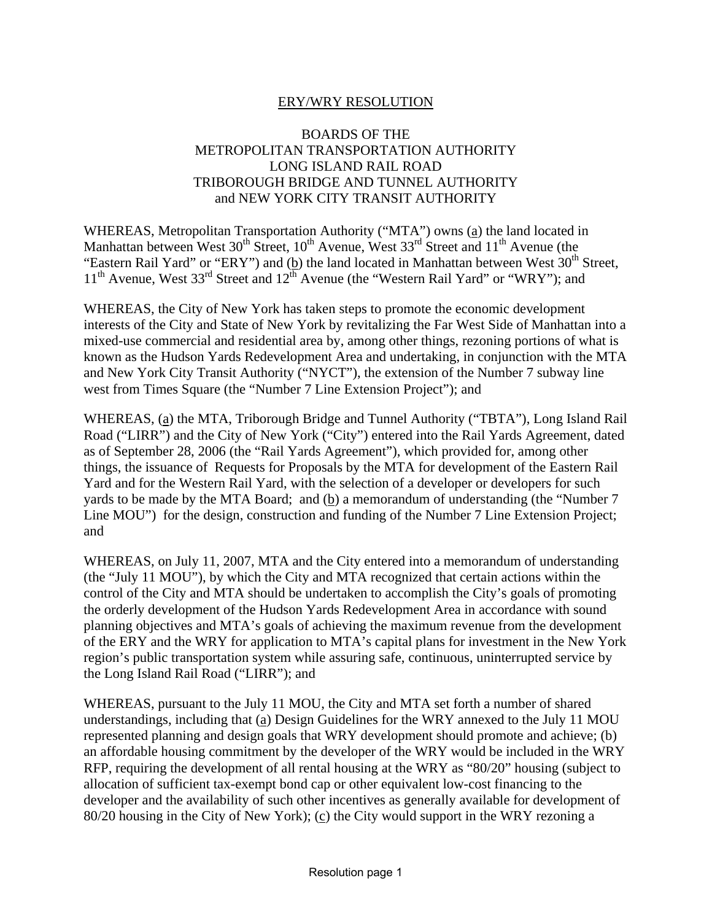## ERY/WRY RESOLUTION

### BOARDS OF THE METROPOLITAN TRANSPORTATION AUTHORITY LONG ISLAND RAIL ROAD TRIBOROUGH BRIDGE AND TUNNEL AUTHORITY and NEW YORK CITY TRANSIT AUTHORITY

WHEREAS, Metropolitan Transportation Authority ("MTA") owns (a) the land located in Manhattan between West  $30<sup>th</sup>$  Street,  $10<sup>th</sup>$  Avenue, West  $33<sup>rd</sup>$  Street and  $11<sup>th</sup>$  Avenue (the "Eastern Rail Yard" or "ERY") and (b) the land located in Manhattan between West  $30<sup>th</sup>$  Street,  $11<sup>th</sup>$  Avenue, West 33<sup>rd</sup> Street and  $12<sup>th</sup>$  Avenue (the "Western Rail Yard" or "WRY"); and

WHEREAS, the City of New York has taken steps to promote the economic development interests of the City and State of New York by revitalizing the Far West Side of Manhattan into a mixed-use commercial and residential area by, among other things, rezoning portions of what is known as the Hudson Yards Redevelopment Area and undertaking, in conjunction with the MTA and New York City Transit Authority ("NYCT"), the extension of the Number 7 subway line west from Times Square (the "Number 7 Line Extension Project"); and

WHEREAS, (a) the MTA, Triborough Bridge and Tunnel Authority ("TBTA"), Long Island Rail Road ("LIRR") and the City of New York ("City") entered into the Rail Yards Agreement, dated as of September 28, 2006 (the "Rail Yards Agreement"), which provided for, among other things, the issuance of Requests for Proposals by the MTA for development of the Eastern Rail Yard and for the Western Rail Yard, with the selection of a developer or developers for such yards to be made by the MTA Board; and (b) a memorandum of understanding (the "Number 7 Line MOU") for the design, construction and funding of the Number 7 Line Extension Project; and

WHEREAS, on July 11, 2007, MTA and the City entered into a memorandum of understanding (the "July 11 MOU"), by which the City and MTA recognized that certain actions within the control of the City and MTA should be undertaken to accomplish the City's goals of promoting the orderly development of the Hudson Yards Redevelopment Area in accordance with sound planning objectives and MTA's goals of achieving the maximum revenue from the development of the ERY and the WRY for application to MTA's capital plans for investment in the New York region's public transportation system while assuring safe, continuous, uninterrupted service by the Long Island Rail Road ("LIRR"); and

WHEREAS, pursuant to the July 11 MOU, the City and MTA set forth a number of shared understandings, including that (a) Design Guidelines for the WRY annexed to the July 11 MOU represented planning and design goals that WRY development should promote and achieve; (b) an affordable housing commitment by the developer of the WRY would be included in the WRY RFP, requiring the development of all rental housing at the WRY as "80/20" housing (subject to allocation of sufficient tax-exempt bond cap or other equivalent low-cost financing to the developer and the availability of such other incentives as generally available for development of 80/20 housing in the City of New York); (c) the City would support in the WRY rezoning a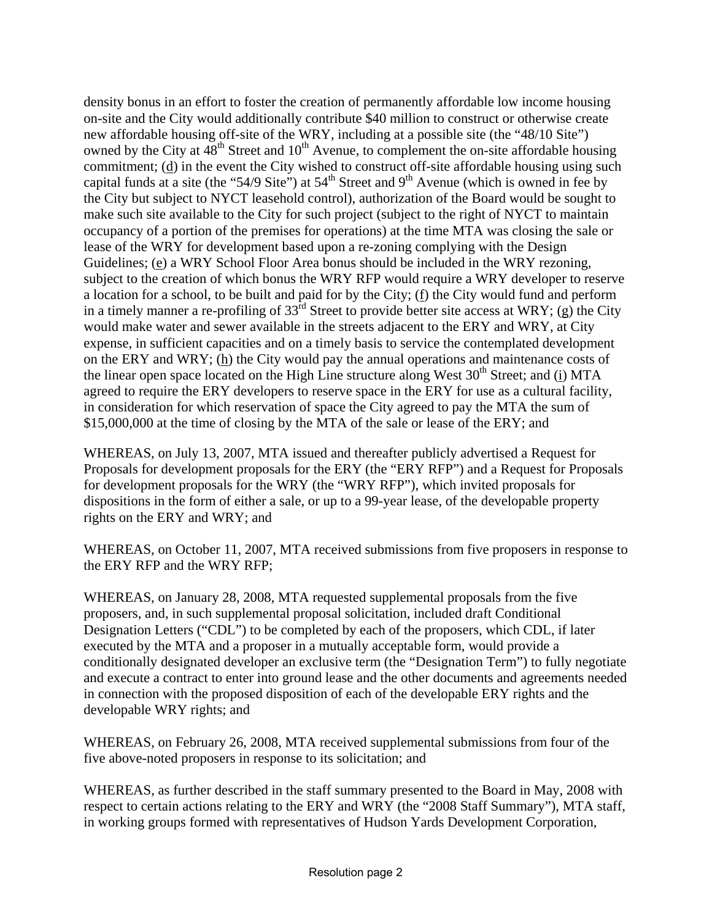density bonus in an effort to foster the creation of permanently affordable low income housing on-site and the City would additionally contribute \$40 million to construct or otherwise create new affordable housing off-site of the WRY, including at a possible site (the "48/10 Site") owned by the City at  $48^{\text{th}}$  Street and  $10^{\text{th}}$  Avenue, to complement the on-site affordable housing commitment;  $(d)$  in the event the City wished to construct off-site affordable housing using such capital funds at a site (the "54/9 Site") at  $54<sup>th</sup>$  Street and 9<sup>th</sup> Avenue (which is owned in fee by the City but subject to NYCT leasehold control), authorization of the Board would be sought to make such site available to the City for such project (subject to the right of NYCT to maintain occupancy of a portion of the premises for operations) at the time MTA was closing the sale or lease of the WRY for development based upon a re-zoning complying with the Design Guidelines; (e) a WRY School Floor Area bonus should be included in the WRY rezoning, subject to the creation of which bonus the WRY RFP would require a WRY developer to reserve a location for a school, to be built and paid for by the City; (f) the City would fund and perform in a timely manner a re-profiling of  $33<sup>rd</sup>$  Street to provide better site access at WRY; (g) the City would make water and sewer available in the streets adjacent to the ERY and WRY, at City expense, in sufficient capacities and on a timely basis to service the contemplated development on the ERY and WRY; (h) the City would pay the annual operations and maintenance costs of the linear open space located on the High Line structure along West  $30<sup>th</sup>$  Street; and (i) MTA agreed to require the ERY developers to reserve space in the ERY for use as a cultural facility, in consideration for which reservation of space the City agreed to pay the MTA the sum of \$15,000,000 at the time of closing by the MTA of the sale or lease of the ERY; and

WHEREAS, on July 13, 2007, MTA issued and thereafter publicly advertised a Request for Proposals for development proposals for the ERY (the "ERY RFP") and a Request for Proposals for development proposals for the WRY (the "WRY RFP"), which invited proposals for dispositions in the form of either a sale, or up to a 99-year lease, of the developable property rights on the ERY and WRY; and

WHEREAS, on October 11, 2007, MTA received submissions from five proposers in response to the ERY RFP and the WRY RFP;

WHEREAS, on January 28, 2008, MTA requested supplemental proposals from the five proposers, and, in such supplemental proposal solicitation, included draft Conditional Designation Letters ("CDL") to be completed by each of the proposers, which CDL, if later executed by the MTA and a proposer in a mutually acceptable form, would provide a conditionally designated developer an exclusive term (the "Designation Term") to fully negotiate and execute a contract to enter into ground lease and the other documents and agreements needed in connection with the proposed disposition of each of the developable ERY rights and the developable WRY rights; and

WHEREAS, on February 26, 2008, MTA received supplemental submissions from four of the five above-noted proposers in response to its solicitation; and

WHEREAS, as further described in the staff summary presented to the Board in May, 2008 with respect to certain actions relating to the ERY and WRY (the "2008 Staff Summary"), MTA staff, in working groups formed with representatives of Hudson Yards Development Corporation,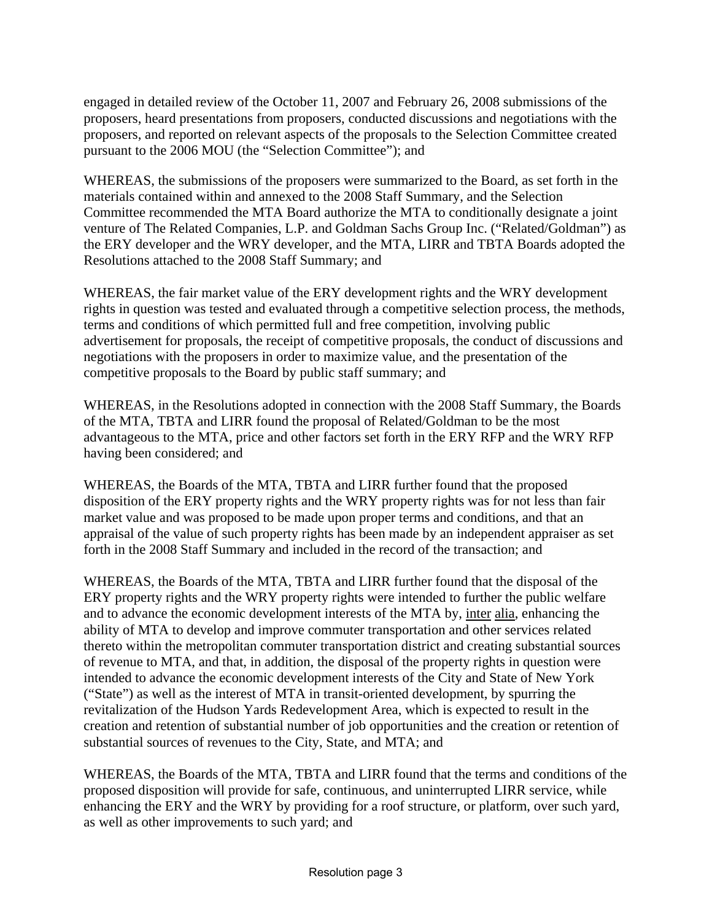engaged in detailed review of the October 11, 2007 and February 26, 2008 submissions of the proposers, heard presentations from proposers, conducted discussions and negotiations with the proposers, and reported on relevant aspects of the proposals to the Selection Committee created pursuant to the 2006 MOU (the "Selection Committee"); and

WHEREAS, the submissions of the proposers were summarized to the Board, as set forth in the materials contained within and annexed to the 2008 Staff Summary, and the Selection Committee recommended the MTA Board authorize the MTA to conditionally designate a joint venture of The Related Companies, L.P. and Goldman Sachs Group Inc. ("Related/Goldman") as the ERY developer and the WRY developer, and the MTA, LIRR and TBTA Boards adopted the Resolutions attached to the 2008 Staff Summary; and

WHEREAS, the fair market value of the ERY development rights and the WRY development rights in question was tested and evaluated through a competitive selection process, the methods, terms and conditions of which permitted full and free competition, involving public advertisement for proposals, the receipt of competitive proposals, the conduct of discussions and negotiations with the proposers in order to maximize value, and the presentation of the competitive proposals to the Board by public staff summary; and

WHEREAS, in the Resolutions adopted in connection with the 2008 Staff Summary, the Boards of the MTA, TBTA and LIRR found the proposal of Related/Goldman to be the most advantageous to the MTA, price and other factors set forth in the ERY RFP and the WRY RFP having been considered; and

WHEREAS, the Boards of the MTA, TBTA and LIRR further found that the proposed disposition of the ERY property rights and the WRY property rights was for not less than fair market value and was proposed to be made upon proper terms and conditions, and that an appraisal of the value of such property rights has been made by an independent appraiser as set forth in the 2008 Staff Summary and included in the record of the transaction; and

WHEREAS, the Boards of the MTA, TBTA and LIRR further found that the disposal of the ERY property rights and the WRY property rights were intended to further the public welfare and to advance the economic development interests of the MTA by, inter alia, enhancing the ability of MTA to develop and improve commuter transportation and other services related thereto within the metropolitan commuter transportation district and creating substantial sources of revenue to MTA, and that, in addition, the disposal of the property rights in question were intended to advance the economic development interests of the City and State of New York ("State") as well as the interest of MTA in transit-oriented development, by spurring the revitalization of the Hudson Yards Redevelopment Area, which is expected to result in the creation and retention of substantial number of job opportunities and the creation or retention of substantial sources of revenues to the City, State, and MTA; and

WHEREAS, the Boards of the MTA, TBTA and LIRR found that the terms and conditions of the proposed disposition will provide for safe, continuous, and uninterrupted LIRR service, while enhancing the ERY and the WRY by providing for a roof structure, or platform, over such yard, as well as other improvements to such yard; and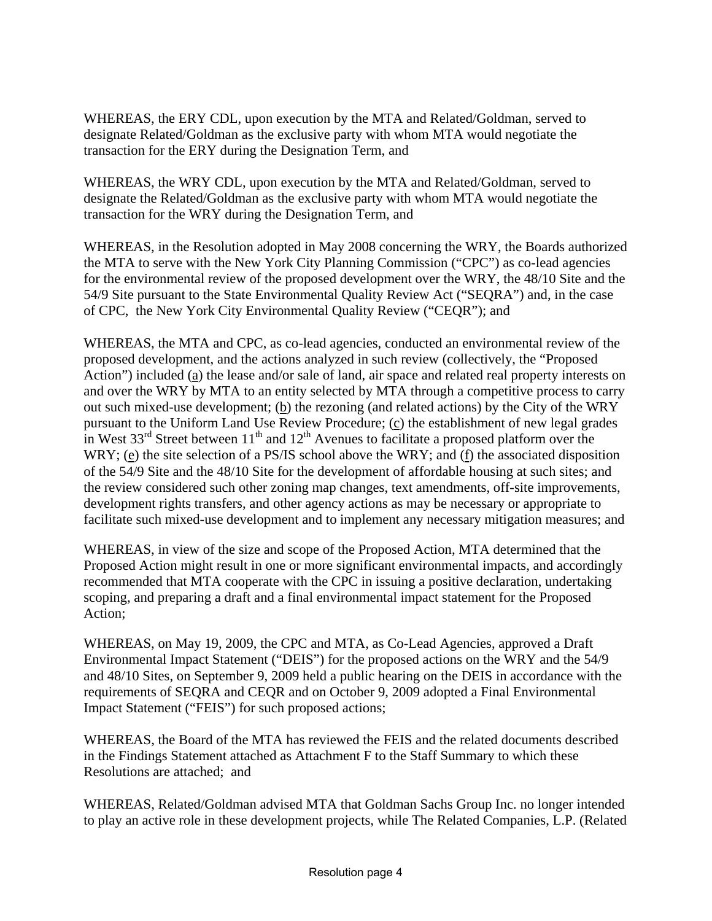WHEREAS, the ERY CDL, upon execution by the MTA and Related/Goldman, served to designate Related/Goldman as the exclusive party with whom MTA would negotiate the transaction for the ERY during the Designation Term, and

WHEREAS, the WRY CDL, upon execution by the MTA and Related/Goldman, served to designate the Related/Goldman as the exclusive party with whom MTA would negotiate the transaction for the WRY during the Designation Term, and

WHEREAS, in the Resolution adopted in May 2008 concerning the WRY, the Boards authorized the MTA to serve with the New York City Planning Commission ("CPC") as co-lead agencies for the environmental review of the proposed development over the WRY, the 48/10 Site and the 54/9 Site pursuant to the State Environmental Quality Review Act ("SEQRA") and, in the case of CPC, the New York City Environmental Quality Review ("CEQR"); and

WHEREAS, the MTA and CPC, as co-lead agencies, conducted an environmental review of the proposed development, and the actions analyzed in such review (collectively, the "Proposed Action") included (a) the lease and/or sale of land, air space and related real property interests on and over the WRY by MTA to an entity selected by MTA through a competitive process to carry out such mixed-use development; (b) the rezoning (and related actions) by the City of the WRY pursuant to the Uniform Land Use Review Procedure; (c) the establishment of new legal grades in West  $33<sup>rd</sup>$  Street between  $11<sup>th</sup>$  and  $12<sup>th</sup>$  Avenues to facilitate a proposed platform over the WRY; (e) the site selection of a PS/IS school above the WRY; and (f) the associated disposition of the 54/9 Site and the 48/10 Site for the development of affordable housing at such sites; and the review considered such other zoning map changes, text amendments, off-site improvements, development rights transfers, and other agency actions as may be necessary or appropriate to facilitate such mixed-use development and to implement any necessary mitigation measures; and

WHEREAS, in view of the size and scope of the Proposed Action, MTA determined that the Proposed Action might result in one or more significant environmental impacts, and accordingly recommended that MTA cooperate with the CPC in issuing a positive declaration, undertaking scoping, and preparing a draft and a final environmental impact statement for the Proposed Action;

WHEREAS, on May 19, 2009, the CPC and MTA, as Co-Lead Agencies, approved a Draft Environmental Impact Statement ("DEIS") for the proposed actions on the WRY and the 54/9 and 48/10 Sites, on September 9, 2009 held a public hearing on the DEIS in accordance with the requirements of SEQRA and CEQR and on October 9, 2009 adopted a Final Environmental Impact Statement ("FEIS") for such proposed actions;

WHEREAS, the Board of the MTA has reviewed the FEIS and the related documents described in the Findings Statement attached as Attachment F to the Staff Summary to which these Resolutions are attached; and

WHEREAS, Related/Goldman advised MTA that Goldman Sachs Group Inc. no longer intended to play an active role in these development projects, while The Related Companies, L.P. (Related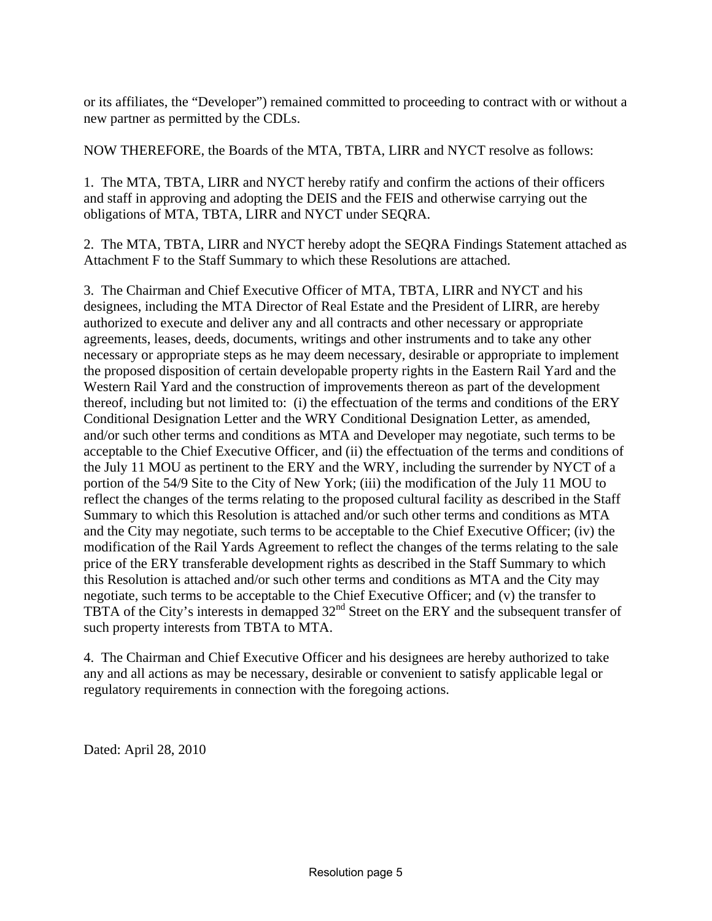or its affiliates, the "Developer") remained committed to proceeding to contract with or without a new partner as permitted by the CDLs.

NOW THEREFORE, the Boards of the MTA, TBTA, LIRR and NYCT resolve as follows:

1. The MTA, TBTA, LIRR and NYCT hereby ratify and confirm the actions of their officers and staff in approving and adopting the DEIS and the FEIS and otherwise carrying out the obligations of MTA, TBTA, LIRR and NYCT under SEQRA.

2. The MTA, TBTA, LIRR and NYCT hereby adopt the SEQRA Findings Statement attached as Attachment F to the Staff Summary to which these Resolutions are attached.

3. The Chairman and Chief Executive Officer of MTA, TBTA, LIRR and NYCT and his designees, including the MTA Director of Real Estate and the President of LIRR, are hereby authorized to execute and deliver any and all contracts and other necessary or appropriate agreements, leases, deeds, documents, writings and other instruments and to take any other necessary or appropriate steps as he may deem necessary, desirable or appropriate to implement the proposed disposition of certain developable property rights in the Eastern Rail Yard and the Western Rail Yard and the construction of improvements thereon as part of the development thereof, including but not limited to: (i) the effectuation of the terms and conditions of the ERY Conditional Designation Letter and the WRY Conditional Designation Letter, as amended, and/or such other terms and conditions as MTA and Developer may negotiate, such terms to be acceptable to the Chief Executive Officer, and (ii) the effectuation of the terms and conditions of the July 11 MOU as pertinent to the ERY and the WRY, including the surrender by NYCT of a portion of the 54/9 Site to the City of New York; (iii) the modification of the July 11 MOU to reflect the changes of the terms relating to the proposed cultural facility as described in the Staff Summary to which this Resolution is attached and/or such other terms and conditions as MTA and the City may negotiate, such terms to be acceptable to the Chief Executive Officer; (iv) the modification of the Rail Yards Agreement to reflect the changes of the terms relating to the sale price of the ERY transferable development rights as described in the Staff Summary to which this Resolution is attached and/or such other terms and conditions as MTA and the City may negotiate, such terms to be acceptable to the Chief Executive Officer; and (v) the transfer to TBTA of the City's interests in demapped 32<sup>nd</sup> Street on the ERY and the subsequent transfer of such property interests from TBTA to MTA.

4. The Chairman and Chief Executive Officer and his designees are hereby authorized to take any and all actions as may be necessary, desirable or convenient to satisfy applicable legal or regulatory requirements in connection with the foregoing actions.

Dated: April 28, 2010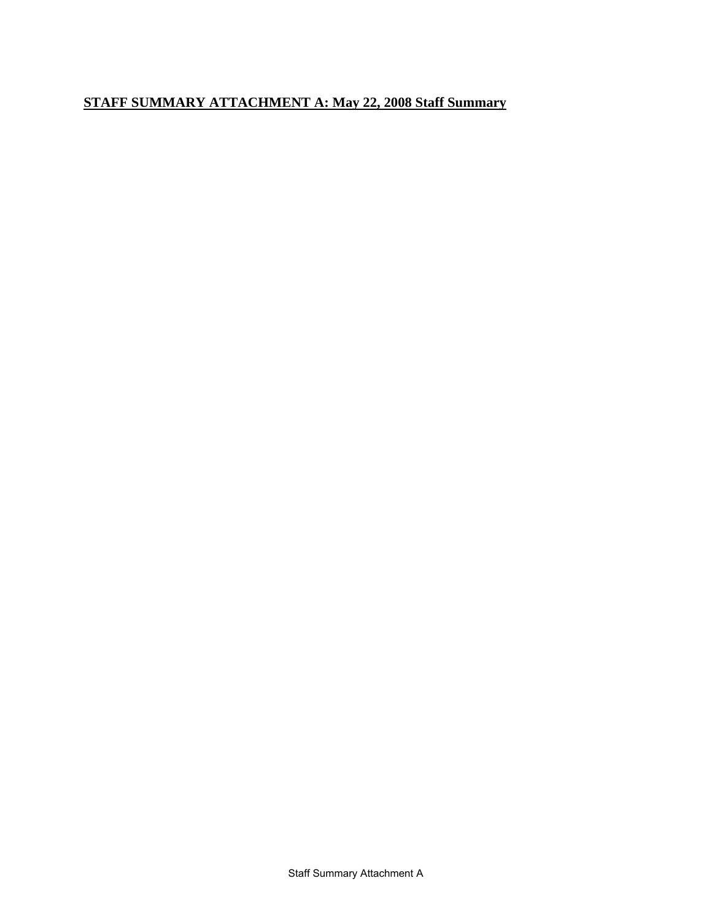## **STAFF SUMMARY ATTACHMENT A: May 22, 2008 Staff Summary**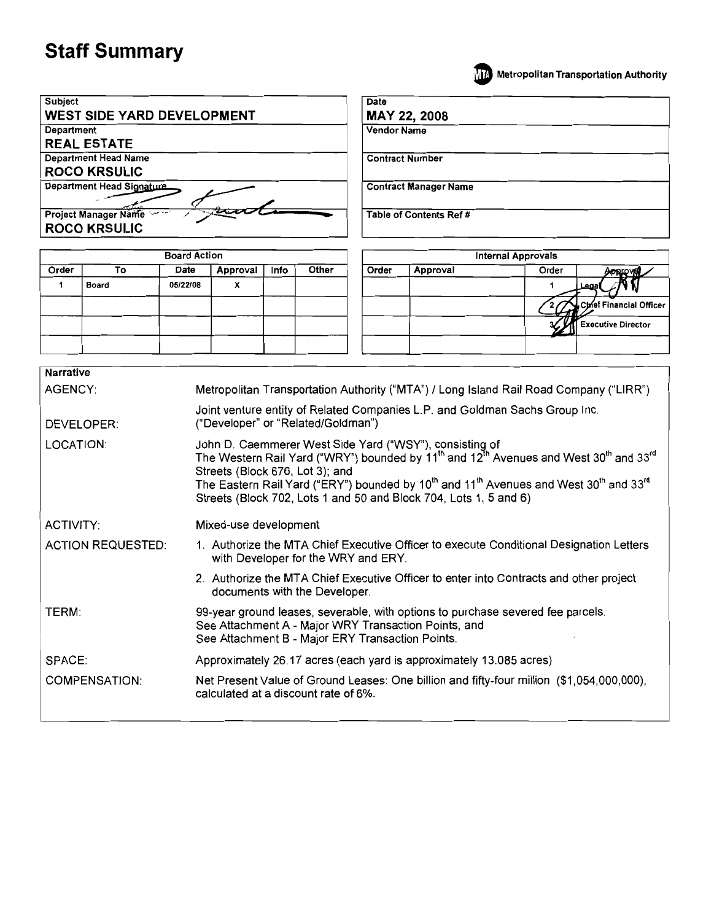



| <b>Narrative</b>         |                                                                                                                                                                                                                                                                                                                                                                                                                                                   |
|--------------------------|---------------------------------------------------------------------------------------------------------------------------------------------------------------------------------------------------------------------------------------------------------------------------------------------------------------------------------------------------------------------------------------------------------------------------------------------------|
| AGENCY:                  | Metropolitan Transportation Authority ("MTA") / Long Island Rail Road Company ("LIRR")                                                                                                                                                                                                                                                                                                                                                            |
| <b>DEVELOPER:</b>        | Joint venture entity of Related Companies L.P. and Goldman Sachs Group Inc.<br>("Developer" or "Related/Goldman")                                                                                                                                                                                                                                                                                                                                 |
| LOCATION:                | John D. Caemmerer West Side Yard ("WSY"), consisting of<br>The Western Rail Yard ("WRY") bounded by 11 <sup>th</sup> and 12 <sup>th</sup> Avenues and West 30 <sup>th</sup> and 33 <sup>rd</sup><br>Streets (Block 676, Lot 3); and<br>The Eastern Rail Yard ("ERY") bounded by 10 <sup>th</sup> and 11 <sup>th</sup> Avenues and West 30 <sup>th</sup> and 33 <sup>rd</sup><br>Streets (Block 702, Lots 1 and 50 and Block 704, Lots 1, 5 and 6) |
| ACTIVITY:                | Mixed-use development                                                                                                                                                                                                                                                                                                                                                                                                                             |
| <b>ACTION REQUESTED:</b> | 1. Authorize the MTA Chief Executive Officer to execute Conditional Designation Letters<br>with Developer for the WRY and ERY.                                                                                                                                                                                                                                                                                                                    |
|                          | 2. Authorize the MTA Chief Executive Officer to enter into Contracts and other project<br>documents with the Developer.                                                                                                                                                                                                                                                                                                                           |
| TERM:                    | 99-year ground leases, severable, with options to purchase severed fee parcels.<br>See Attachment A - Major WRY Transaction Points, and<br>See Attachment B - Major ERY Transaction Points.                                                                                                                                                                                                                                                       |
| SPACE:                   | Approximately 26.17 acres (each yard is approximately 13.085 acres)                                                                                                                                                                                                                                                                                                                                                                               |
| <b>COMPENSATION:</b>     | Net Present Value of Ground Leases: One billion and fifty-four million (\$1,054,000,000),<br>calculated at a discount rate of 6%.                                                                                                                                                                                                                                                                                                                 |
|                          |                                                                                                                                                                                                                                                                                                                                                                                                                                                   |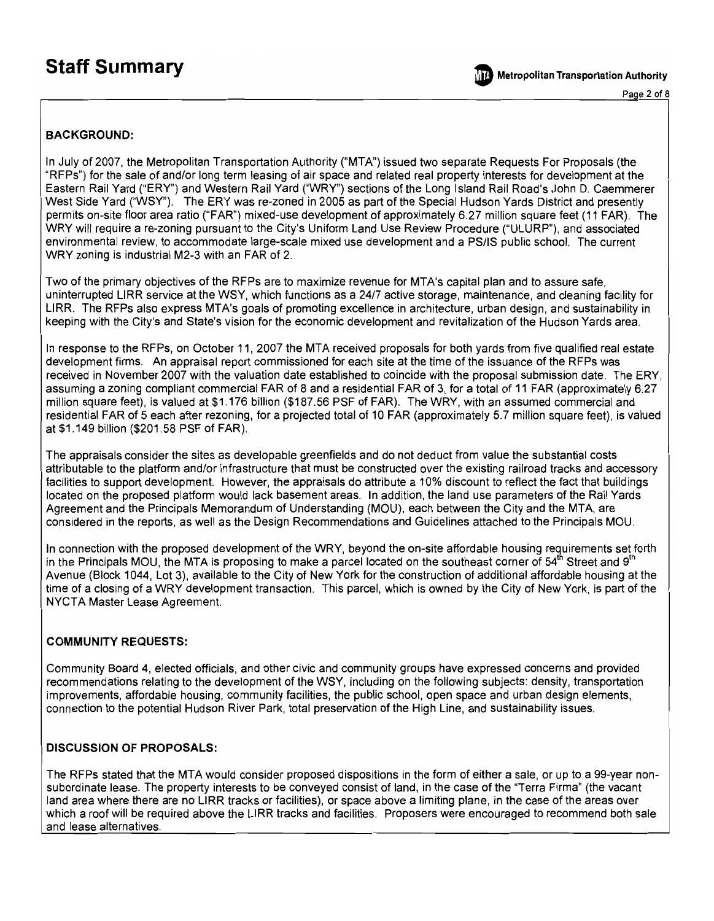**Metropolitan Transportation Authority** 

Page 2 of 8

#### **BACKGROUND:**

In July of 2007, the Metropolitan Transportation Authority ("MTA") issued two separate Requests For Proposals (the "RFPs") for the sale of and/or long term leasing of air space and related real property interests for development at the Eastern Rail Yard ("ERY") and Western Rail Yard ("WRY") sections of the Long Island Rail Road's John D. Caemmerer West Side Yard ("WSY"). The ERY was re-zoned in 2005 as part of the Special Hudson Yards District and presently permits on-site floor area ratio ("FAR") mixed-use development of approximately 6.27 million square feet (11 FAR). The WRY will require a re-zoning pursuant to the City's Uniform Land Use Review Procedure ("ULURP"), and associated environmental review, to accommodate large-scale mixed use development and a PS/IS public school. The current WRY zoning is industrial M2-3 with an FAR of 2.

Two of the primary objectives of the RFPs are to maximize revenue for MTA's capital plan and to assure safe, uninterrupted LIRR service at the WSY, which functions as a 24/7 active storage, maintenance, and cleaning facility for LIRR. The RFPs also express MTA's goals of promoting excellence in architecture, urban design, and sustainability in keeping with the City's and State's vision for the economic development and revitalization of the Hudson Yards area.

In response to the RFPs, on October 11, 2007 the MTA received proposals for both yards from five qualified real estate development firms. An appraisal report commissioned for each site at the time of the issuance of the RFPs was received in November 2007 with the valuation date established to coincide with the proposal submission date. The ERY, assuming a zoning compliant commercial FAR of 8 and a residential FAR of 3, for a total of 11 FAR (approximately 6.27 million square feet), is valued at \$1.176 billion (\$187.56 PSF of FAR). The WRY, with an assumed commercial and residential FAR of 5 each after rezoning, for a projected total of 10 FAR (approximately 5.7 million square feet), is valued at \$1.149 billion (\$201.58 PSF of FAR).

The appraisals consider the sites as developable greenfields and do not deduct from value the substantial costs attributable to the platform and/or infrastructure that must be constructed over the existing railroad tracks and accessory facilities to support development. However, the appraisals do attribute a 10% discount to reflect the fact that buildings located on the proposed platform would lack basement areas. In addition, the land use parameters of the Rail Yards Agreement and the Principals Memorandum of Understanding (MOU), each between the City and the MTA, are considered in the reports, as well as the Design Recommendations and Guidelines attached to the Principals MOU.

In connection with the proposed development of the WRY, beyond the on-site affordable housing requirements set forth in the Principals MOU, the MTA is proposing to make a parcel located on the southeast corner of  $54^{\text{m}}$  Street and 9<sup>th</sup> Avenue (Block 1044, Lot 3), available to the City of New York for the construction of additional affordable housing at the time of a closing of a WRY development transaction. This parcel, which is owned by the City of New York, is part of the NYCTA Master Lease Agreement.

#### **COMMUNITY REQUESTS:**

Community Board 4, elected officials, and other civic and community groups have expressed concerns and provided recommendations relating to the development of the WSY, including on the following subjects: density, transportation improvements, affordable housing, community facilities, the public school, open space and urban design elements, connection to the potential Hudson River Park, total preservation of the High Line, and sustainability issues.

#### **DISCUSSION OF PROPOSALS:**

The RFPs stated that the MTA would consider proposed dispositions in the form of either a sale, or up to a 99-year nonsubordinate lease. The property interests to be conveyed consist of land, in the case of the "Terra Firma" (the vacant land area where there are no LIRR tracks or facilities), or space above a limiting plane, in the case of the areas over which a roof will be required above the LIRR tracks and facilities. Proposers were encouraged to recommend both sale and lease alternatives.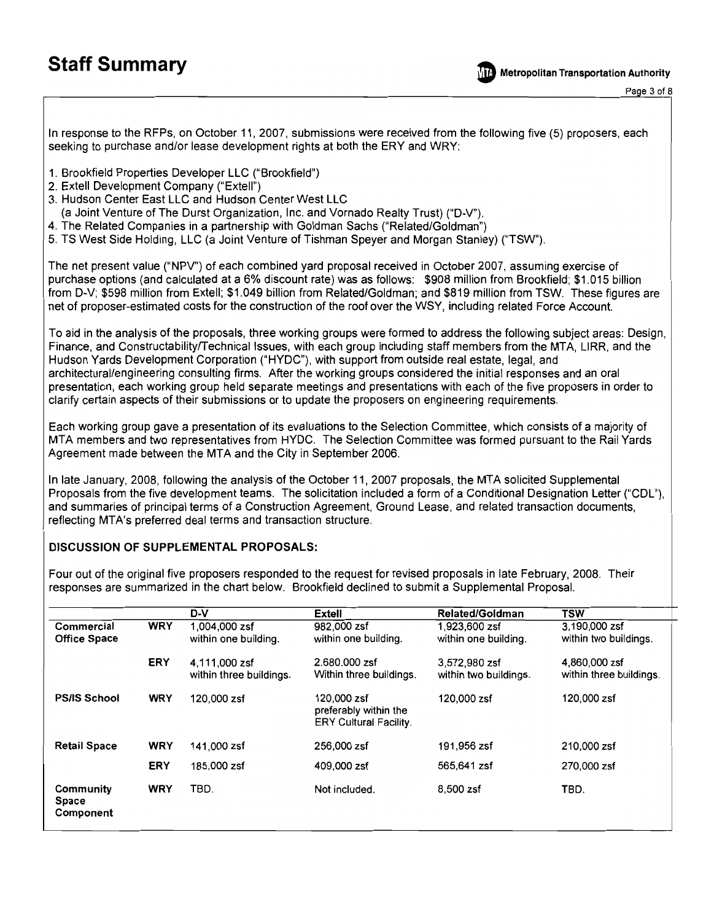**Metropolitan Transportation Authority** 

Page 3 of 8

In response to the RFPs, on October 11, 2007, submissions were received from the following five (5) proposers, each seeking to purchase and/or lease development rights at both the ERY and WRY:

- 1. Brookfield Properties Developer LLC ("Brookfield")
- 2. Extell Development Company ("Extell")
- 3. Hudson Center East LLC and Hudson Center West LLC
- (a Joint Venture of The Durst Organization, Inc. and Vornado Realty Trust) ("D-V").
- 4. The Related Companies in a partnership with Goldman Sachs ("Related/Goldman")
- 5. TS West Side Holding, LLC (a Joint Venture of Tishman Speyer and Morgan Stanley) ("TSW").

The net present value ("NPV") of each combined yard proposal received in October 2007, assuming exercise of purchase options (and calculated at a 6% discount rate) was as follows: \$908 million from Brookfield; \$1.015 billion from D-V; \$598 million from Extell; \$1.049 billion from Related/Goldman; and \$819 million from TSW. These figures are net of proposer-estimated costs for the construction of the roof over the WSY, including related Force Account.

To aid in the analysis of the proposals, three working groups were formed to address the following subject areas: Design, Finance, and Constructability/Technical Issues, with each group including staff members from the MTA, LIRR, and the Hudson Yards Development Corporation ("HYDC"), with support from outside real estate, legal, and architectural/engineering consulting firms. After the working groups considered the initial responses and an oral presentation, each working group held separate meetings and presentations with each of the five proposers in order to clarify certain aspects of their submissions or to update the proposers on engineering requirements.

Each working group gave a presentation of its evaluations to the Selection Committee, which consists of a majority of MTA members and two representatives from HYDC. The Selection Committee was formed pursuant to the Rail Yards Agreement made between the MTA and the City in September 2006.

In late January, 2008, following the analysis of the October 11, 2007 proposals, the MTA solicited Supplemental Proposals from the five development teams. The solicitation included a form of a Conditional Designation Letter ("CDL"), and summaries of principal terms of a Construction Agreement, Ground Lease, and related transaction documents, reflecting MTA's preferred deal terms and transaction structure.

#### **DISCUSSION OF SUPPLEMENTAL PROPOSALS:**

Four out of the original five proposers responded to the request for revised proposals in late February, 2008. Their responses are summarized in the chart below. Brookfield declined to submit a Supplemental Proposal.

|                                   |            | D-V                                      | Extell                                                                | <b>Related/Goldman</b>                 | <b>TSW</b>                               |
|-----------------------------------|------------|------------------------------------------|-----------------------------------------------------------------------|----------------------------------------|------------------------------------------|
| Commercial<br><b>Office Space</b> | <b>WRY</b> | 1,004,000 zsf<br>within one building.    | 982,000 zsf<br>within one building.                                   | 1,923,600 zsf<br>within one building.  | 3,190,000 zsf<br>within two buildings.   |
|                                   | <b>ERY</b> | 4.111.000 zsf<br>within three buildings. | 2.680.000 zsf<br>Within three buildings.                              | 3,572,980 zsf<br>within two buildings. | 4,860,000 zsf<br>within three buildings. |
| <b>PS/IS School</b>               | <b>WRY</b> | 120,000 zsf                              | 120,000 zsf<br>preferably within the<br><b>ERY Cultural Facility.</b> | 120,000 zsf                            | 120,000 zsf                              |
| <b>Retail Space</b>               | <b>WRY</b> | 141,000 zsf                              | 256,000 zsf                                                           | 191.956 zsf                            | 210,000 zsf                              |
|                                   | <b>ERY</b> | 185,000 zsf                              | 409,000 zsf                                                           | 565,641 zsf                            | 270,000 zsf                              |
| Community<br>Space<br>Component   | <b>WRY</b> | TBD.                                     | Not included.                                                         | 8.500 zsf                              | TBD.                                     |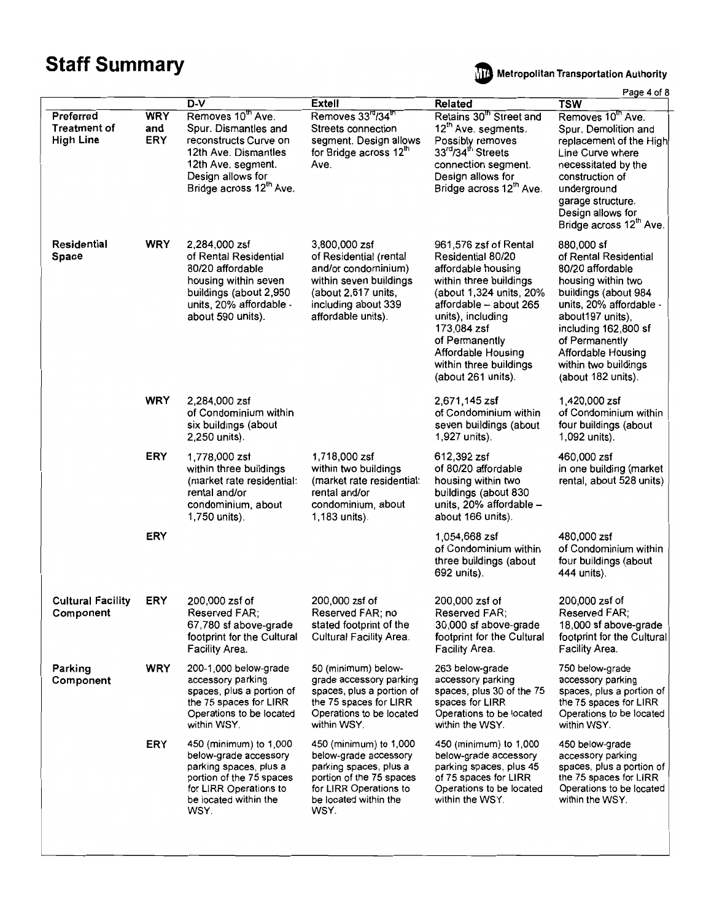**Mile** Metropolitan Transportation Authority

Page 4 of 8

|                                                      |                                 | $D-V$                                                                                                                                                                        | Extell                                                                                                                                                           | <b>Related</b>                                                                                                                                                                                                                                                              | raye – vi v<br><b>TSW</b>                                                                                                                                                                                                                                          |
|------------------------------------------------------|---------------------------------|------------------------------------------------------------------------------------------------------------------------------------------------------------------------------|------------------------------------------------------------------------------------------------------------------------------------------------------------------|-----------------------------------------------------------------------------------------------------------------------------------------------------------------------------------------------------------------------------------------------------------------------------|--------------------------------------------------------------------------------------------------------------------------------------------------------------------------------------------------------------------------------------------------------------------|
| Preferred<br><b>Treatment of</b><br><b>High Line</b> | <b>WRY</b><br>and<br><b>ERY</b> | Removes 10th Ave.<br>Spur. Dismantles and<br>reconstructs Curve on<br>12th Ave. Dismantles<br>12th Ave. segment.<br>Design allows for<br>Bridge across 12 <sup>th</sup> Ave. | Removes 33 <sup>rd</sup> /34 <sup>th</sup><br>Streets connection<br>segment. Design allows<br>for Bridge across 12th<br>Ave.                                     | Retains 30 <sup>th</sup> Street and<br>12 <sup>th</sup> Ave. segments.<br>Possibly removes<br>33 <sup>rd</sup> /34 <sup>th</sup> Streets<br>connection segment.<br>Design allows for<br>Bridge across 12 <sup>th</sup> Ave.                                                 | Removes 10 <sup>th</sup> Ave.<br>Spur. Demolition and<br>replacement of the High<br>Line Curve where<br>necessitated by the<br>construction of<br>underground<br>garage structure.<br>Design allows for<br>Bridge across 12 <sup>th</sup> Ave.                     |
| Residential<br>Space                                 | <b>WRY</b>                      | 2,284,000 zsf<br>of Rental Residential<br>80/20 affordable<br>housing within seven<br>buildings (about 2,950<br>units, 20% affordable -<br>about 590 units).                 | 3,800,000 zsf<br>of Residential (rental<br>and/or condominium)<br>within seven buildings<br>(about 2,617 units,<br>including about 339<br>affordable units).     | 961,576 zsf of Rental<br>Residential 80/20<br>affordable housing<br>within three buildings<br>(about 1,324 units, 20%<br>affordable - about 265<br>units), including<br>173,084 zsf<br>of Permanently<br>Affordable Housing<br>within three buildings<br>(about 261 units). | 880,000 sf<br>of Rental Residential<br>80/20 affordable<br>housing within two<br>buildings (about 984<br>units, 20% affordable -<br>about197 units),<br>including 162,800 sf<br>of Permanently<br>Affordable Housing<br>within two buildings<br>(about 182 units). |
|                                                      | <b>WRY</b>                      | 2,284,000 zsf<br>of Condominium within<br>six buildings (about<br>2,250 units).                                                                                              |                                                                                                                                                                  | 2,671,145 zsf<br>of Condominium within<br>seven buildings (about<br>1,927 units).                                                                                                                                                                                           | 1,420,000 zsf<br>of Condominium within<br>four buildings (about<br>1,092 units).                                                                                                                                                                                   |
|                                                      | ERY                             | 1,778,000 zsf<br>within three buildings<br>(market rate residential:<br>rental and/or<br>condominium, about<br>1,750 units).                                                 | 1,718,000 zsf<br>within two buildings<br>(market rate residential:<br>rental and/or<br>condominium, about<br>1,183 units).                                       | 612,392 zsf<br>of 80/20 affordable<br>housing within two<br>buildings (about 830<br>units, 20% affordable -<br>about 166 units).                                                                                                                                            | 460,000 zsf<br>in one building (market<br>rental, about 528 units)                                                                                                                                                                                                 |
|                                                      | ERY                             |                                                                                                                                                                              |                                                                                                                                                                  | 1,054,668 zsf<br>of Condominium within<br>three buildings (about<br>692 units).                                                                                                                                                                                             | 480,000 zsf<br>of Condominium within<br>four buildings (about<br>444 units).                                                                                                                                                                                       |
| <b>Cultural Facility</b><br>Component                | ERY                             | 200,000 zsf of<br>Reserved FAR;<br>67,780 sf above-grade<br>footprint for the Cultural<br>Facility Area.                                                                     | 200,000 zsf of<br>Reserved FAR; no<br>stated footprint of the<br>Cultural Facility Area.                                                                         | 200,000 zsf of<br>Reserved FAR;<br>30,000 sf above-grade<br>footprint for the Cultural<br>Facility Area.                                                                                                                                                                    | 200,000 zsf of<br>Reserved FAR;<br>18,000 sf above-grade<br>footprint for the Cultural<br>Facility Area.                                                                                                                                                           |
| Parking<br>Component                                 | <b>WRY</b>                      | 200-1,000 below-grade<br>accessory parking<br>spaces, plus a portion of<br>the 75 spaces for LIRR<br>Operations to be located<br>within WSY.                                 | 50 (minimum) below-<br>grade accessory parking<br>spaces, plus a portion of<br>the 75 spaces for LIRR<br>Operations to be located<br>within WSY.                 | 263 below-grade<br>accessory parking<br>spaces, plus 30 of the 75<br>spaces for LIRR<br>Operations to be located<br>within the WSY.                                                                                                                                         | 750 below-grade<br>accessory parking<br>spaces, plus a portion of<br>the 75 spaces for LIRR<br>Operations to be located<br>within WSY.                                                                                                                             |
|                                                      | <b>ERY</b>                      | 450 (minimum) to 1,000<br>below-grade accessory<br>parking spaces, plus a<br>portion of the 75 spaces<br>for LIRR Operations to<br>be located within the<br>WSY.             | 450 (minimum) to 1,000<br>below-grade accessory<br>parking spaces, plus a<br>portion of the 75 spaces<br>for LIRR Operations to<br>be located within the<br>WSY. | 450 (minimum) to 1,000<br>below-grade accessory<br>parking spaces, plus 45<br>of 75 spaces for LIRR<br>Operations to be located<br>within the WSY.                                                                                                                          | 450 below-grade<br>accessory parking<br>spaces, plus a portion of<br>the 75 spaces for LIRR<br>Operations to be located<br>within the WSY.                                                                                                                         |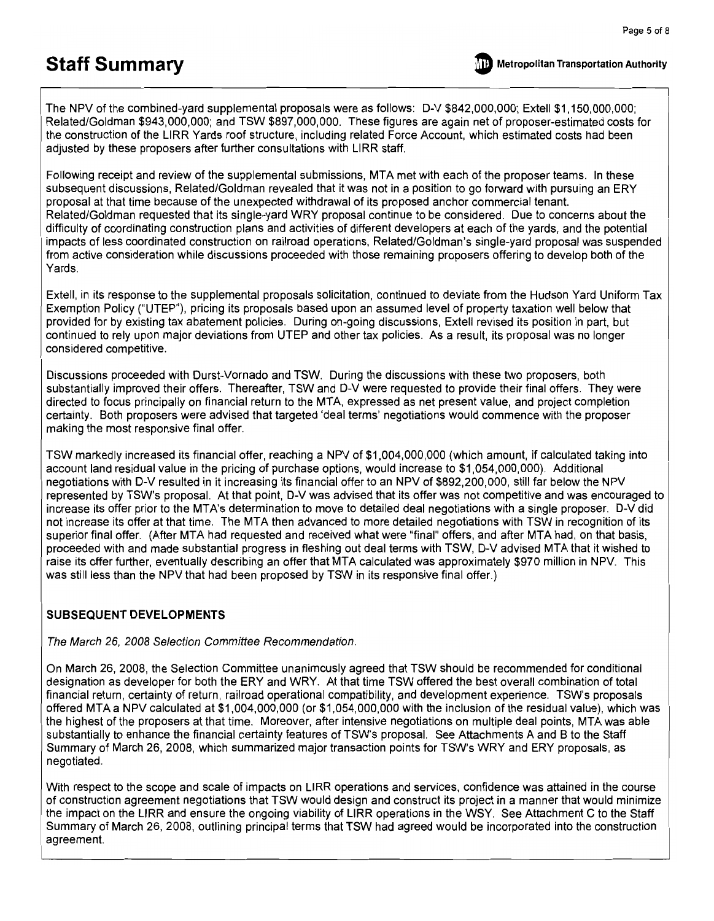The NPV of the combined-yard supplemental proposals were as follows: D-V \$842,000,000; Extell \$1,150,000,000; Related/Goldman \$943,000,000; and TSW \$897,000,000. These figures are again net of proposer-estimated costs for the construction of the LIRR Yards roof structure, including related Force Account, which estimated costs had been adjusted by these proposers after further consultations with LIRR staff.

Following receipt and review of the supplemental submissions. MTA met with each of the proposer teams. In these subsequent discussions, Related/Goldman revealed that it was not in a position to go forward with pursuing an ERY proposal at that time because of the unexpected withdrawal of its proposed anchor commercial tenant. Related/Goldman requested that its single-yard WRY proposal continue to be considered. Due to concerns about the difficulty of coordinating construction plans and activities of different developers at each of the yards, and the potential impacts of less coordinated construction on railroad operations, Related/Goldman's single-yard proposal was suspended from active consideration while discussions proceeded with those remaining proposers offering to develop both of the Yards.

Extell, in its response to the supplemental proposals solicitation, continued to deviate from the Hudson Yard Uniform Tax Exemption Policy ("UTEP"), pricing its proposals based upon an assumed level of property taxation well below that provided for by existing tax abatement policies. During on-going discussions. Extell revised its position in part, but continued to rely upon major deviations from UTEP and other tax policies. As a result, its proposal was no longer considered competitive.

Discussions proceeded with Durst-Vornado and TSW. During the discussions with these two proposers, both substantially improved their offers. Thereafter, TSW and D-V were requested to provide their final offers. They were directed to focus principally on financial return to the MTA, expressed as net present value, and project completion certainty. Both proposers were advised that targeted 'deal terms' negotiations would commence with the proposer making the most responsive final offer.

TSW markedly increased its financial offer, reaching a NPV of \$1,004,000,000 (which amount, if calculated taking into account land residual value in the pricing of purchase options, would increase to \$1,054,000,000). Additional negotiations with D-V resulted in it increasing its financial offer to an NPV of \$892,200,000, still far below the NPV represented by TSW's proposal. At that point, D-V was advised that its offer was not competitive and was encouraged to increase its offer prior to the MTA's determination to move to detailed deal negotiations with a single proposer. D-V did not increase its offer at that time. The MTA then advanced to more detailed negotiations with TSW in recognition of its superior final offer. (After MTA had requested and received what were "final" offers, and after MTA had, on that basis, proceeded with and made substantial progress in fleshing out deal terms with TSW, D-V advised MTA that it wished to raise its offer further, eventually describing an offer that MTA calculated was approximately \$970 million in NPV. This was still less than the NPV that had been proposed by TSW in its responsive final offer.)

#### **SUBSEQUENT DEVELOPMENTS**

The March 26, 2008 Selection Committee Recommendation.

On March 26, 2008, the Selection Committee unanimously agreed that TSW should be recommended for conditional designation as developer for both the ERY and WRY. At that time TSW offered the best overall combination of total financial return, certainty of return, railroad operational compatibility, and development experience. TSW's proposals offered MTA a NPV calculated at \$1,004,000,000 (or \$1,054,000,000 with the inclusion of the residual value), which was the highest of the proposers at that time. Moreover, after intensive negotiations on multiple deal points, MTA was able substantially to enhance the financial certainty features of TSW's proposal. See Attachments A and B to the Staff Summary of March 26, 2008, which summarized major transaction points for TSW's WRY and ERY proposals, as negotiated.

With respect to the scope and scale of impacts on LIRR operations and services, confidence was attained in the course of construction agreement negotiations that TSW would design and construct its project in a manner that would minimize the impact on the LIRR and ensure the ongoing viability of LIRR operations in the WSY. See Attachment C to the Staff Summary of March 26, 2008, outlining principal terms that TSW had agreed would be incorporated into the construction agreement.

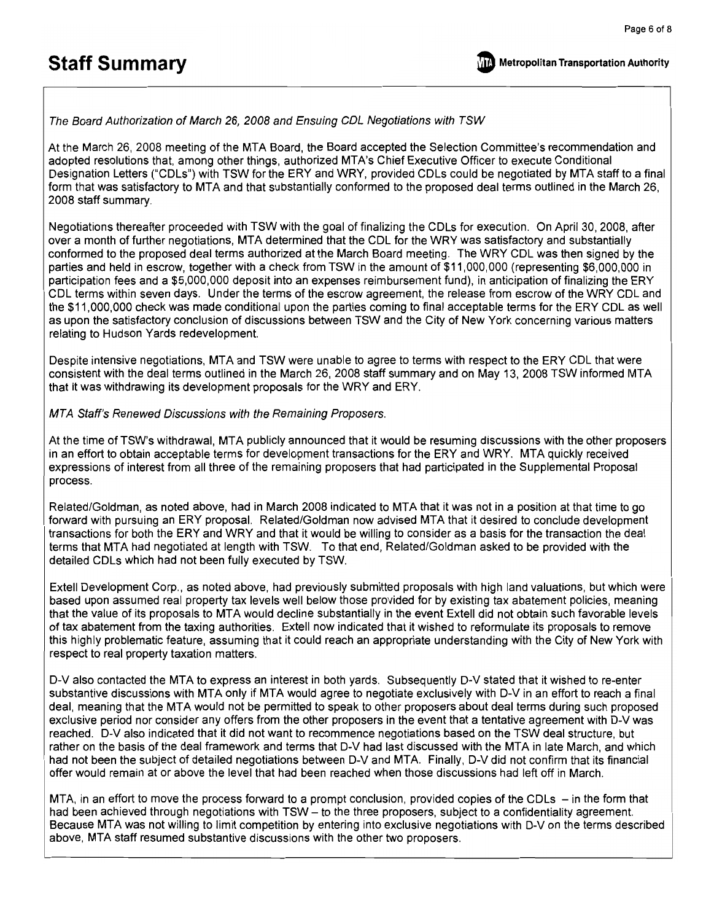

The Board Authorization of March 26, 2008 and Ensuing CDL Negotiations with TSW

At the March 26, 2008 meeting of the MTA Board, the Board accepted the Selection Committee's recommendation and adopted resolutions that, among other things, authorized MTA's Chief Executive Officer to execute Conditional Designation Letters ("CDLs") with TSW for the ERY and WRY, provided CDLs could be negotiated by MTA staff to a final form that was satisfactory to MTA and that substantially conformed to the proposed deal terms outlined in the March 26. 2008 staff summary.

Negotiations thereafter proceeded with TSW with the goal of finalizing the CDLs for execution. On April 30, 2008, after over a month of further negotiations, MTA determined that the CDL for the WRY was satisfactory and substantially conformed to the proposed deal terms authorized at the March Board meeting. The WRY CDL was then signed by the parties and held in escrow, together with a check from TSW in the amount of \$11,000,000 (representing \$6,000,000 in participation fees and a \$5,000,000 deposit into an expenses reimbursement fund), in anticipation of finalizing the ERY CDL terms within seven days. Under the terms of the escrow agreement, the release from escrow of the WRY CDL and the \$11,000,000 check was made conditional upon the parties coming to final acceptable terms for the ERY CDL as well as upon the satisfactory conclusion of discussions between TSW and the City of New York concerning various matters relating to Hudson Yards redevelopment.

Despite intensive negotiations, MTA and TSW were unable to agree to terms with respect to the ERY CDL that were consistent with the deal terms outlined in the March 26, 2008 staff summary and on May 13, 2008 TSW informed MTA that it was withdrawing its development proposals for the WRY and ERY.

MTA Staff's Renewed Discussions with the Remaining Proposers.

At the time of TSW's withdrawal, MTA publicly announced that it would be resuming discussions with the other proposers in an effort to obtain acceptable terms for development transactions for the ERY and WRY. MTA quickly received expressions of interest from all three of the remaining proposers that had participated in the Supplemental Proposal process.

Related/Goldman, as noted above, had in March 2008 indicated to MTA that it was not in a position at that time to go forward with pursuing an ERY proposal. Related/Goldman now advised MTA that it desired to conclude development transactions for both the ERY and WRY and that it would be willing to consider as a basis for the transaction the deal terms that MTA had negotiated at length with TSW. To that end, Related/Goldman asked to be provided with the detailed CDLs which had not been fully executed by TSW.

Extell Development Corp., as noted above, had previously submitted proposals with high land valuations, but which were based upon assumed real property tax levels well below those provided for by existing tax abatement policies, meaning that the value of its proposals to MTA would decline substantially in the event Extell did not obtain such favorable levels of tax abatement from the taxing authorities. Extell now indicated that it wished to reformulate its proposals to remove this highly problematic feature, assuming that it could reach an appropriate understanding with the City of New York with respect to real property taxation matters.

D-V also contacted the MTA to express an interest in both yards. Subsequently D-V stated that it wished to re-enter substantive discussions with MTA only if MTA would agree to negotiate exclusively with D-V in an effort to reach a final deal, meaning that the MTA would not be permitted to speak to other proposers about deal terms during such proposed exclusive period nor consider any offers from the other proposers in the event that a tentative agreement with D-V was reached. D-V also indicated that it did not want to recommence negotiations based on the TSW deal structure, but rather on the basis of the deal framework and terms that D-V had last discussed with the MTA in late March, and which had not been the subject of detailed negotiations between D-V and MTA. Finally, D-V did not confirm that its financial offer would remain at or above the level that had been reached when those discussions had left off in March.

MTA, in an effort to move the process forward to a prompt conclusion, provided copies of the CDLs – in the form that had been achieved through negotiations with TSW – to the three proposers, subject to a confidentiality agreement. Because MTA was not willing to limit competition by entering into exclusive negotiations with D-V on the terms described above, MTA staff resumed substantive discussions with the other two proposers.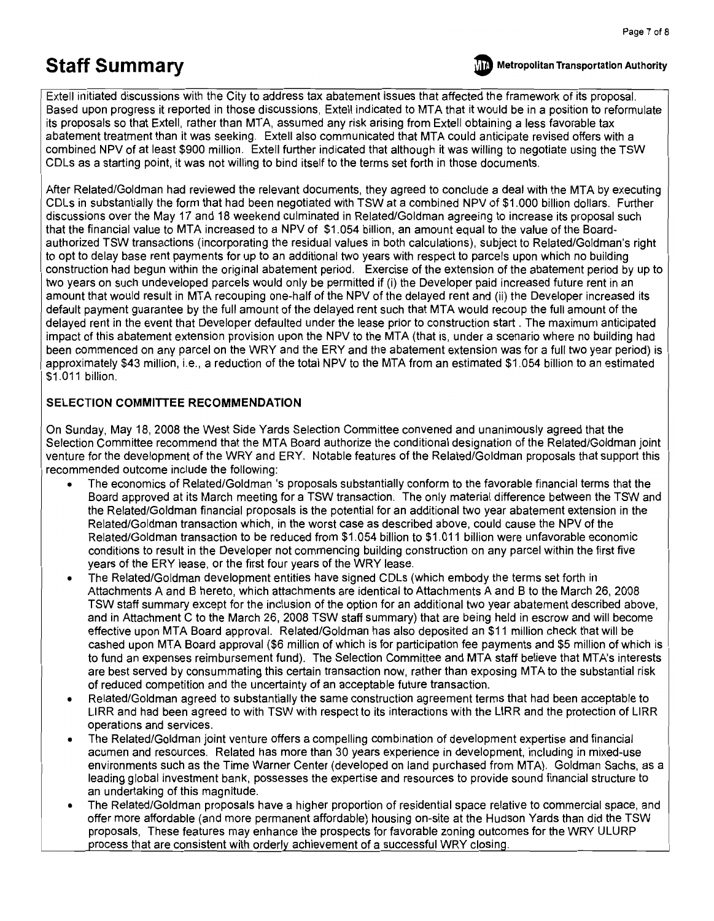

**Metropolitan Transportation Authority** 

Extell initiated discussions with the City to address tax abatement issues that affected the framework of its proposal. Based upon progress it reported in those discussions, Extell indicated to MTA that it would be in a position to reformulate its proposals so that Extell, rather than MTA, assumed any risk arising from Extell obtaining a less favorable tax abatement treatment than it was seeking. Extell also communicated that MTA could anticipate revised offers with a combined NPV of at least \$900 million. Extell further indicated that although it was willing to negotiate using the TSW CDLs as a starting point, it was not willing to bind itself to the terms set forth in those documents.

After Related/Goldman had reviewed the relevant documents, they agreed to conclude a deal with the MTA by executing CDLs in substantially the form that had been negotiated with TSW at a combined NPV of \$1.000 billion dollars. Further discussions over the May 17 and 18 weekend culminated in Related/Goldman agreeing to increase its proposal such that the financial value to MTA increased to a NPV of \$1.054 billion, an amount equal to the value of the Boardauthorized TSW transactions (incorporating the residual values in both calculations), subject to Related/Goldman's right to opt to delay base rent payments for up to an additional two years with respect to parcels upon which no building construction had begun within the original abatement period. Exercise of the extension of the abatement period by up to two years on such undeveloped parcels would only be permitted if (i) the Developer paid increased future rent in an amount that would result in MTA recouping one-half of the NPV of the delayed rent and (ii) the Developer increased its default payment quarantee by the full amount of the delayed rent such that MTA would recoup the full amount of the delayed rent in the event that Developer defaulted under the lease prior to construction start. The maximum anticipated impact of this abatement extension provision upon the NPV to the MTA (that is, under a scenario where no building had been commenced on any parcel on the WRY and the ERY and the abatement extension was for a full two year period) is approximately \$43 million, i.e., a reduction of the total NPV to the MTA from an estimated \$1.054 billion to an estimated \$1.011 billion.

#### SELECTION COMMITTEE RECOMMENDATION

On Sunday, May 18, 2008 the West Side Yards Selection Committee convened and unanimously agreed that the Selection Committee recommend that the MTA Board authorize the conditional designation of the Related/Goldman joint venture for the development of the WRY and ERY. Notable features of the Related/Goldman proposals that support this recommended outcome include the following:

- The economics of Related/Goldman 's proposals substantially conform to the favorable financial terms that the Board approved at its March meeting for a TSW transaction. The only material difference between the TSW and the Related/Goldman financial proposals is the potential for an additional two year abatement extension in the Related/Goldman transaction which, in the worst case as described above, could cause the NPV of the Related/Goldman transaction to be reduced from \$1.054 billion to \$1.011 billion were unfavorable economic conditions to result in the Developer not commencing building construction on any parcel within the first five years of the ERY lease, or the first four years of the WRY lease.
- The Related/Goldman development entities have signed CDLs (which embody the terms set forth in Attachments A and B hereto, which attachments are identical to Attachments A and B to the March 26, 2008 TSW staff summary except for the inclusion of the option for an additional two year abatement described above, and in Attachment C to the March 26, 2008 TSW staff summary) that are being held in escrow and will become effective upon MTA Board approval. Related/Goldman has also deposited an \$11 million check that will be cashed upon MTA Board approval (\$6 million of which is for participation fee payments and \$5 million of which is to fund an expenses reimbursement fund). The Selection Committee and MTA staff believe that MTA's interests are best served by consummating this certain transaction now, rather than exposing MTA to the substantial risk of reduced competition and the uncertainty of an acceptable future transaction.
- Related/Goldman agreed to substantially the same construction agreement terms that had been acceptable to LIRR and had been agreed to with TSW with respect to its interactions with the LIRR and the protection of LIRR operations and services.
- The Related/Goldman joint venture offers a compelling combination of development expertise and financial acumen and resources. Related has more than 30 years experience in development, including in mixed-use environments such as the Time Warner Center (developed on land purchased from MTA). Goldman Sachs, as a leading global investment bank, possesses the expertise and resources to provide sound financial structure to an undertaking of this magnitude.
- The Related/Goldman proposals have a higher proportion of residential space relative to commercial space, and offer more affordable (and more permanent affordable) housing on-site at the Hudson Yards than did the TSW proposals, These features may enhance the prospects for favorable zoning outcomes for the WRY ULURP process that are consistent with orderly achievement of a successful WRY closing.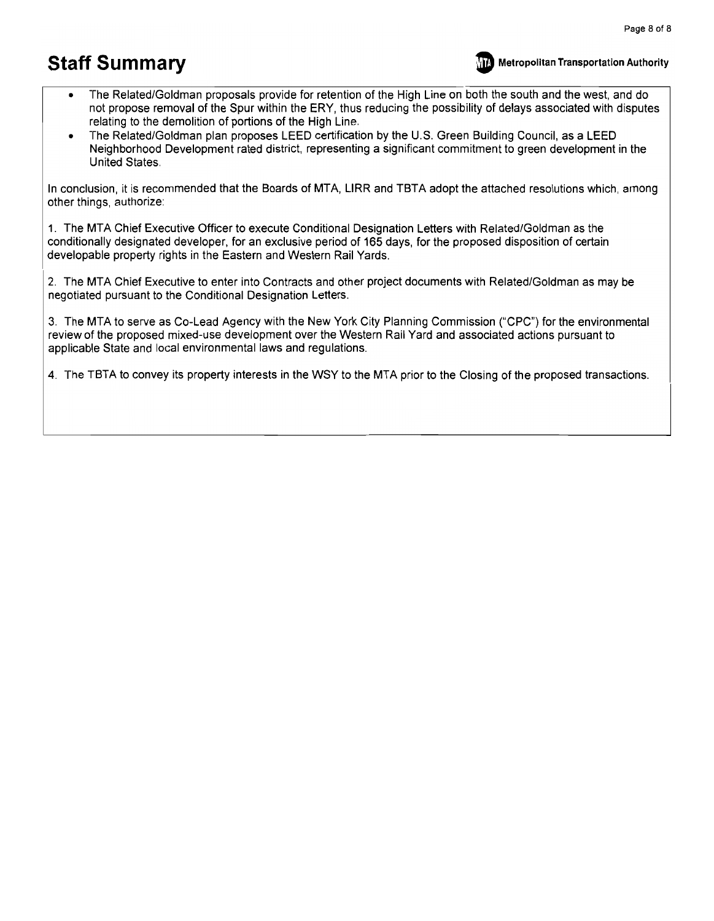

- The Related/Goldman proposals provide for retention of the High Line on both the south and the west, and do not propose removal of the Spur within the ERY, thus reducing the possibility of delays associated with disputes relating to the demolition of portions of the High Line.
- The Related/Goldman plan proposes LEED certification by the U.S. Green Building Council, as a LEED Neighborhood Development rated district, representing a significant commitment to green development in the United States.

In conclusion, it is recommended that the Boards of MTA, LIRR and TBTA adopt the attached resolutions which, among other things, authorize:

1. The MTA Chief Executive Officer to execute Conditional Designation Letters with Related/Goldman as the conditionally designated developer, for an exclusive period of 165 days, for the proposed disposition of certain developable property rights in the Eastern and Western Rail Yards.

2. The MTA Chief Executive to enter into Contracts and other project documents with Related/Goldman as may be negotiated pursuant to the Conditional Designation Letters.

3. The MTA to serve as Co-Lead Agency with the New York City Planning Commission ("CPC") for the environmental review of the proposed mixed-use development over the Western Rail Yard and associated actions pursuant to applicable State and local environmental laws and regulations.

4. The TBTA to convey its property interests in the WSY to the MTA prior to the Closing of the proposed transactions.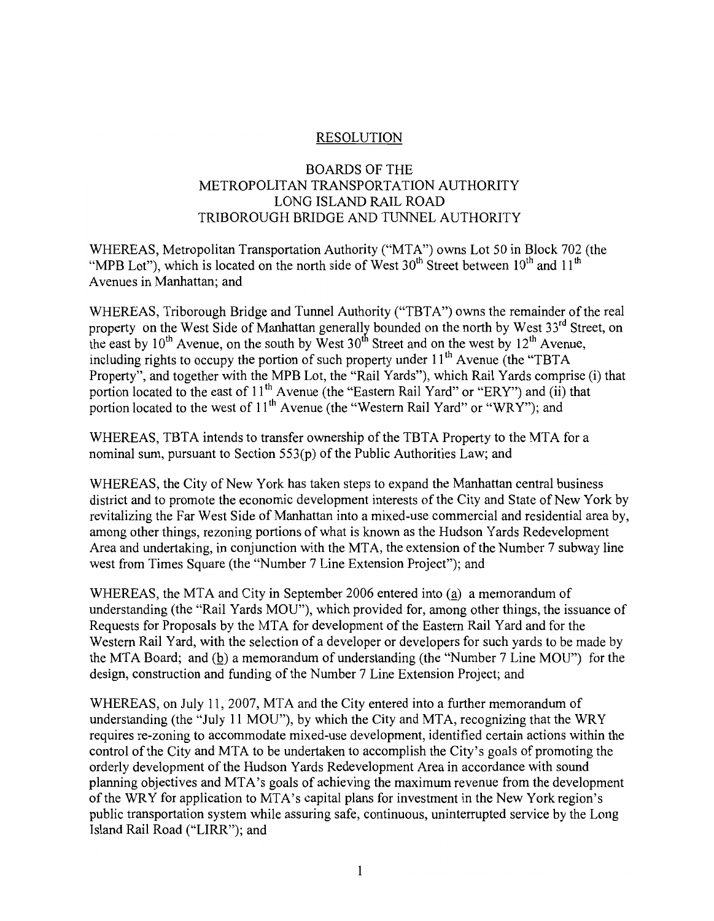## **RESOLUTION**

### **BOARDS OF THE** METROPOLITAN TRANSPORTATION AUTHORITY LONG ISLAND RAIL ROAD TRIBOROUGH BRIDGE AND TUNNEL AUTHORITY

WHEREAS, Metropolitan Transportation Authority ("MTA") owns Lot 50 in Block 702 (the "MPB Lot"), which is located on the north side of West 30<sup>th</sup> Street between 10<sup>th</sup> and 11<sup>th</sup> Avenues in Manhattan; and

WHEREAS, Triborough Bridge and Tunnel Authority ("TBTA") owns the remainder of the real property on the West Side of Manhattan generally bounded on the north by West 33<sup>rd</sup> Street, on the east by 10<sup>th</sup> Avenue, on the south by West 30<sup>th</sup> Street and on the west by 12<sup>th</sup> Avenue, including rights to occupy the portion of such property under 11<sup>th</sup> Avenue (the "TBTA Property", and together with the MPB Lot, the "Rail Yards"), which Rail Yards comprise (i) that portion located to the east of 11<sup>th</sup> Avenue (the "Eastern Rail Yard" or "ERY") and (ii) that portion located to the west of 11<sup>th</sup> Avenue (the "Western Rail Yard" or "WRY"); and

WHEREAS, TBTA intends to transfer ownership of the TBTA Property to the MTA for a nominal sum, pursuant to Section 553(p) of the Public Authorities Law; and

WHEREAS, the City of New York has taken steps to expand the Manhattan central business district and to promote the economic development interests of the City and State of New York by revitalizing the Far West Side of Manhattan into a mixed-use commercial and residential area by, among other things, rezoning portions of what is known as the Hudson Yards Redevelopment Area and undertaking, in conjunction with the MTA, the extension of the Number 7 subway line west from Times Square (the "Number 7 Line Extension Project"); and

WHEREAS, the MTA and City in September 2006 entered into (a) a memorandum of understanding (the "Rail Yards MOU"), which provided for, among other things, the issuance of Requests for Proposals by the MTA for development of the Eastern Rail Yard and for the Western Rail Yard, with the selection of a developer or developers for such vards to be made by the MTA Board; and  $(b)$  a memorandum of understanding (the "Number 7 Line MOU") for the design, construction and funding of the Number 7 Line Extension Project; and

WHEREAS, on July 11, 2007, MTA and the City entered into a further memorandum of understanding (the "July 11 MOU"), by which the City and MTA, recognizing that the WRY requires re-zoning to accommodate mixed-use development, identified certain actions within the control of the City and MTA to be undertaken to accomplish the City's goals of promoting the orderly development of the Hudson Yards Redevelopment Area in accordance with sound planning objectives and MTA's goals of achieving the maximum revenue from the development of the WRY for application to MTA's capital plans for investment in the New York region's public transportation system while assuring safe, continuous, uninterrupted service by the Long Island Rail Road ("LIRR"); and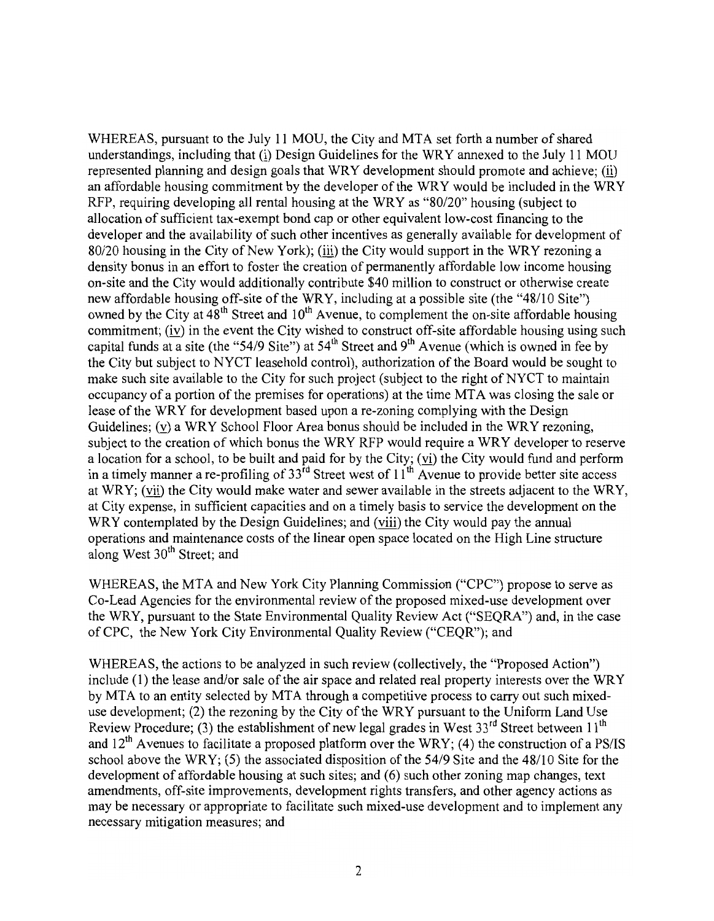WHEREAS, pursuant to the July 11 MOU, the City and MTA set forth a number of shared understandings, including that (i) Design Guidelines for the WRY annexed to the July 11 MOU represented planning and design goals that WRY development should promote and achieve; (ii) an affordable housing commitment by the developer of the WRY would be included in the WRY RFP, requiring developing all rental housing at the WRY as "80/20" housing (subject to allocation of sufficient tax-exempt bond cap or other equivalent low-cost financing to the developer and the availability of such other incentives as generally available for development of 80/20 housing in the City of New York); (iii) the City would support in the WRY rezoning a density bonus in an effort to foster the creation of permanently affordable low income housing on-site and the City would additionally contribute \$40 million to construct or otherwise create new affordable housing off-site of the WRY, including at a possible site (the "48/10 Site") owned by the City at  $48^{\text{th}}$  Street and  $10^{\text{th}}$  Avenue, to complement the on-site affordable housing commitment; (iv) in the event the City wished to construct off-site affordable housing using such capital funds at a site (the "54/9 Site") at  $54<sup>th</sup>$  Street and 9<sup>th</sup> Avenue (which is owned in fee by the City but subject to NYCT leasehold control), authorization of the Board would be sought to make such site available to the City for such project (subject to the right of NYCT to maintain occupancy of a portion of the premises for operations) at the time MTA was closing the sale or lease of the WRY for development based upon a re-zoning complying with the Design Guidelines; (v) a WRY School Floor Area bonus should be included in the WRY rezoning, subject to the creation of which bonus the WRY RFP would require a WRY developer to reserve a location for a school, to be built and paid for by the City; (vi) the City would fund and perform in a timely manner a re-profiling of  $33^{rd}$  Street west of  $11^{th}$  Avenue to provide better site access at WRY; (vii) the City would make water and sewer available in the streets adjacent to the WRY, at City expense, in sufficient capacities and on a timely basis to service the development on the WRY contemplated by the Design Guidelines; and (viii) the City would pay the annual operations and maintenance costs of the linear open space located on the High Line structure along West 30<sup>th</sup> Street; and

WHEREAS, the MTA and New York City Planning Commission ("CPC") propose to serve as Co-Lead Agencies for the environmental review of the proposed mixed-use development over the WRY, pursuant to the State Environmental Quality Review Act ("SEQRA") and, in the case of CPC, the New York City Environmental Quality Review ("CEQR"); and

WHEREAS, the actions to be analyzed in such review (collectively, the "Proposed Action") include (1) the lease and/or sale of the air space and related real property interests over the WRY by MTA to an entity selected by MTA through a competitive process to carry out such mixeduse development; (2) the rezoning by the City of the WRY pursuant to the Uniform Land Use Review Procedure; (3) the establishment of new legal grades in West 33<sup>rd</sup> Street between 11<sup>th</sup> and  $12<sup>th</sup>$  Avenues to facilitate a proposed platform over the WRY; (4) the construction of a PS/IS school above the WRY; (5) the associated disposition of the  $54/9$  Site and the  $48/10$  Site for the development of affordable housing at such sites; and (6) such other zoning map changes, text amendments, off-site improvements, development rights transfers, and other agency actions as may be necessary or appropriate to facilitate such mixed-use development and to implement any necessary mitigation measures; and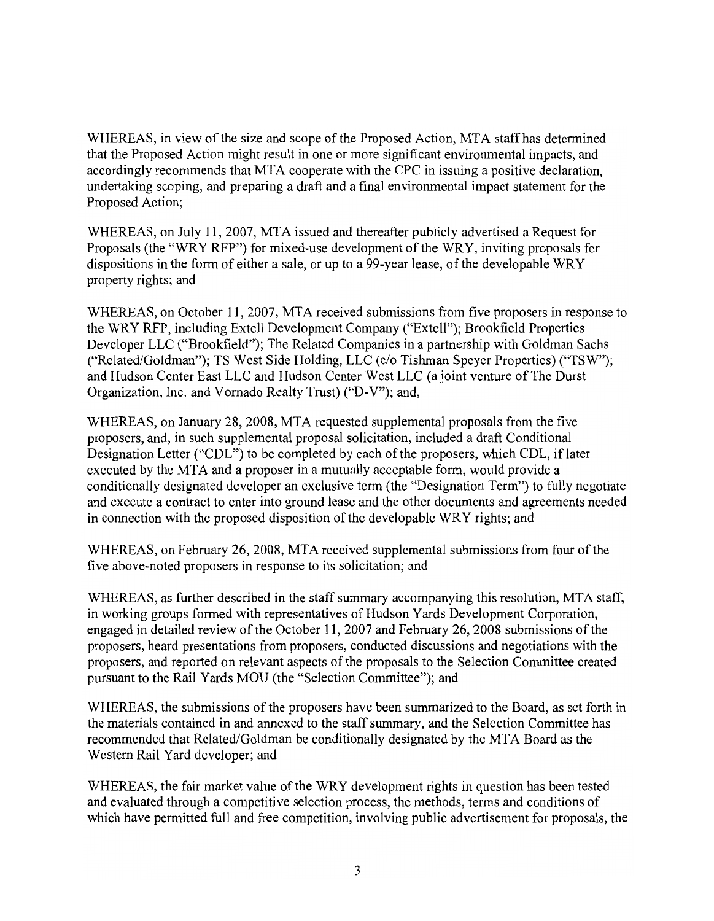WHEREAS, in view of the size and scope of the Proposed Action, MTA staff has determined that the Proposed Action might result in one or more significant environmental impacts, and accordingly recommends that MTA cooperate with the CPC in issuing a positive declaration. undertaking scoping, and preparing a draft and a final environmental impact statement for the Proposed Action;

WHEREAS, on July 11, 2007, MTA issued and thereafter publicly advertised a Request for Proposals (the "WRY RFP") for mixed-use development of the WRY, inviting proposals for dispositions in the form of either a sale, or up to a 99-year lease, of the developable WRY property rights; and

WHEREAS, on October 11, 2007, MTA received submissions from five proposers in response to the WRY RFP, including Extell Development Company ("Extell"); Brookfield Properties Developer LLC ("Brookfield"); The Related Companies in a partnership with Goldman Sachs ("Related/Goldman"); TS West Side Holding, LLC (c/o Tishman Speyer Properties) ("TSW"); and Hudson Center East LLC and Hudson Center West LLC (a joint venture of The Durst Organization, Inc. and Vornado Realty Trust) ("D-V"); and,

WHEREAS, on January 28, 2008, MTA requested supplemental proposals from the five proposers, and, in such supplemental proposal solicitation, included a draft Conditional Designation Letter ("CDL") to be completed by each of the proposers, which CDL, if later executed by the MTA and a proposer in a mutually acceptable form, would provide a conditionally designated developer an exclusive term (the "Designation Term") to fully negotiate and execute a contract to enter into ground lease and the other documents and agreements needed in connection with the proposed disposition of the developable WRY rights; and

WHEREAS, on February 26, 2008, MTA received supplemental submissions from four of the five above-noted proposers in response to its solicitation; and

WHEREAS, as further described in the staff summary accompanying this resolution, MTA staff, in working groups formed with representatives of Hudson Yards Development Corporation, engaged in detailed review of the October 11, 2007 and February 26, 2008 submissions of the proposers, heard presentations from proposers, conducted discussions and negotiations with the proposers, and reported on relevant aspects of the proposals to the Selection Committee created pursuant to the Rail Yards MOU (the "Selection Committee"); and

WHEREAS, the submissions of the proposers have been summarized to the Board, as set forth in the materials contained in and annexed to the staff summary, and the Selection Committee has recommended that Related/Goldman be conditionally designated by the MTA Board as the Western Rail Yard developer; and

WHEREAS, the fair market value of the WRY development rights in question has been tested and evaluated through a competitive selection process, the methods, terms and conditions of which have permitted full and free competition, involving public advertisement for proposals, the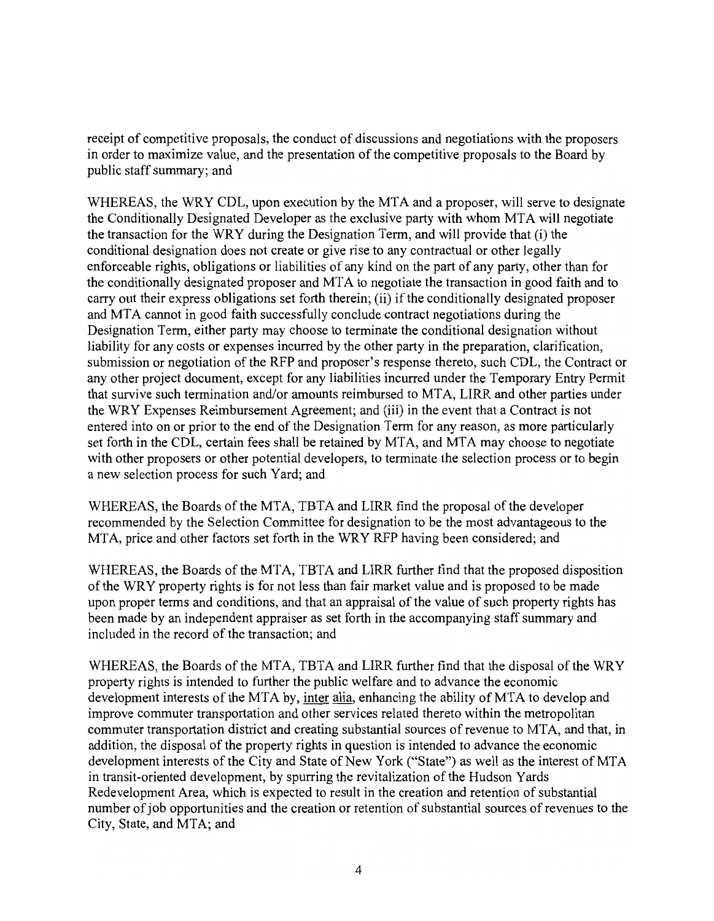receipt of competitive proposals, the conduct of discussions and negotiations with the proposers in order to maximize value, and the presentation of the competitive proposals to the Board by public staff summary; and

WHEREAS, the WRY CDL, upon execution by the MTA and a proposer, will serve to designate the Conditionally Designated Developer as the exclusive party with whom MTA will negotiate the transaction for the WRY during the Designation Term, and will provide that (i) the conditional designation does not create or give rise to any contractual or other legally enforceable rights, obligations or liabilities of any kind on the part of any party, other than for the conditionally designated proposer and MTA to negotiate the transaction in good faith and to carry out their express obligations set forth therein; (ii) if the conditionally designated proposer and MTA cannot in good faith successfully conclude contract negotiations during the Designation Term, either party may choose to terminate the conditional designation without liability for any costs or expenses incurred by the other party in the preparation, clarification, submission or negotiation of the RFP and proposer's response thereto, such CDL, the Contract or any other project document, except for any liabilities incurred under the Temporary Entry Permit that survive such termination and/or amounts reimbursed to MTA, LIRR and other parties under the WRY Expenses Reimbursement Agreement; and (iii) in the event that a Contract is not entered into on or prior to the end of the Designation Term for any reason, as more particularly set forth in the CDL, certain fees shall be retained by MTA, and MTA may choose to negotiate with other proposers or other potential developers, to terminate the selection process or to begin a new selection process for such Yard; and

WHEREAS, the Boards of the MTA, TBTA and LIRR find the proposal of the developer recommended by the Selection Committee for designation to be the most advantageous to the MTA, price and other factors set forth in the WRY RFP having been considered; and

WHEREAS, the Boards of the MTA, TBTA and LIRR further find that the proposed disposition of the WRY property rights is for not less than fair market value and is proposed to be made upon proper terms and conditions, and that an appraisal of the value of such property rights has been made by an independent appraiser as set forth in the accompanying staff summary and included in the record of the transaction; and

WHEREAS, the Boards of the MTA, TBTA and LIRR further find that the disposal of the WRY property rights is intended to further the public welfare and to advance the economic development interests of the MTA by, inter alia, enhancing the ability of MTA to develop and improve commuter transportation and other services related thereto within the metropolitan commuter transportation district and creating substantial sources of revenue to MTA, and that, in addition, the disposal of the property rights in question is intended to advance the economic development interests of the City and State of New York ("State") as well as the interest of MTA in transit-oriented development, by spurring the revitalization of the Hudson Yards Redevelopment Area, which is expected to result in the creation and retention of substantial number of job opportunities and the creation or retention of substantial sources of revenues to the City, State, and MTA; and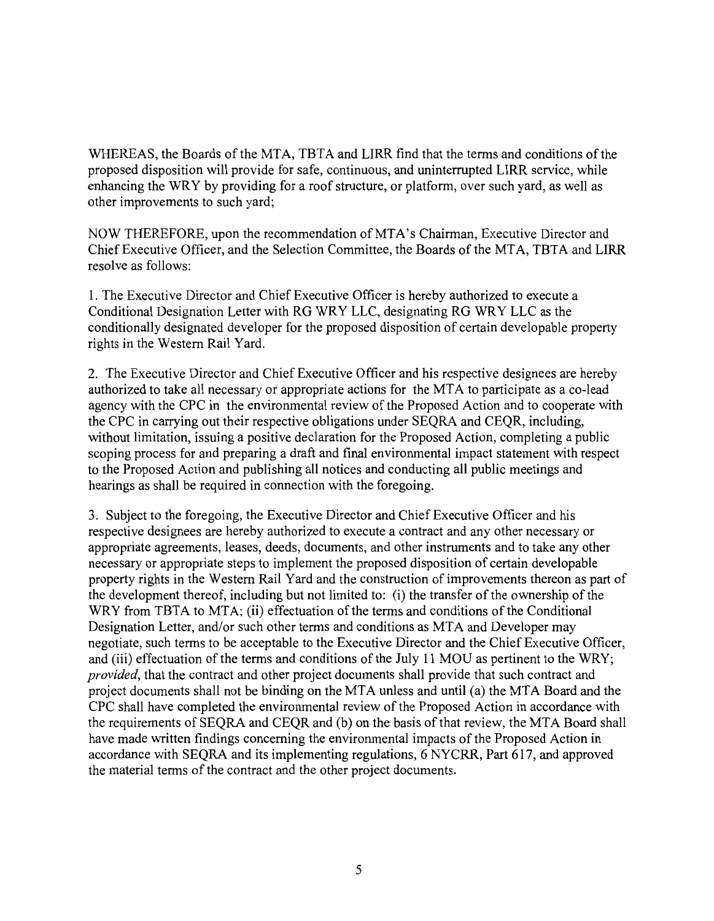WHEREAS, the Boards of the MTA, TBTA and LIRR find that the terms and conditions of the proposed disposition will provide for safe, continuous, and uninterrupted LIRR service, while enhancing the WRY by providing for a roof structure, or platform, over such yard, as well as other improvements to such yard;

NOW THEREFORE, upon the recommendation of MTA's Chairman, Executive Director and Chief Executive Officer, and the Selection Committee, the Boards of the MTA, TBTA and LIRR resolve as follows:

1. The Executive Director and Chief Executive Officer is hereby authorized to execute a Conditional Designation Letter with RG WRY LLC, designating RG WRY LLC as the conditionally designated developer for the proposed disposition of certain developable property rights in the Western Rail Yard.

2. The Executive Director and Chief Executive Officer and his respective designees are hereby authorized to take all necessary or appropriate actions for the MTA to participate as a co-lead agency with the CPC in the environmental review of the Proposed Action and to cooperate with the CPC in carrying out their respective obligations under SEQRA and CEQR, including, without limitation, issuing a positive declaration for the Proposed Action, completing a public scoping process for and preparing a draft and final environmental impact statement with respect to the Proposed Action and publishing all notices and conducting all public meetings and hearings as shall be required in connection with the foregoing.

3. Subject to the foregoing, the Executive Director and Chief Executive Officer and his respective designees are hereby authorized to execute a contract and any other necessary or appropriate agreements, leases, deeds, documents, and other instruments and to take any other necessary or appropriate steps to implement the proposed disposition of certain developable property rights in the Western Rail Yard and the construction of improvements thereon as part of the development thereof, including but not limited to: (i) the transfer of the ownership of the WRY from TBTA to MTA; (ii) effectuation of the terms and conditions of the Conditional Designation Letter, and/or such other terms and conditions as MTA and Developer may negotiate, such terms to be acceptable to the Executive Director and the Chief Executive Officer, and (iii) effectuation of the terms and conditions of the July 11 MOU as pertinent to the WRY; provided, that the contract and other project documents shall provide that such contract and project documents shall not be binding on the MTA unless and until (a) the MTA Board and the CPC shall have completed the environmental review of the Proposed Action in accordance with the requirements of SEQRA and CEQR and (b) on the basis of that review, the MTA Board shall have made written findings concerning the environmental impacts of the Proposed Action in accordance with SEQRA and its implementing regulations, 6 NYCRR, Part 617, and approved the material terms of the contract and the other project documents.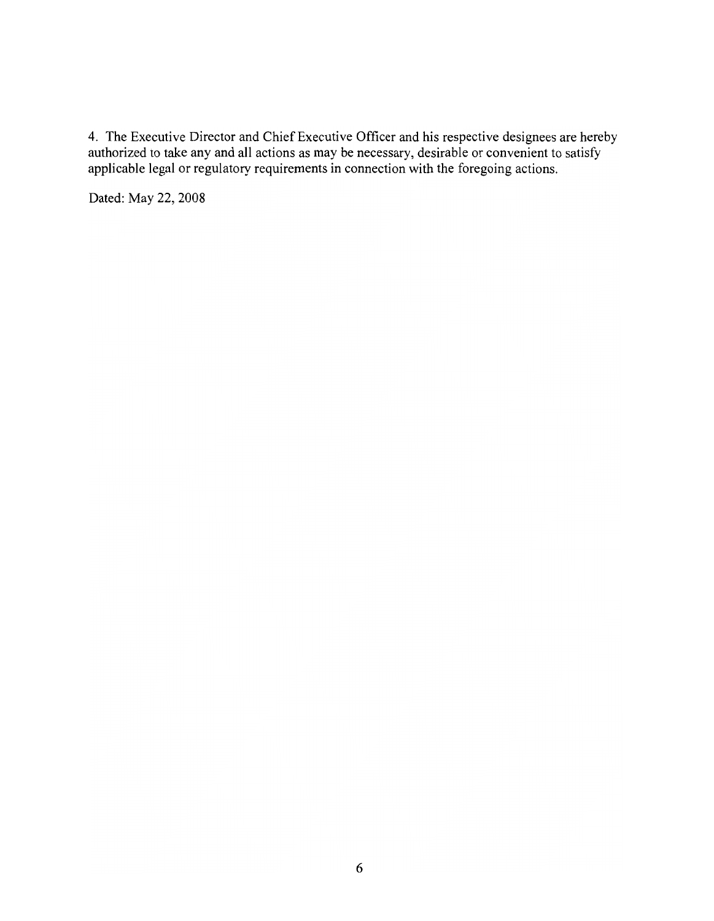4. The Executive Director and Chief Executive Officer and his respective designees are hereby authorized to take any and all actions as may be necessary, desirable or convenient to satisfy applicable legal or regulatory re

Dated: May 22, 2008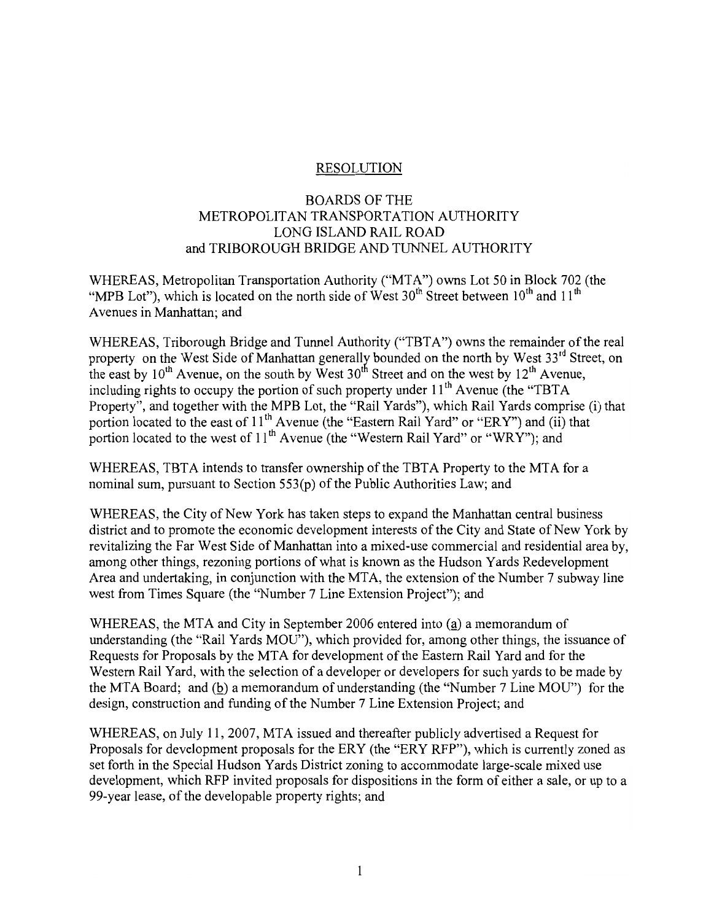### **RESOLUTION**

## **BOARDS OF THE** METROPOLITAN TRANSPORTATION AUTHORITY LONG ISLAND RAIL ROAD and TRIBOROUGH BRIDGE AND TUNNEL AUTHORITY

WHEREAS, Metropolitan Transportation Authority ("MTA") owns Lot 50 in Block 702 (the "MPB Lot"), which is located on the north side of West 30<sup>th</sup> Street between 10<sup>th</sup> and 11<sup>th</sup> Avenues in Manhattan; and

WHEREAS, Triborough Bridge and Tunnel Authority ("TBTA") owns the remainder of the real property on the West Side of Manhattan generally bounded on the north by West 33<sup>rd</sup> Street, on the east by 10<sup>th</sup> Avenue, on the south by West 30<sup>th</sup> Street and on the west by 12<sup>th</sup> Avenue, including rights to occupy the portion of such property under  $11<sup>th</sup>$  Avenue (the "TBTA Property", and together with the MPB Lot, the "Rail Yards"), which Rail Yards comprise (i) that portion located to the east of 11<sup>th</sup> Avenue (the "Eastern Rail Yard" or "ERY") and (ii) that portion located to the west of  $11<sup>th</sup>$  Avenue (the "Western Rail Yard" or "WRY"); and

WHEREAS, TBTA intends to transfer ownership of the TBTA Property to the MTA for a nominal sum, pursuant to Section 553(p) of the Public Authorities Law; and

WHEREAS, the City of New York has taken steps to expand the Manhattan central business district and to promote the economic development interests of the City and State of New York by revitalizing the Far West Side of Manhattan into a mixed-use commercial and residential area by, among other things, rezoning portions of what is known as the Hudson Yards Redevelopment Area and undertaking, in conjunction with the MTA, the extension of the Number 7 subway line west from Times Square (the "Number 7 Line Extension Project"); and

WHEREAS, the MTA and City in September 2006 entered into (a) a memorandum of understanding (the "Rail Yards MOU"), which provided for, among other things, the issuance of Requests for Proposals by the MTA for development of the Eastern Rail Yard and for the Western Rail Yard, with the selection of a developer or developers for such yards to be made by the MTA Board; and (b) a memorandum of understanding (the "Number 7 Line MOU") for the design, construction and funding of the Number 7 Line Extension Project; and

WHEREAS, on July 11, 2007, MTA issued and thereafter publicly advertised a Request for Proposals for development proposals for the ERY (the "ERY RFP"), which is currently zoned as set forth in the Special Hudson Yards District zoning to accommodate large-scale mixed use development, which RFP invited proposals for dispositions in the form of either a sale, or up to a 99-year lease, of the developable property rights; and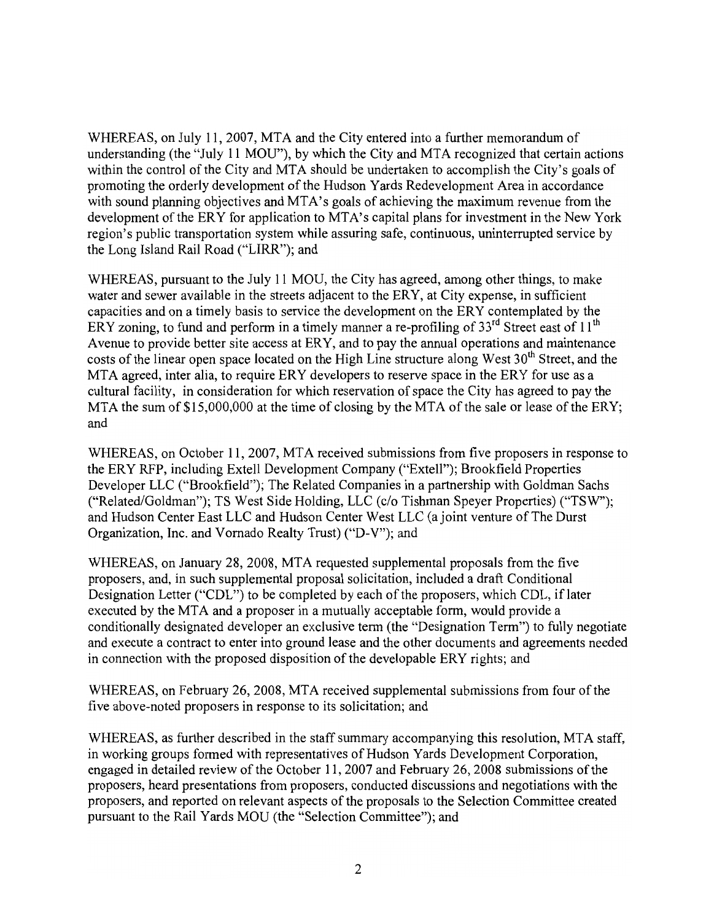WHEREAS, on July 11, 2007, MTA and the City entered into a further memorandum of understanding (the "July 11 MOU"), by which the City and MTA recognized that certain actions within the control of the City and MTA should be undertaken to accomplish the City's goals of promoting the orderly development of the Hudson Yards Redevelopment Area in accordance with sound planning objectives and MTA's goals of achieving the maximum revenue from the development of the ERY for application to MTA's capital plans for investment in the New York region's public transportation system while assuring safe, continuous, uninterrupted service by the Long Island Rail Road ("LIRR"); and

WHEREAS, pursuant to the July 11 MOU, the City has agreed, among other things, to make water and sewer available in the streets adjacent to the ERY, at City expense, in sufficient capacities and on a timely basis to service the development on the ERY contemplated by the ERY zoning, to fund and perform in a timely manner a re-profiling of 33<sup>rd</sup> Street east of 11<sup>th</sup> Avenue to provide better site access at ERY, and to pay the annual operations and maintenance costs of the linear open space located on the High Line structure along West 30<sup>th</sup> Street, and the MTA agreed, inter alia, to require ERY developers to reserve space in the ERY for use as a cultural facility, in consideration for which reservation of space the City has agreed to pay the MTA the sum of \$15,000,000 at the time of closing by the MTA of the sale or lease of the ERY; and

WHEREAS, on October 11, 2007, MTA received submissions from five proposers in response to the ERY RFP, including Extell Development Company ("Extell"); Brookfield Properties Developer LLC ("Brookfield"); The Related Companies in a partnership with Goldman Sachs ("Related/Goldman"); TS West Side Holding, LLC (c/o Tishman Speyer Properties) ("TSW"); and Hudson Center East LLC and Hudson Center West LLC (a joint venture of The Durst Organization, Inc. and Vornado Realty Trust) ("D-V"); and

WHEREAS, on January 28, 2008, MTA requested supplemental proposals from the five proposers, and, in such supplemental proposal solicitation, included a draft Conditional Designation Letter ("CDL") to be completed by each of the proposers, which CDL, if later executed by the MTA and a proposer in a mutually acceptable form, would provide a conditionally designated developer an exclusive term (the "Designation Term") to fully negotiate and execute a contract to enter into ground lease and the other documents and agreements needed in connection with the proposed disposition of the developable ERY rights; and

WHEREAS, on February 26, 2008, MTA received supplemental submissions from four of the five above-noted proposers in response to its solicitation; and

WHEREAS, as further described in the staff summary accompanying this resolution, MTA staff, in working groups formed with representatives of Hudson Yards Development Corporation, engaged in detailed review of the October 11, 2007 and February 26, 2008 submissions of the proposers, heard presentations from proposers, conducted discussions and negotiations with the proposers, and reported on relevant aspects of the proposals to the Selection Committee created pursuant to the Rail Yards MOU (the "Selection Committee"); and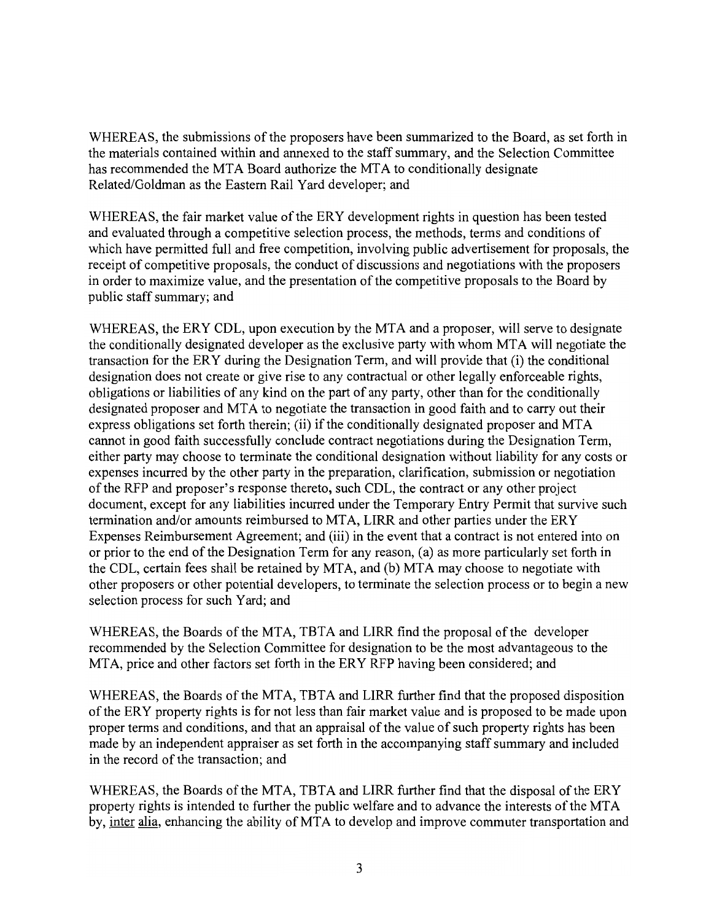WHEREAS, the submissions of the proposers have been summarized to the Board, as set forth in the materials contained within and annexed to the staff summary, and the Selection Committee has recommended the MTA Board authorize the MTA to conditionally designate Related/Goldman as the Eastern Rail Yard developer; and

WHEREAS, the fair market value of the ERY development rights in question has been tested and evaluated through a competitive selection process, the methods, terms and conditions of which have permitted full and free competition, involving public advertisement for proposals, the receipt of competitive proposals, the conduct of discussions and negotiations with the proposers in order to maximize value, and the presentation of the competitive proposals to the Board by public staff summary; and

WHEREAS, the ERY CDL, upon execution by the MTA and a proposer, will serve to designate the conditionally designated developer as the exclusive party with whom MTA will negotiate the transaction for the ERY during the Designation Term, and will provide that (i) the conditional designation does not create or give rise to any contractual or other legally enforceable rights, obligations or liabilities of any kind on the part of any party, other than for the conditionally designated proposer and MTA to negotiate the transaction in good faith and to carry out their express obligations set forth therein; (ii) if the conditionally designated proposer and MTA cannot in good faith successfully conclude contract negotiations during the Designation Term, either party may choose to terminate the conditional designation without liability for any costs or expenses incurred by the other party in the preparation, clarification, submission or negotiation of the RFP and proposer's response thereto, such CDL, the contract or any other project document, except for any liabilities incurred under the Temporary Entry Permit that survive such termination and/or amounts reimbursed to MTA, LIRR and other parties under the ERY Expenses Reimbursement Agreement; and (iii) in the event that a contract is not entered into on or prior to the end of the Designation Term for any reason, (a) as more particularly set forth in the CDL, certain fees shall be retained by MTA, and (b) MTA may choose to negotiate with other proposers or other potential developers, to terminate the selection process or to begin a new selection process for such Yard; and

WHEREAS, the Boards of the MTA, TBTA and LIRR find the proposal of the developer recommended by the Selection Committee for designation to be the most advantageous to the MTA, price and other factors set forth in the ERY RFP having been considered; and

WHEREAS, the Boards of the MTA, TBTA and LIRR further find that the proposed disposition of the ERY property rights is for not less than fair market value and is proposed to be made upon proper terms and conditions, and that an appraisal of the value of such property rights has been made by an independent appraiser as set forth in the accompanying staff summary and included in the record of the transaction; and

WHEREAS, the Boards of the MTA, TBTA and LIRR further find that the disposal of the ERY property rights is intended to further the public welfare and to advance the interests of the MTA by, inter alia, enhancing the ability of MTA to develop and improve commuter transportation and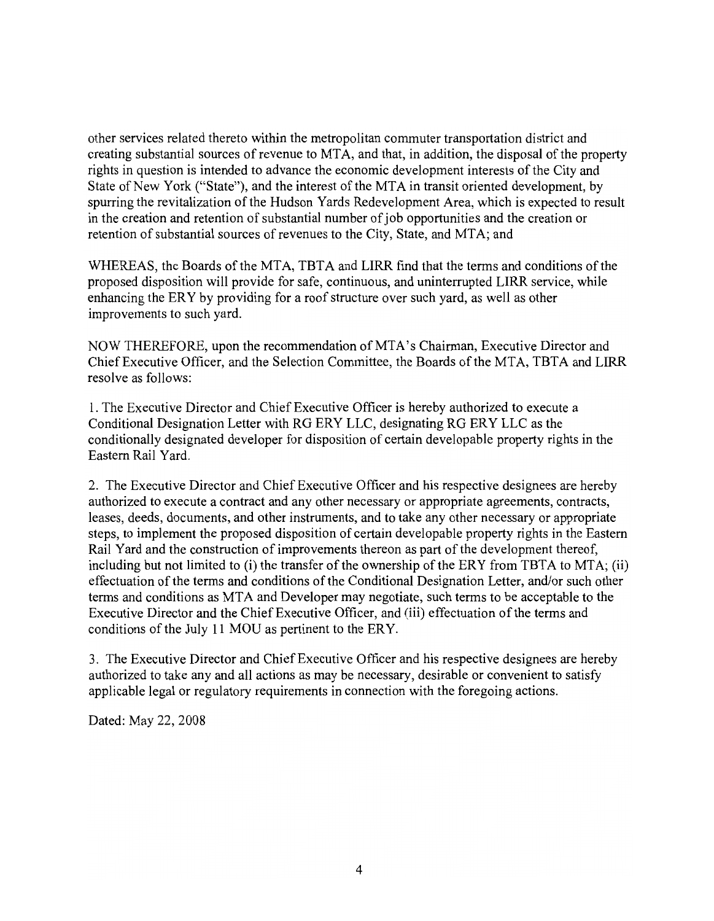other services related thereto within the metropolitan commuter transportation district and creating substantial sources of revenue to MTA, and that, in addition, the disposal of the property rights in question is intended to advance the economic development interests of the City and State of New York ("State"), and the interest of the MTA in transit oriented development, by spurring the revitalization of the Hudson Yards Redevelopment Area, which is expected to result in the creation and retention of substantial number of job opportunities and the creation or retention of substantial sources of revenues to the City, State, and MTA; and

WHEREAS, the Boards of the MTA, TBTA and LIRR find that the terms and conditions of the proposed disposition will provide for safe, continuous, and uninterrupted LIRR service, while enhancing the ERY by providing for a roof structure over such yard, as well as other improvements to such yard.

NOW THEREFORE, upon the recommendation of MTA's Chairman, Executive Director and Chief Executive Officer, and the Selection Committee, the Boards of the MTA, TBTA and LIRR resolve as follows:

1. The Executive Director and Chief Executive Officer is hereby authorized to execute a Conditional Designation Letter with RG ERY LLC, designating RG ERY LLC as the conditionally designated developer for disposition of certain developable property rights in the Eastern Rail Yard.

2. The Executive Director and Chief Executive Officer and his respective designees are hereby authorized to execute a contract and any other necessary or appropriate agreements, contracts, leases, deeds, documents, and other instruments, and to take any other necessary or appropriate steps, to implement the proposed disposition of certain developable property rights in the Eastern Rail Yard and the construction of improvements thereon as part of the development thereof, including but not limited to (i) the transfer of the ownership of the ERY from TBTA to MTA; (ii) effectuation of the terms and conditions of the Conditional Designation Letter, and/or such other terms and conditions as MTA and Developer may negotiate, such terms to be acceptable to the Executive Director and the Chief Executive Officer, and (iii) effectuation of the terms and conditions of the July 11 MOU as pertinent to the ERY.

3. The Executive Director and Chief Executive Officer and his respective designees are hereby authorized to take any and all actions as may be necessary, desirable or convenient to satisfy applicable legal or regulatory requirements in connection with the foregoing actions.

Dated: May 22, 2008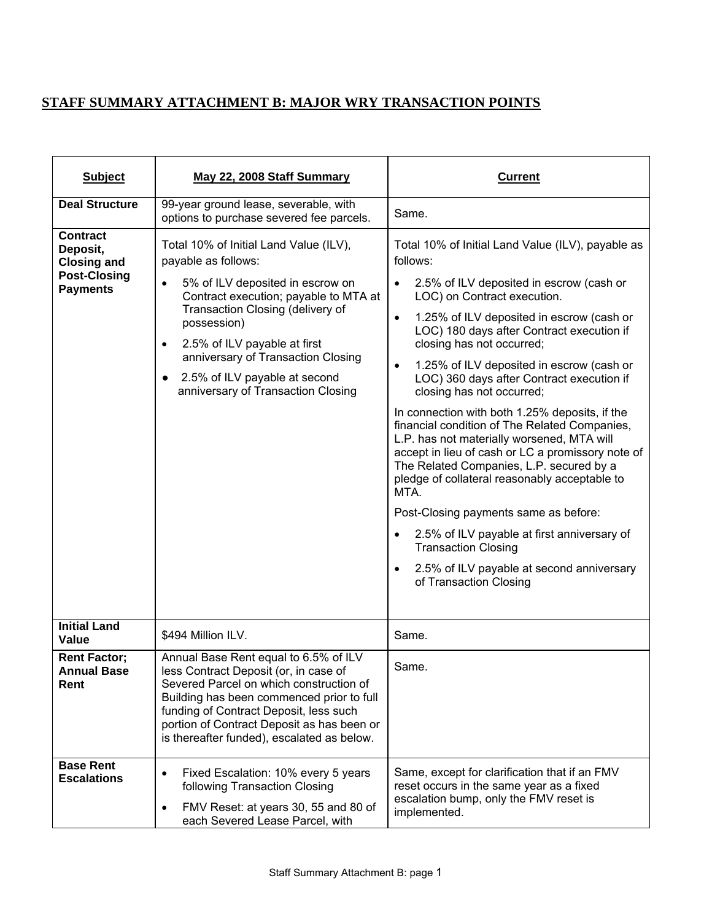## **STAFF SUMMARY ATTACHMENT B: MAJOR WRY TRANSACTION POINTS**

| <b>Subject</b>                                                                              | May 22, 2008 Staff Summary                                                                                                                                                                                                                                                                                                                                        | <b>Current</b>                                                                                                                                                                                                                                                                                                                                                                                                                                                                                                                                                                                                                                                                                                                                                                                                                                                                                                                                                  |
|---------------------------------------------------------------------------------------------|-------------------------------------------------------------------------------------------------------------------------------------------------------------------------------------------------------------------------------------------------------------------------------------------------------------------------------------------------------------------|-----------------------------------------------------------------------------------------------------------------------------------------------------------------------------------------------------------------------------------------------------------------------------------------------------------------------------------------------------------------------------------------------------------------------------------------------------------------------------------------------------------------------------------------------------------------------------------------------------------------------------------------------------------------------------------------------------------------------------------------------------------------------------------------------------------------------------------------------------------------------------------------------------------------------------------------------------------------|
| <b>Deal Structure</b>                                                                       | 99-year ground lease, severable, with<br>options to purchase severed fee parcels.                                                                                                                                                                                                                                                                                 | Same.                                                                                                                                                                                                                                                                                                                                                                                                                                                                                                                                                                                                                                                                                                                                                                                                                                                                                                                                                           |
| <b>Contract</b><br>Deposit,<br><b>Closing and</b><br><b>Post-Closing</b><br><b>Payments</b> | Total 10% of Initial Land Value (ILV),<br>payable as follows:<br>5% of ILV deposited in escrow on<br>٠<br>Contract execution; payable to MTA at<br>Transaction Closing (delivery of<br>possession)<br>2.5% of ILV payable at first<br>$\bullet$<br>anniversary of Transaction Closing<br>2.5% of ILV payable at second<br>٠<br>anniversary of Transaction Closing | Total 10% of Initial Land Value (ILV), payable as<br>follows:<br>2.5% of ILV deposited in escrow (cash or<br>$\bullet$<br>LOC) on Contract execution.<br>1.25% of ILV deposited in escrow (cash or<br>$\bullet$<br>LOC) 180 days after Contract execution if<br>closing has not occurred;<br>1.25% of ILV deposited in escrow (cash or<br>$\bullet$<br>LOC) 360 days after Contract execution if<br>closing has not occurred;<br>In connection with both 1.25% deposits, if the<br>financial condition of The Related Companies,<br>L.P. has not materially worsened, MTA will<br>accept in lieu of cash or LC a promissory note of<br>The Related Companies, L.P. secured by a<br>pledge of collateral reasonably acceptable to<br>MTA.<br>Post-Closing payments same as before:<br>2.5% of ILV payable at first anniversary of<br>$\bullet$<br><b>Transaction Closing</b><br>2.5% of ILV payable at second anniversary<br>$\bullet$<br>of Transaction Closing |
| <b>Initial Land</b><br><b>Value</b>                                                         | \$494 Million ILV.                                                                                                                                                                                                                                                                                                                                                | Same.                                                                                                                                                                                                                                                                                                                                                                                                                                                                                                                                                                                                                                                                                                                                                                                                                                                                                                                                                           |
| <b>Rent Factor;</b><br><b>Annual Base</b><br>Rent                                           | Annual Base Rent equal to 6.5% of ILV<br>less Contract Deposit (or, in case of<br>Severed Parcel on which construction of<br>Building has been commenced prior to full<br>funding of Contract Deposit, less such<br>portion of Contract Deposit as has been or<br>is thereafter funded), escalated as below.                                                      | Same.                                                                                                                                                                                                                                                                                                                                                                                                                                                                                                                                                                                                                                                                                                                                                                                                                                                                                                                                                           |
| <b>Base Rent</b><br><b>Escalations</b>                                                      | Fixed Escalation: 10% every 5 years<br>٠<br>following Transaction Closing<br>FMV Reset: at years 30, 55 and 80 of<br>$\bullet$<br>each Severed Lease Parcel, with                                                                                                                                                                                                 | Same, except for clarification that if an FMV<br>reset occurs in the same year as a fixed<br>escalation bump, only the FMV reset is<br>implemented.                                                                                                                                                                                                                                                                                                                                                                                                                                                                                                                                                                                                                                                                                                                                                                                                             |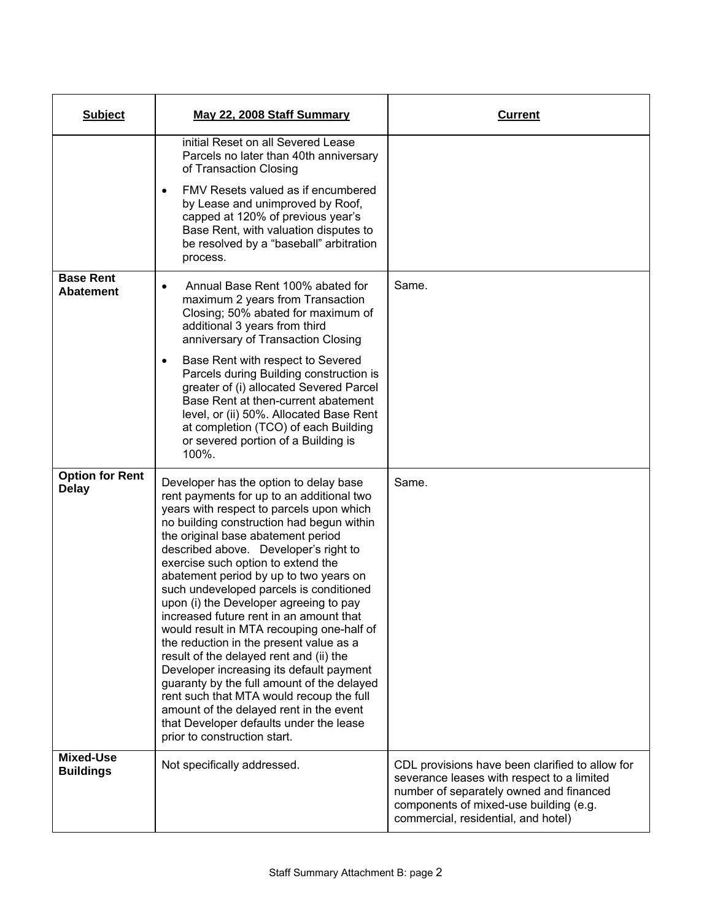| <b>Subject</b>                         | May 22, 2008 Staff Summary                                                                                                                                                                                                                                                                                                                                                                                                                                                                                                                                                                                                                                                                                                                                                                                                                                                 | <b>Current</b>                                                                                                                                                                                                            |
|----------------------------------------|----------------------------------------------------------------------------------------------------------------------------------------------------------------------------------------------------------------------------------------------------------------------------------------------------------------------------------------------------------------------------------------------------------------------------------------------------------------------------------------------------------------------------------------------------------------------------------------------------------------------------------------------------------------------------------------------------------------------------------------------------------------------------------------------------------------------------------------------------------------------------|---------------------------------------------------------------------------------------------------------------------------------------------------------------------------------------------------------------------------|
|                                        | initial Reset on all Severed Lease<br>Parcels no later than 40th anniversary<br>of Transaction Closing<br>FMV Resets valued as if encumbered<br>$\bullet$<br>by Lease and unimproved by Roof,<br>capped at 120% of previous year's<br>Base Rent, with valuation disputes to<br>be resolved by a "baseball" arbitration<br>process.                                                                                                                                                                                                                                                                                                                                                                                                                                                                                                                                         |                                                                                                                                                                                                                           |
| <b>Base Rent</b><br><b>Abatement</b>   | Annual Base Rent 100% abated for<br>maximum 2 years from Transaction<br>Closing; 50% abated for maximum of<br>additional 3 years from third<br>anniversary of Transaction Closing<br>Base Rent with respect to Severed<br>٠<br>Parcels during Building construction is<br>greater of (i) allocated Severed Parcel<br>Base Rent at then-current abatement<br>level, or (ii) 50%. Allocated Base Rent<br>at completion (TCO) of each Building<br>or severed portion of a Building is<br>100%.                                                                                                                                                                                                                                                                                                                                                                                | Same.                                                                                                                                                                                                                     |
| <b>Option for Rent</b><br><b>Delay</b> | Developer has the option to delay base<br>rent payments for up to an additional two<br>years with respect to parcels upon which<br>no building construction had begun within<br>the original base abatement period<br>described above. Developer's right to<br>exercise such option to extend the<br>abatement period by up to two years on<br>such undeveloped parcels is conditioned<br>upon (i) the Developer agreeing to pay<br>increased future rent in an amount that<br>would result in MTA recouping one-half of<br>the reduction in the present value as a<br>result of the delayed rent and (ii) the<br>Developer increasing its default payment<br>guaranty by the full amount of the delayed<br>rent such that MTA would recoup the full<br>amount of the delayed rent in the event<br>that Developer defaults under the lease<br>prior to construction start. | Same.                                                                                                                                                                                                                     |
| <b>Mixed-Use</b><br><b>Buildings</b>   | Not specifically addressed.                                                                                                                                                                                                                                                                                                                                                                                                                                                                                                                                                                                                                                                                                                                                                                                                                                                | CDL provisions have been clarified to allow for<br>severance leases with respect to a limited<br>number of separately owned and financed<br>components of mixed-use building (e.g.<br>commercial, residential, and hotel) |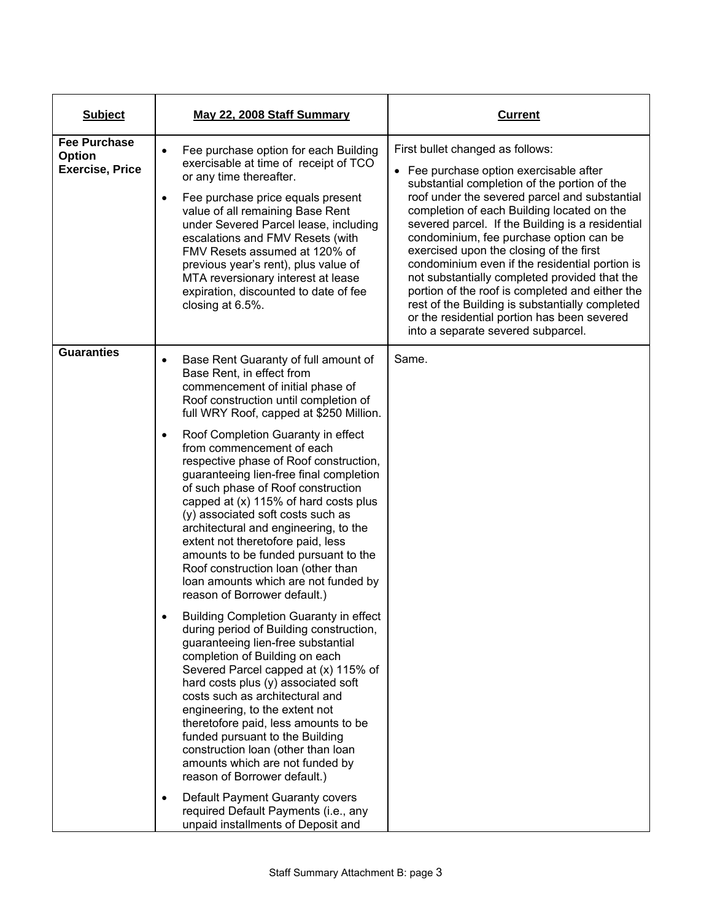| <b>Subject</b>                                          | May 22, 2008 Staff Summary                                                                                                                                                                                                                                                                                                                                                                                                                                                                                                | <b>Current</b>                                                                                                                                                                                                                                                                                                                                                                                                                                                                                                                                                                                                                                                     |
|---------------------------------------------------------|---------------------------------------------------------------------------------------------------------------------------------------------------------------------------------------------------------------------------------------------------------------------------------------------------------------------------------------------------------------------------------------------------------------------------------------------------------------------------------------------------------------------------|--------------------------------------------------------------------------------------------------------------------------------------------------------------------------------------------------------------------------------------------------------------------------------------------------------------------------------------------------------------------------------------------------------------------------------------------------------------------------------------------------------------------------------------------------------------------------------------------------------------------------------------------------------------------|
| <b>Fee Purchase</b><br>Option<br><b>Exercise, Price</b> | Fee purchase option for each Building<br>exercisable at time of receipt of TCO<br>or any time thereafter.<br>Fee purchase price equals present<br>$\bullet$<br>value of all remaining Base Rent<br>under Severed Parcel lease, including<br>escalations and FMV Resets (with<br>FMV Resets assumed at 120% of<br>previous year's rent), plus value of<br>MTA reversionary interest at lease<br>expiration, discounted to date of fee<br>closing at 6.5%.                                                                  | First bullet changed as follows:<br>• Fee purchase option exercisable after<br>substantial completion of the portion of the<br>roof under the severed parcel and substantial<br>completion of each Building located on the<br>severed parcel. If the Building is a residential<br>condominium, fee purchase option can be<br>exercised upon the closing of the first<br>condominium even if the residential portion is<br>not substantially completed provided that the<br>portion of the roof is completed and either the<br>rest of the Building is substantially completed<br>or the residential portion has been severed<br>into a separate severed subparcel. |
| <b>Guaranties</b>                                       | Base Rent Guaranty of full amount of<br>Base Rent, in effect from<br>commencement of initial phase of<br>Roof construction until completion of<br>full WRY Roof, capped at \$250 Million.                                                                                                                                                                                                                                                                                                                                 | Same.                                                                                                                                                                                                                                                                                                                                                                                                                                                                                                                                                                                                                                                              |
|                                                         | Roof Completion Guaranty in effect<br>$\bullet$<br>from commencement of each<br>respective phase of Roof construction,<br>guaranteeing lien-free final completion<br>of such phase of Roof construction<br>capped at (x) 115% of hard costs plus<br>(y) associated soft costs such as<br>architectural and engineering, to the<br>extent not theretofore paid, less<br>amounts to be funded pursuant to the<br>Roof construction loan (other than<br>loan amounts which are not funded by<br>reason of Borrower default.) |                                                                                                                                                                                                                                                                                                                                                                                                                                                                                                                                                                                                                                                                    |
|                                                         | <b>Building Completion Guaranty in effect</b><br>during period of Building construction,<br>guaranteeing lien-free substantial<br>completion of Building on each<br>Severed Parcel capped at (x) 115% of<br>hard costs plus (y) associated soft<br>costs such as architectural and<br>engineering, to the extent not<br>theretofore paid, less amounts to be<br>funded pursuant to the Building<br>construction loan (other than loan<br>amounts which are not funded by<br>reason of Borrower default.)                  |                                                                                                                                                                                                                                                                                                                                                                                                                                                                                                                                                                                                                                                                    |
|                                                         | Default Payment Guaranty covers<br>required Default Payments (i.e., any<br>unpaid installments of Deposit and                                                                                                                                                                                                                                                                                                                                                                                                             |                                                                                                                                                                                                                                                                                                                                                                                                                                                                                                                                                                                                                                                                    |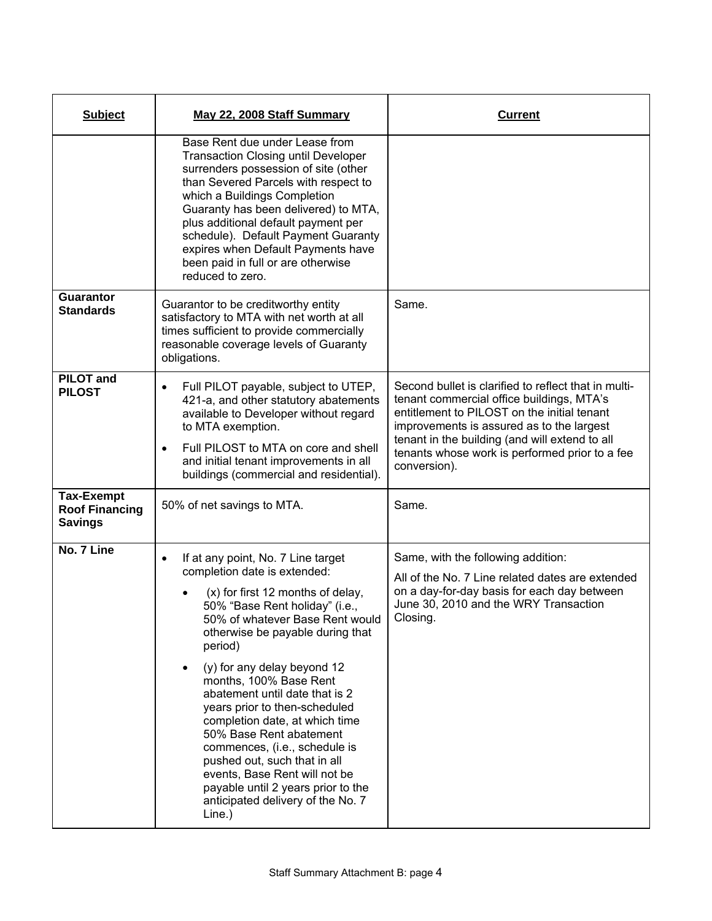| <b>Subject</b>                                               | May 22, 2008 Staff Summary                                                                                                                                                                                                                                                                                                                                                                                                                                                                                                                                                                                               | <b>Current</b>                                                                                                                                                                                                                                                                                                    |
|--------------------------------------------------------------|--------------------------------------------------------------------------------------------------------------------------------------------------------------------------------------------------------------------------------------------------------------------------------------------------------------------------------------------------------------------------------------------------------------------------------------------------------------------------------------------------------------------------------------------------------------------------------------------------------------------------|-------------------------------------------------------------------------------------------------------------------------------------------------------------------------------------------------------------------------------------------------------------------------------------------------------------------|
|                                                              | Base Rent due under Lease from<br><b>Transaction Closing until Developer</b><br>surrenders possession of site (other<br>than Severed Parcels with respect to<br>which a Buildings Completion<br>Guaranty has been delivered) to MTA,<br>plus additional default payment per<br>schedule). Default Payment Guaranty<br>expires when Default Payments have<br>been paid in full or are otherwise<br>reduced to zero.                                                                                                                                                                                                       |                                                                                                                                                                                                                                                                                                                   |
| <b>Guarantor</b><br><b>Standards</b>                         | Guarantor to be creditworthy entity<br>satisfactory to MTA with net worth at all<br>times sufficient to provide commercially<br>reasonable coverage levels of Guaranty<br>obligations.                                                                                                                                                                                                                                                                                                                                                                                                                                   | Same.                                                                                                                                                                                                                                                                                                             |
| <b>PILOT</b> and<br><b>PILOST</b>                            | Full PILOT payable, subject to UTEP,<br>٠<br>421-a, and other statutory abatements<br>available to Developer without regard<br>to MTA exemption.<br>Full PILOST to MTA on core and shell<br>$\bullet$<br>and initial tenant improvements in all<br>buildings (commercial and residential).                                                                                                                                                                                                                                                                                                                               | Second bullet is clarified to reflect that in multi-<br>tenant commercial office buildings, MTA's<br>entitlement to PILOST on the initial tenant<br>improvements is assured as to the largest<br>tenant in the building (and will extend to all<br>tenants whose work is performed prior to a fee<br>conversion). |
| <b>Tax-Exempt</b><br><b>Roof Financing</b><br><b>Savings</b> | 50% of net savings to MTA.                                                                                                                                                                                                                                                                                                                                                                                                                                                                                                                                                                                               | Same.                                                                                                                                                                                                                                                                                                             |
| No. 7 Line                                                   | If at any point, No. 7 Line target<br>$\bullet$<br>completion date is extended:<br>(x) for first 12 months of delay,<br>50% "Base Rent holiday" (i.e.,<br>50% of whatever Base Rent would<br>otherwise be payable during that<br>period)<br>(y) for any delay beyond 12<br>months, 100% Base Rent<br>abatement until date that is 2<br>years prior to then-scheduled<br>completion date, at which time<br>50% Base Rent abatement<br>commences, (i.e., schedule is<br>pushed out, such that in all<br>events, Base Rent will not be<br>payable until 2 years prior to the<br>anticipated delivery of the No. 7<br>Line.) | Same, with the following addition:<br>All of the No. 7 Line related dates are extended<br>on a day-for-day basis for each day between<br>June 30, 2010 and the WRY Transaction<br>Closing.                                                                                                                        |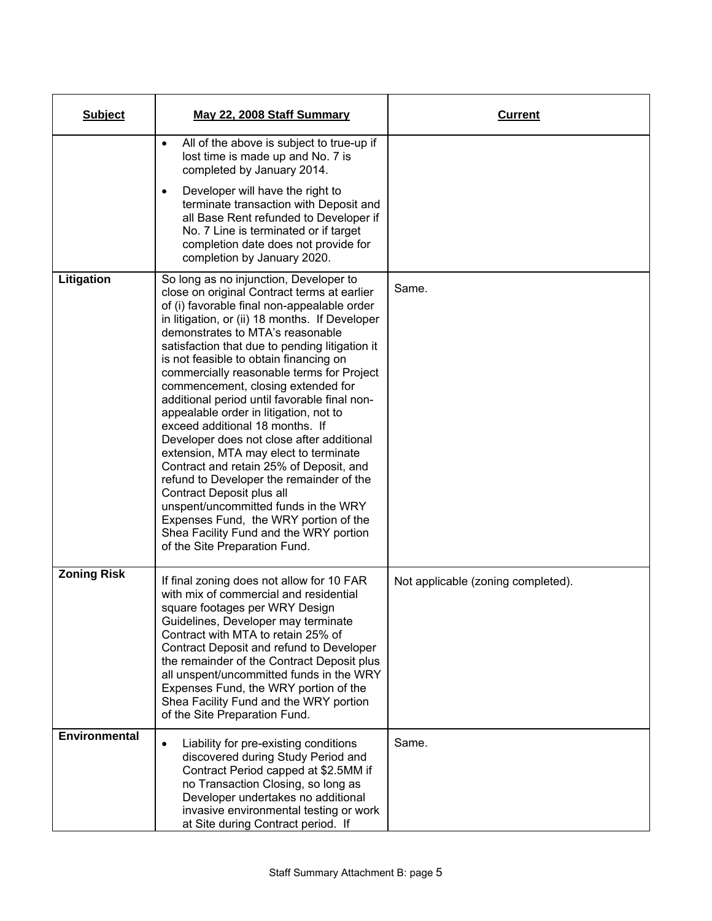| <b>Subject</b>     | May 22, 2008 Staff Summary                                                                                                                                                                                                                                                                                                                                                                                                                                                                                                                                                                                                                                                                                                                                                                                                                                                                                   | <b>Current</b>                     |
|--------------------|--------------------------------------------------------------------------------------------------------------------------------------------------------------------------------------------------------------------------------------------------------------------------------------------------------------------------------------------------------------------------------------------------------------------------------------------------------------------------------------------------------------------------------------------------------------------------------------------------------------------------------------------------------------------------------------------------------------------------------------------------------------------------------------------------------------------------------------------------------------------------------------------------------------|------------------------------------|
|                    | All of the above is subject to true-up if<br>$\bullet$<br>lost time is made up and No. 7 is<br>completed by January 2014.                                                                                                                                                                                                                                                                                                                                                                                                                                                                                                                                                                                                                                                                                                                                                                                    |                                    |
|                    | Developer will have the right to<br>٠<br>terminate transaction with Deposit and<br>all Base Rent refunded to Developer if<br>No. 7 Line is terminated or if target<br>completion date does not provide for<br>completion by January 2020.                                                                                                                                                                                                                                                                                                                                                                                                                                                                                                                                                                                                                                                                    |                                    |
| Litigation         | So long as no injunction, Developer to<br>close on original Contract terms at earlier<br>of (i) favorable final non-appealable order<br>in litigation, or (ii) 18 months. If Developer<br>demonstrates to MTA's reasonable<br>satisfaction that due to pending litigation it<br>is not feasible to obtain financing on<br>commercially reasonable terms for Project<br>commencement, closing extended for<br>additional period until favorable final non-<br>appealable order in litigation, not to<br>exceed additional 18 months. If<br>Developer does not close after additional<br>extension, MTA may elect to terminate<br>Contract and retain 25% of Deposit, and<br>refund to Developer the remainder of the<br>Contract Deposit plus all<br>unspent/uncommitted funds in the WRY<br>Expenses Fund, the WRY portion of the<br>Shea Facility Fund and the WRY portion<br>of the Site Preparation Fund. | Same.                              |
| <b>Zoning Risk</b> | If final zoning does not allow for 10 FAR<br>with mix of commercial and residential<br>square footages per WRY Design<br>Guidelines, Developer may terminate<br>Contract with MTA to retain 25% of<br>Contract Deposit and refund to Developer<br>the remainder of the Contract Deposit plus<br>all unspent/uncommitted funds in the WRY<br>Expenses Fund, the WRY portion of the<br>Shea Facility Fund and the WRY portion<br>of the Site Preparation Fund.                                                                                                                                                                                                                                                                                                                                                                                                                                                 | Not applicable (zoning completed). |
| Environmental      | Liability for pre-existing conditions<br>$\bullet$<br>discovered during Study Period and<br>Contract Period capped at \$2.5MM if<br>no Transaction Closing, so long as<br>Developer undertakes no additional<br>invasive environmental testing or work<br>at Site during Contract period. If                                                                                                                                                                                                                                                                                                                                                                                                                                                                                                                                                                                                                 | Same.                              |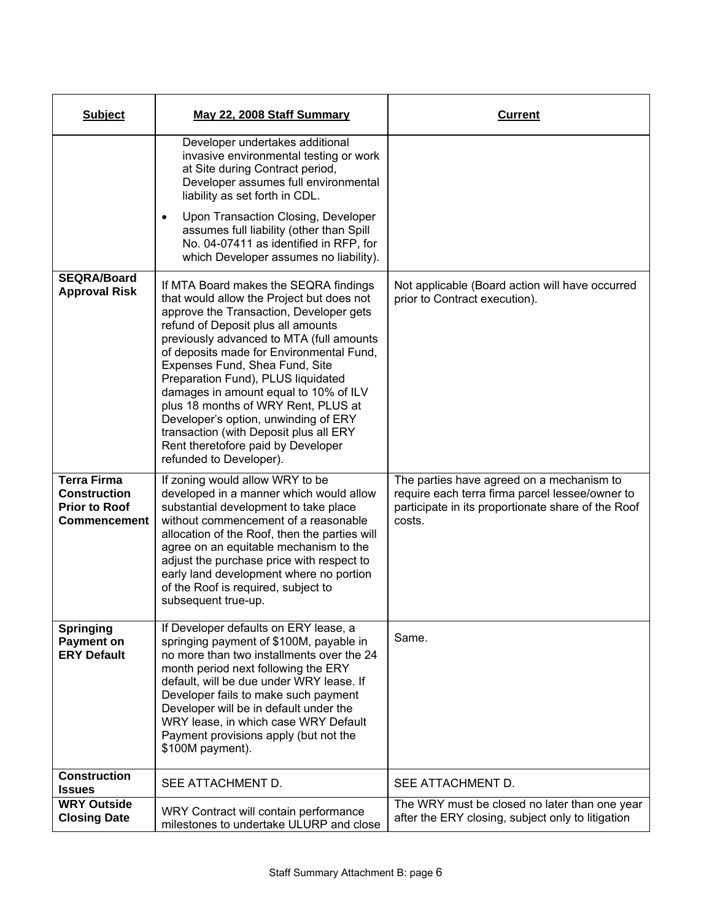| <b>Subject</b>                                                                           | May 22, 2008 Staff Summary                                                                                                                                                                                                                                                                                                                                                                                                                                                                                                                                             | Current                                                                                                                                                      |
|------------------------------------------------------------------------------------------|------------------------------------------------------------------------------------------------------------------------------------------------------------------------------------------------------------------------------------------------------------------------------------------------------------------------------------------------------------------------------------------------------------------------------------------------------------------------------------------------------------------------------------------------------------------------|--------------------------------------------------------------------------------------------------------------------------------------------------------------|
|                                                                                          | Developer undertakes additional<br>invasive environmental testing or work<br>at Site during Contract period,<br>Developer assumes full environmental<br>liability as set forth in CDL.<br>Upon Transaction Closing, Developer<br>$\bullet$<br>assumes full liability (other than Spill<br>No. 04-07411 as identified in RFP, for<br>which Developer assumes no liability).                                                                                                                                                                                             |                                                                                                                                                              |
| <b>SEQRA/Board</b><br><b>Approval Risk</b>                                               | If MTA Board makes the SEQRA findings<br>that would allow the Project but does not<br>approve the Transaction, Developer gets<br>refund of Deposit plus all amounts<br>previously advanced to MTA (full amounts<br>of deposits made for Environmental Fund,<br>Expenses Fund, Shea Fund, Site<br>Preparation Fund), PLUS liquidated<br>damages in amount equal to 10% of ILV<br>plus 18 months of WRY Rent, PLUS at<br>Developer's option, unwinding of ERY<br>transaction (with Deposit plus all ERY<br>Rent theretofore paid by Developer<br>refunded to Developer). | Not applicable (Board action will have occurred<br>prior to Contract execution).                                                                             |
| <b>Terra Firma</b><br><b>Construction</b><br><b>Prior to Roof</b><br><b>Commencement</b> | If zoning would allow WRY to be<br>developed in a manner which would allow<br>substantial development to take place<br>without commencement of a reasonable<br>allocation of the Roof, then the parties will<br>agree on an equitable mechanism to the<br>adjust the purchase price with respect to<br>early land development where no portion<br>of the Roof is required, subject to<br>subsequent true-up.                                                                                                                                                           | The parties have agreed on a mechanism to<br>require each terra firma parcel lessee/owner to<br>participate in its proportionate share of the Roof<br>costs. |
| <b>Springing</b><br><b>Payment on</b><br><b>ERY Default</b>                              | If Developer defaults on ERY lease, a<br>springing payment of \$100M, payable in<br>no more than two installments over the 24<br>month period next following the ERY<br>default, will be due under WRY lease. If<br>Developer fails to make such payment<br>Developer will be in default under the<br>WRY lease, in which case WRY Default<br>Payment provisions apply (but not the<br>\$100M payment).                                                                                                                                                                | Same.                                                                                                                                                        |
| <b>Construction</b><br><b>Issues</b>                                                     | SEE ATTACHMENT D.                                                                                                                                                                                                                                                                                                                                                                                                                                                                                                                                                      | SEE ATTACHMENT D.                                                                                                                                            |
| <b>WRY Outside</b><br><b>Closing Date</b>                                                | WRY Contract will contain performance<br>milestones to undertake ULURP and close                                                                                                                                                                                                                                                                                                                                                                                                                                                                                       | The WRY must be closed no later than one year<br>after the ERY closing, subject only to litigation                                                           |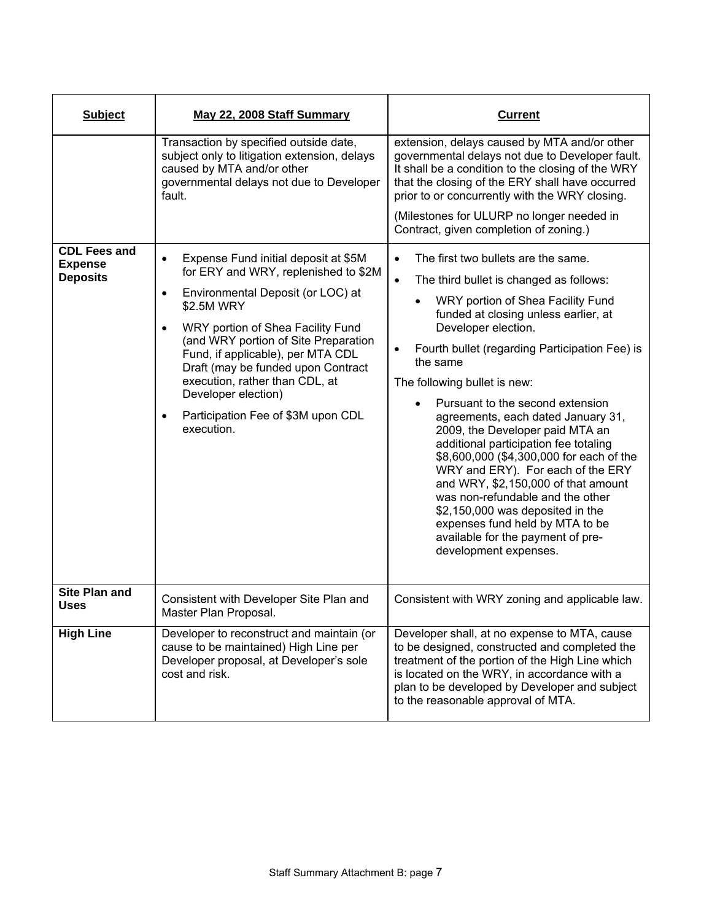| <b>Subject</b>                                           | May 22, 2008 Staff Summary                                                                                                                                                                                                                                                                                                                                                                                                                  | <b>Current</b>                                                                                                                                                                                                                                                                                                                                                                                                                                                                                                                                                                                                                                                                                                                                                                                           |
|----------------------------------------------------------|---------------------------------------------------------------------------------------------------------------------------------------------------------------------------------------------------------------------------------------------------------------------------------------------------------------------------------------------------------------------------------------------------------------------------------------------|----------------------------------------------------------------------------------------------------------------------------------------------------------------------------------------------------------------------------------------------------------------------------------------------------------------------------------------------------------------------------------------------------------------------------------------------------------------------------------------------------------------------------------------------------------------------------------------------------------------------------------------------------------------------------------------------------------------------------------------------------------------------------------------------------------|
|                                                          | Transaction by specified outside date,<br>subject only to litigation extension, delays<br>caused by MTA and/or other<br>governmental delays not due to Developer<br>fault.                                                                                                                                                                                                                                                                  | extension, delays caused by MTA and/or other<br>governmental delays not due to Developer fault.<br>It shall be a condition to the closing of the WRY<br>that the closing of the ERY shall have occurred<br>prior to or concurrently with the WRY closing.<br>(Milestones for ULURP no longer needed in<br>Contract, given completion of zoning.)                                                                                                                                                                                                                                                                                                                                                                                                                                                         |
| <b>CDL Fees and</b><br><b>Expense</b><br><b>Deposits</b> | Expense Fund initial deposit at \$5M<br>$\bullet$<br>for ERY and WRY, replenished to \$2M<br>Environmental Deposit (or LOC) at<br>$\bullet$<br>\$2.5M WRY<br>WRY portion of Shea Facility Fund<br>$\bullet$<br>(and WRY portion of Site Preparation<br>Fund, if applicable), per MTA CDL<br>Draft (may be funded upon Contract<br>execution, rather than CDL, at<br>Developer election)<br>Participation Fee of \$3M upon CDL<br>execution. | The first two bullets are the same.<br>$\bullet$<br>The third bullet is changed as follows:<br>$\bullet$<br>WRY portion of Shea Facility Fund<br>$\bullet$<br>funded at closing unless earlier, at<br>Developer election.<br>Fourth bullet (regarding Participation Fee) is<br>$\bullet$<br>the same<br>The following bullet is new:<br>Pursuant to the second extension<br>$\bullet$<br>agreements, each dated January 31,<br>2009, the Developer paid MTA an<br>additional participation fee totaling<br>\$8,600,000 (\$4,300,000 for each of the<br>WRY and ERY). For each of the ERY<br>and WRY, \$2,150,000 of that amount<br>was non-refundable and the other<br>\$2,150,000 was deposited in the<br>expenses fund held by MTA to be<br>available for the payment of pre-<br>development expenses. |
| <b>Site Plan and</b><br><b>Uses</b>                      | Consistent with Developer Site Plan and<br>Master Plan Proposal.                                                                                                                                                                                                                                                                                                                                                                            | Consistent with WRY zoning and applicable law.                                                                                                                                                                                                                                                                                                                                                                                                                                                                                                                                                                                                                                                                                                                                                           |
| <b>High Line</b>                                         | Developer to reconstruct and maintain (or<br>cause to be maintained) High Line per<br>Developer proposal, at Developer's sole<br>cost and risk.                                                                                                                                                                                                                                                                                             | Developer shall, at no expense to MTA, cause<br>to be designed, constructed and completed the<br>treatment of the portion of the High Line which<br>is located on the WRY, in accordance with a<br>plan to be developed by Developer and subject<br>to the reasonable approval of MTA.                                                                                                                                                                                                                                                                                                                                                                                                                                                                                                                   |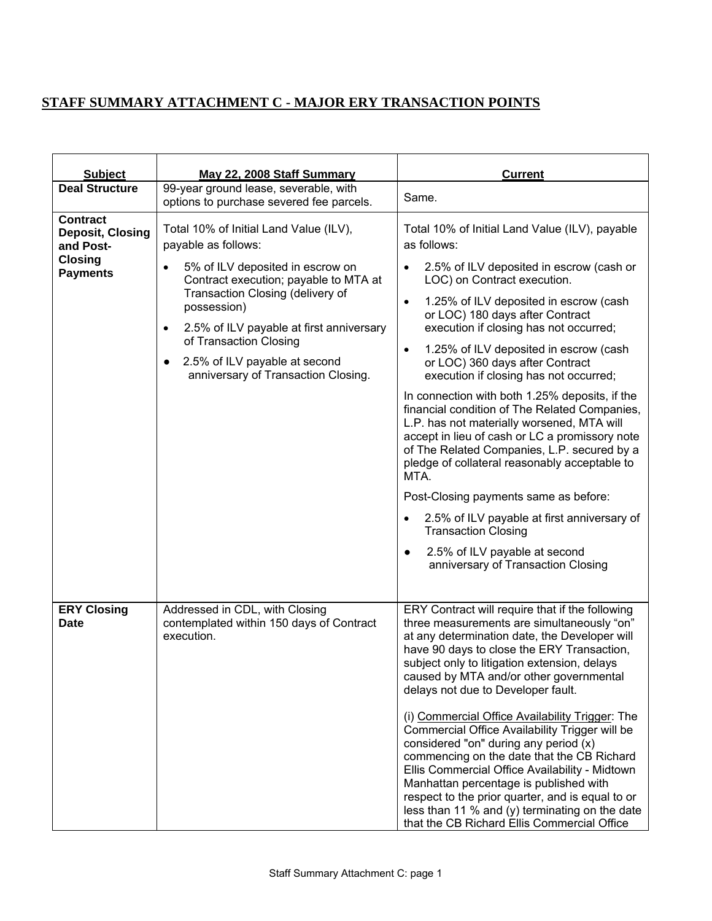## **STAFF SUMMARY ATTACHMENT C - MAJOR ERY TRANSACTION POINTS**

| <b>Subject</b>                                                                        | May 22, 2008 Staff Summary                                                                                                                                                                                                                                                                                                                                                         | <b>Current</b>                                                                                                                                                                                                                                                                                                                                                                                                                                                                                                                                                                                                                                                                                                                                                                                                                                                                                                                                                  |
|---------------------------------------------------------------------------------------|------------------------------------------------------------------------------------------------------------------------------------------------------------------------------------------------------------------------------------------------------------------------------------------------------------------------------------------------------------------------------------|-----------------------------------------------------------------------------------------------------------------------------------------------------------------------------------------------------------------------------------------------------------------------------------------------------------------------------------------------------------------------------------------------------------------------------------------------------------------------------------------------------------------------------------------------------------------------------------------------------------------------------------------------------------------------------------------------------------------------------------------------------------------------------------------------------------------------------------------------------------------------------------------------------------------------------------------------------------------|
| <b>Deal Structure</b>                                                                 | 99-year ground lease, severable, with<br>options to purchase severed fee parcels.                                                                                                                                                                                                                                                                                                  | Same.                                                                                                                                                                                                                                                                                                                                                                                                                                                                                                                                                                                                                                                                                                                                                                                                                                                                                                                                                           |
| <b>Contract</b><br>Deposit, Closing<br>and Post-<br><b>Closing</b><br><b>Payments</b> | Total 10% of Initial Land Value (ILV),<br>payable as follows:<br>5% of ILV deposited in escrow on<br>$\bullet$<br>Contract execution; payable to MTA at<br>Transaction Closing (delivery of<br>possession)<br>2.5% of ILV payable at first anniversary<br>$\bullet$<br>of Transaction Closing<br>2.5% of ILV payable at second<br>$\bullet$<br>anniversary of Transaction Closing. | Total 10% of Initial Land Value (ILV), payable<br>as follows:<br>2.5% of ILV deposited in escrow (cash or<br>$\bullet$<br>LOC) on Contract execution.<br>1.25% of ILV deposited in escrow (cash<br>$\bullet$<br>or LOC) 180 days after Contract<br>execution if closing has not occurred;<br>1.25% of ILV deposited in escrow (cash<br>$\bullet$<br>or LOC) 360 days after Contract<br>execution if closing has not occurred;<br>In connection with both 1.25% deposits, if the<br>financial condition of The Related Companies,<br>L.P. has not materially worsened, MTA will<br>accept in lieu of cash or LC a promissory note<br>of The Related Companies, L.P. secured by a<br>pledge of collateral reasonably acceptable to<br>MTA.<br>Post-Closing payments same as before:<br>2.5% of ILV payable at first anniversary of<br>$\bullet$<br><b>Transaction Closing</b><br>2.5% of ILV payable at second<br>$\bullet$<br>anniversary of Transaction Closing |
| <b>ERY Closing</b><br>Date                                                            | Addressed in CDL, with Closing<br>contemplated within 150 days of Contract<br>execution.                                                                                                                                                                                                                                                                                           | ERY Contract will require that if the following<br>three measurements are simultaneously "on"<br>at any determination date, the Developer will<br>have 90 days to close the ERY Transaction,<br>subject only to litigation extension, delays<br>caused by MTA and/or other governmental<br>delays not due to Developer fault.<br>(i) Commercial Office Availability Trigger: The<br>Commercial Office Availability Trigger will be<br>considered "on" during any period (x)<br>commencing on the date that the CB Richard<br>Ellis Commercial Office Availability - Midtown<br>Manhattan percentage is published with<br>respect to the prior quarter, and is equal to or<br>less than 11 $%$ and (y) terminating on the date<br>that the CB Richard Ellis Commercial Office                                                                                                                                                                                    |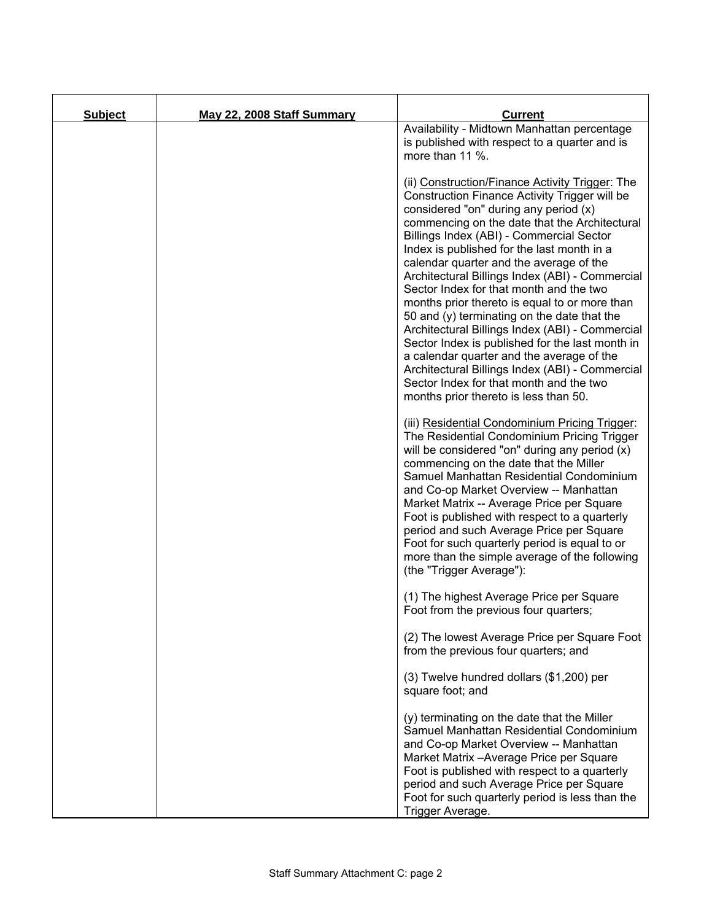| <b>Subject</b> | May 22, 2008 Staff Summary | <b>Current</b>                                                                                                                                                                                                                                                                                                                                                                                                                                                                                                                                                                                                                                                                                                                                                                                                          |
|----------------|----------------------------|-------------------------------------------------------------------------------------------------------------------------------------------------------------------------------------------------------------------------------------------------------------------------------------------------------------------------------------------------------------------------------------------------------------------------------------------------------------------------------------------------------------------------------------------------------------------------------------------------------------------------------------------------------------------------------------------------------------------------------------------------------------------------------------------------------------------------|
|                |                            | Availability - Midtown Manhattan percentage<br>is published with respect to a quarter and is<br>more than 11 %.                                                                                                                                                                                                                                                                                                                                                                                                                                                                                                                                                                                                                                                                                                         |
|                |                            | (ii) Construction/Finance Activity Trigger: The<br>Construction Finance Activity Trigger will be<br>considered "on" during any period (x)<br>commencing on the date that the Architectural<br>Billings Index (ABI) - Commercial Sector<br>Index is published for the last month in a<br>calendar quarter and the average of the<br>Architectural Billings Index (ABI) - Commercial<br>Sector Index for that month and the two<br>months prior thereto is equal to or more than<br>50 and (y) terminating on the date that the<br>Architectural Billings Index (ABI) - Commercial<br>Sector Index is published for the last month in<br>a calendar quarter and the average of the<br>Architectural Billings Index (ABI) - Commercial<br>Sector Index for that month and the two<br>months prior thereto is less than 50. |
|                |                            | (iii) Residential Condominium Pricing Trigger:<br>The Residential Condominium Pricing Trigger<br>will be considered "on" during any period (x)<br>commencing on the date that the Miller<br>Samuel Manhattan Residential Condominium<br>and Co-op Market Overview -- Manhattan<br>Market Matrix -- Average Price per Square<br>Foot is published with respect to a quarterly<br>period and such Average Price per Square<br>Foot for such quarterly period is equal to or<br>more than the simple average of the following<br>(the "Trigger Average"):                                                                                                                                                                                                                                                                  |
|                |                            | (1) The highest Average Price per Square<br>Foot from the previous four quarters;                                                                                                                                                                                                                                                                                                                                                                                                                                                                                                                                                                                                                                                                                                                                       |
|                |                            | (2) The lowest Average Price per Square Foot<br>from the previous four quarters; and                                                                                                                                                                                                                                                                                                                                                                                                                                                                                                                                                                                                                                                                                                                                    |
|                |                            | (3) Twelve hundred dollars (\$1,200) per<br>square foot; and                                                                                                                                                                                                                                                                                                                                                                                                                                                                                                                                                                                                                                                                                                                                                            |
|                |                            | (y) terminating on the date that the Miller<br>Samuel Manhattan Residential Condominium<br>and Co-op Market Overview -- Manhattan<br>Market Matrix - Average Price per Square<br>Foot is published with respect to a quarterly<br>period and such Average Price per Square<br>Foot for such quarterly period is less than the<br>Trigger Average.                                                                                                                                                                                                                                                                                                                                                                                                                                                                       |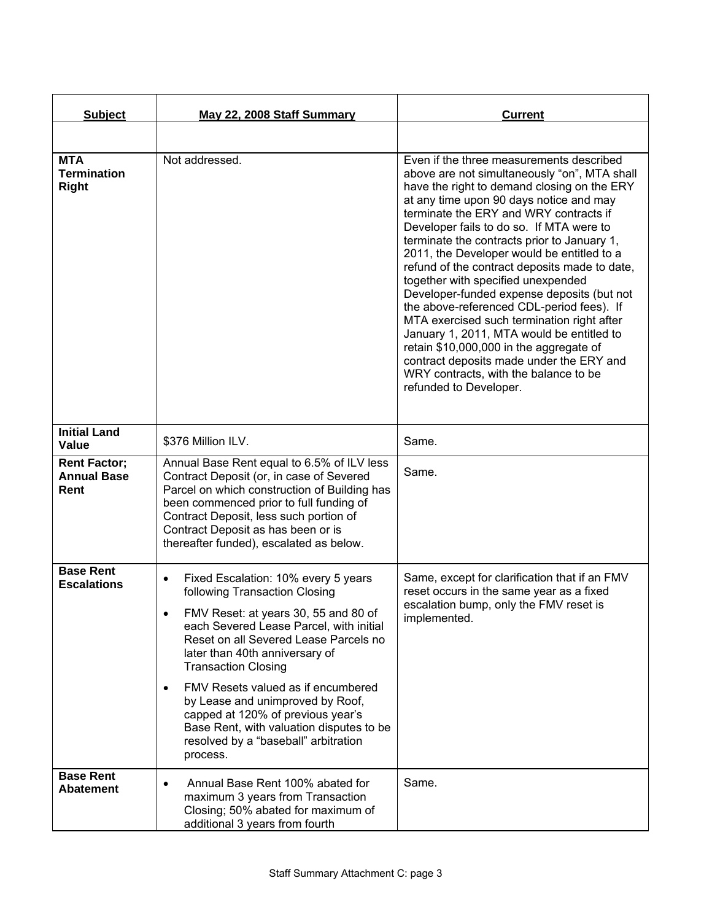| <b>Subject</b>                                    | May 22, 2008 Staff Summary                                                                                                                                                                                                                                                                                                                                                                                                                                                                                | <b>Current</b>                                                                                                                                                                                                                                                                                                                                                                                                                                                                                                                                                                                                                                                                                                                                                                                               |
|---------------------------------------------------|-----------------------------------------------------------------------------------------------------------------------------------------------------------------------------------------------------------------------------------------------------------------------------------------------------------------------------------------------------------------------------------------------------------------------------------------------------------------------------------------------------------|--------------------------------------------------------------------------------------------------------------------------------------------------------------------------------------------------------------------------------------------------------------------------------------------------------------------------------------------------------------------------------------------------------------------------------------------------------------------------------------------------------------------------------------------------------------------------------------------------------------------------------------------------------------------------------------------------------------------------------------------------------------------------------------------------------------|
|                                                   |                                                                                                                                                                                                                                                                                                                                                                                                                                                                                                           |                                                                                                                                                                                                                                                                                                                                                                                                                                                                                                                                                                                                                                                                                                                                                                                                              |
| <b>MTA</b><br><b>Termination</b><br><b>Right</b>  | Not addressed.                                                                                                                                                                                                                                                                                                                                                                                                                                                                                            | Even if the three measurements described<br>above are not simultaneously "on", MTA shall<br>have the right to demand closing on the ERY<br>at any time upon 90 days notice and may<br>terminate the ERY and WRY contracts if<br>Developer fails to do so. If MTA were to<br>terminate the contracts prior to January 1,<br>2011, the Developer would be entitled to a<br>refund of the contract deposits made to date,<br>together with specified unexpended<br>Developer-funded expense deposits (but not<br>the above-referenced CDL-period fees). If<br>MTA exercised such termination right after<br>January 1, 2011, MTA would be entitled to<br>retain \$10,000,000 in the aggregate of<br>contract deposits made under the ERY and<br>WRY contracts, with the balance to be<br>refunded to Developer. |
| <b>Initial Land</b><br>Value                      | \$376 Million ILV.                                                                                                                                                                                                                                                                                                                                                                                                                                                                                        | Same.                                                                                                                                                                                                                                                                                                                                                                                                                                                                                                                                                                                                                                                                                                                                                                                                        |
| <b>Rent Factor;</b><br><b>Annual Base</b><br>Rent | Annual Base Rent equal to 6.5% of ILV less<br>Contract Deposit (or, in case of Severed<br>Parcel on which construction of Building has<br>been commenced prior to full funding of<br>Contract Deposit, less such portion of<br>Contract Deposit as has been or is<br>thereafter funded), escalated as below.                                                                                                                                                                                              | Same.                                                                                                                                                                                                                                                                                                                                                                                                                                                                                                                                                                                                                                                                                                                                                                                                        |
| <b>Base Rent</b><br><b>Escalations</b>            | Fixed Escalation: 10% every 5 years<br>$\bullet$<br>following Transaction Closing<br>FMV Reset: at years 30, 55 and 80 of<br>each Severed Lease Parcel, with initial<br>Reset on all Severed Lease Parcels no<br>later than 40th anniversary of<br><b>Transaction Closing</b><br>FMV Resets valued as if encumbered<br>$\bullet$<br>by Lease and unimproved by Roof,<br>capped at 120% of previous year's<br>Base Rent, with valuation disputes to be<br>resolved by a "baseball" arbitration<br>process. | Same, except for clarification that if an FMV<br>reset occurs in the same year as a fixed<br>escalation bump, only the FMV reset is<br>implemented.                                                                                                                                                                                                                                                                                                                                                                                                                                                                                                                                                                                                                                                          |
| <b>Base Rent</b><br><b>Abatement</b>              | Annual Base Rent 100% abated for<br>$\bullet$<br>maximum 3 years from Transaction<br>Closing; 50% abated for maximum of<br>additional 3 years from fourth                                                                                                                                                                                                                                                                                                                                                 | Same.                                                                                                                                                                                                                                                                                                                                                                                                                                                                                                                                                                                                                                                                                                                                                                                                        |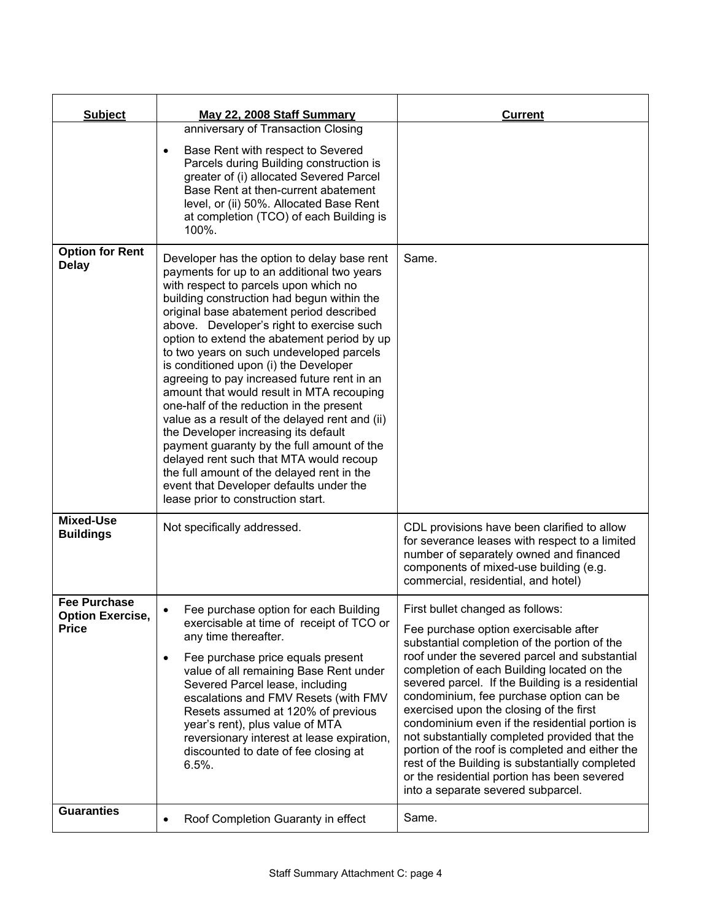| <b>Subject</b>                                                 | May 22, 2008 Staff Summary                                                                                                                                                                                                                                                                                                                                                                                                                                                                                                                                                                                                                                                                                                                                                                                                                                              | <b>Current</b>                                                                                                                                                                                                                                                                                                                                                                                                                                                                                                                                                                                                                                                   |
|----------------------------------------------------------------|-------------------------------------------------------------------------------------------------------------------------------------------------------------------------------------------------------------------------------------------------------------------------------------------------------------------------------------------------------------------------------------------------------------------------------------------------------------------------------------------------------------------------------------------------------------------------------------------------------------------------------------------------------------------------------------------------------------------------------------------------------------------------------------------------------------------------------------------------------------------------|------------------------------------------------------------------------------------------------------------------------------------------------------------------------------------------------------------------------------------------------------------------------------------------------------------------------------------------------------------------------------------------------------------------------------------------------------------------------------------------------------------------------------------------------------------------------------------------------------------------------------------------------------------------|
|                                                                | anniversary of Transaction Closing<br>Base Rent with respect to Severed<br>$\bullet$<br>Parcels during Building construction is<br>greater of (i) allocated Severed Parcel<br>Base Rent at then-current abatement<br>level, or (ii) 50%. Allocated Base Rent<br>at completion (TCO) of each Building is<br>100%.                                                                                                                                                                                                                                                                                                                                                                                                                                                                                                                                                        |                                                                                                                                                                                                                                                                                                                                                                                                                                                                                                                                                                                                                                                                  |
| <b>Option for Rent</b><br><b>Delay</b>                         | Developer has the option to delay base rent<br>payments for up to an additional two years<br>with respect to parcels upon which no<br>building construction had begun within the<br>original base abatement period described<br>above. Developer's right to exercise such<br>option to extend the abatement period by up<br>to two years on such undeveloped parcels<br>is conditioned upon (i) the Developer<br>agreeing to pay increased future rent in an<br>amount that would result in MTA recouping<br>one-half of the reduction in the present<br>value as a result of the delayed rent and (ii)<br>the Developer increasing its default<br>payment guaranty by the full amount of the<br>delayed rent such that MTA would recoup<br>the full amount of the delayed rent in the<br>event that Developer defaults under the<br>lease prior to construction start. | Same.                                                                                                                                                                                                                                                                                                                                                                                                                                                                                                                                                                                                                                                            |
| <b>Mixed-Use</b><br><b>Buildings</b>                           | Not specifically addressed.                                                                                                                                                                                                                                                                                                                                                                                                                                                                                                                                                                                                                                                                                                                                                                                                                                             | CDL provisions have been clarified to allow<br>for severance leases with respect to a limited<br>number of separately owned and financed<br>components of mixed-use building (e.g.<br>commercial, residential, and hotel)                                                                                                                                                                                                                                                                                                                                                                                                                                        |
| <b>Fee Purchase</b><br><b>Option Exercise,</b><br><b>Price</b> | Fee purchase option for each Building<br>$\bullet$<br>exercisable at time of receipt of TCO or<br>any time thereafter.<br>Fee purchase price equals present<br>$\bullet$<br>value of all remaining Base Rent under<br>Severed Parcel lease, including<br>escalations and FMV Resets (with FMV<br>Resets assumed at 120% of previous<br>year's rent), plus value of MTA<br>reversionary interest at lease expiration,<br>discounted to date of fee closing at<br>$6.5%$ .                                                                                                                                                                                                                                                                                                                                                                                                | First bullet changed as follows:<br>Fee purchase option exercisable after<br>substantial completion of the portion of the<br>roof under the severed parcel and substantial<br>completion of each Building located on the<br>severed parcel. If the Building is a residential<br>condominium, fee purchase option can be<br>exercised upon the closing of the first<br>condominium even if the residential portion is<br>not substantially completed provided that the<br>portion of the roof is completed and either the<br>rest of the Building is substantially completed<br>or the residential portion has been severed<br>into a separate severed subparcel. |
| <b>Guaranties</b>                                              | Roof Completion Guaranty in effect<br>$\bullet$                                                                                                                                                                                                                                                                                                                                                                                                                                                                                                                                                                                                                                                                                                                                                                                                                         | Same.                                                                                                                                                                                                                                                                                                                                                                                                                                                                                                                                                                                                                                                            |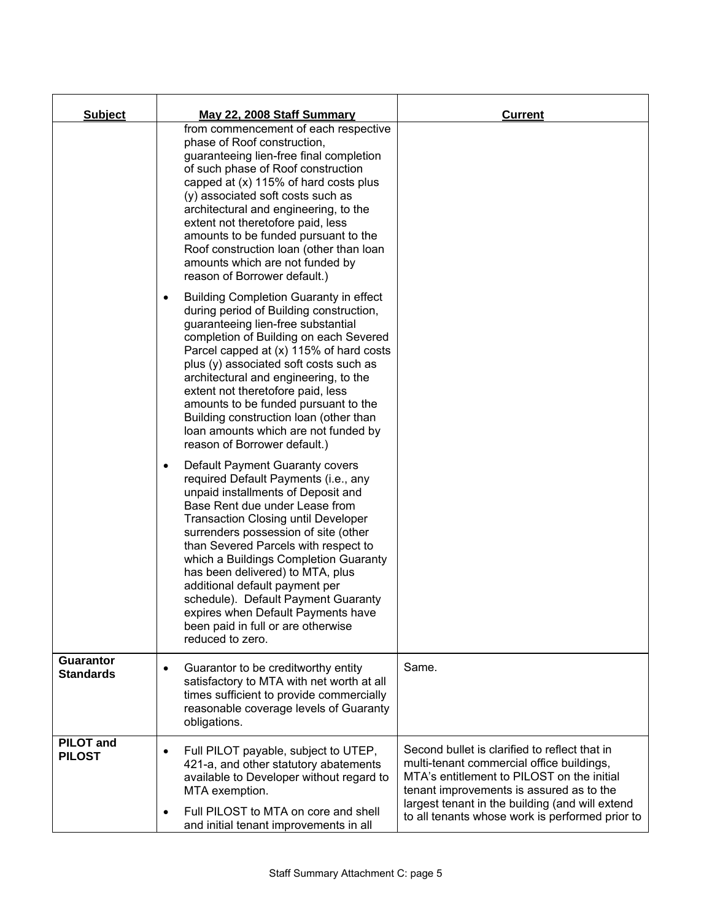| <b>Subject</b>                       | <b>May 22, 2008 Staff Summary</b>                                                                                                                                                                                                                                                                                                                                                                                                                                                                                                                | <b>Current</b>                                                                                                                                                                                                                                                                             |
|--------------------------------------|--------------------------------------------------------------------------------------------------------------------------------------------------------------------------------------------------------------------------------------------------------------------------------------------------------------------------------------------------------------------------------------------------------------------------------------------------------------------------------------------------------------------------------------------------|--------------------------------------------------------------------------------------------------------------------------------------------------------------------------------------------------------------------------------------------------------------------------------------------|
|                                      | from commencement of each respective<br>phase of Roof construction,<br>guaranteeing lien-free final completion<br>of such phase of Roof construction<br>capped at (x) 115% of hard costs plus<br>(y) associated soft costs such as<br>architectural and engineering, to the<br>extent not theretofore paid, less<br>amounts to be funded pursuant to the<br>Roof construction loan (other than loan<br>amounts which are not funded by<br>reason of Borrower default.)                                                                           |                                                                                                                                                                                                                                                                                            |
|                                      | <b>Building Completion Guaranty in effect</b><br>٠<br>during period of Building construction,<br>guaranteeing lien-free substantial<br>completion of Building on each Severed<br>Parcel capped at (x) 115% of hard costs<br>plus (y) associated soft costs such as<br>architectural and engineering, to the<br>extent not theretofore paid, less<br>amounts to be funded pursuant to the<br>Building construction loan (other than<br>loan amounts which are not funded by<br>reason of Borrower default.)                                       |                                                                                                                                                                                                                                                                                            |
|                                      | Default Payment Guaranty covers<br>$\bullet$<br>required Default Payments (i.e., any<br>unpaid installments of Deposit and<br>Base Rent due under Lease from<br><b>Transaction Closing until Developer</b><br>surrenders possession of site (other<br>than Severed Parcels with respect to<br>which a Buildings Completion Guaranty<br>has been delivered) to MTA, plus<br>additional default payment per<br>schedule). Default Payment Guaranty<br>expires when Default Payments have<br>been paid in full or are otherwise<br>reduced to zero. |                                                                                                                                                                                                                                                                                            |
| <b>Guarantor</b><br><b>Standards</b> | Guarantor to be creditworthy entity<br>$\bullet$<br>satisfactory to MTA with net worth at all<br>times sufficient to provide commercially<br>reasonable coverage levels of Guaranty<br>obligations.                                                                                                                                                                                                                                                                                                                                              | Same.                                                                                                                                                                                                                                                                                      |
| <b>PILOT</b> and<br><b>PILOST</b>    | Full PILOT payable, subject to UTEP,<br>$\bullet$<br>421-a, and other statutory abatements<br>available to Developer without regard to<br>MTA exemption.<br>Full PILOST to MTA on core and shell<br>$\bullet$<br>and initial tenant improvements in all                                                                                                                                                                                                                                                                                          | Second bullet is clarified to reflect that in<br>multi-tenant commercial office buildings,<br>MTA's entitlement to PILOST on the initial<br>tenant improvements is assured as to the<br>largest tenant in the building (and will extend<br>to all tenants whose work is performed prior to |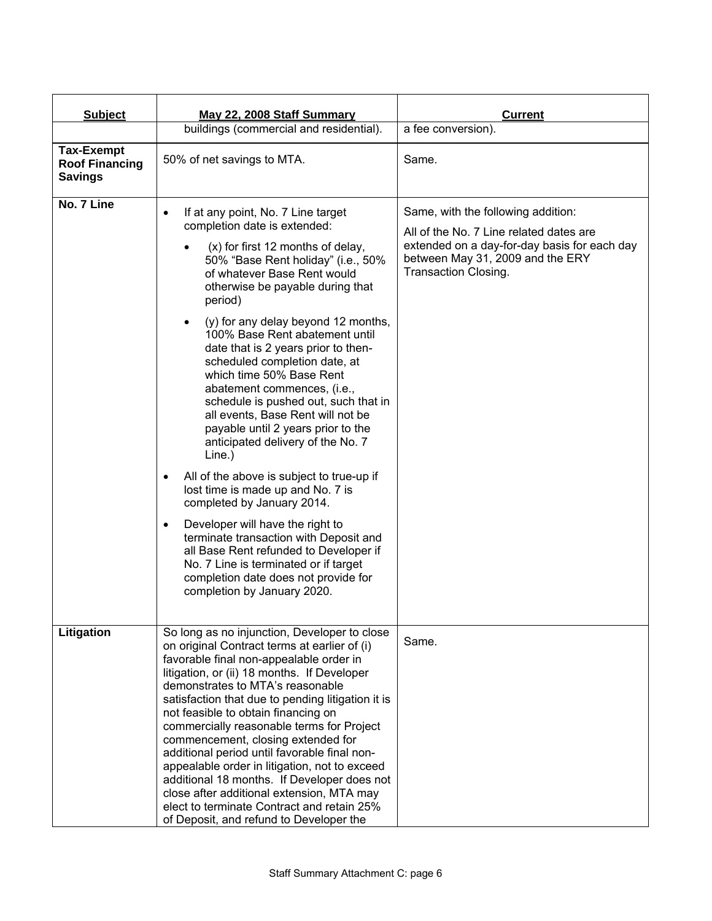| <b>Subject</b>                                               | May 22, 2008 Staff Summary                                                                                                                                                                                                                                                                                                                                                                                                                                                                                                                                                                                                                                                                                                                                                                                                                                                                                                                                                                               | <b>Current</b>                                                                                                                                                                            |
|--------------------------------------------------------------|----------------------------------------------------------------------------------------------------------------------------------------------------------------------------------------------------------------------------------------------------------------------------------------------------------------------------------------------------------------------------------------------------------------------------------------------------------------------------------------------------------------------------------------------------------------------------------------------------------------------------------------------------------------------------------------------------------------------------------------------------------------------------------------------------------------------------------------------------------------------------------------------------------------------------------------------------------------------------------------------------------|-------------------------------------------------------------------------------------------------------------------------------------------------------------------------------------------|
|                                                              | buildings (commercial and residential).                                                                                                                                                                                                                                                                                                                                                                                                                                                                                                                                                                                                                                                                                                                                                                                                                                                                                                                                                                  | a fee conversion).                                                                                                                                                                        |
| <b>Tax-Exempt</b><br><b>Roof Financing</b><br><b>Savings</b> | 50% of net savings to MTA.                                                                                                                                                                                                                                                                                                                                                                                                                                                                                                                                                                                                                                                                                                                                                                                                                                                                                                                                                                               | Same.                                                                                                                                                                                     |
| No. 7 Line                                                   | If at any point, No. 7 Line target<br>$\bullet$<br>completion date is extended:<br>(x) for first 12 months of delay,<br>50% "Base Rent holiday" (i.e., 50%<br>of whatever Base Rent would<br>otherwise be payable during that<br>period)<br>(y) for any delay beyond 12 months,<br>100% Base Rent abatement until<br>date that is 2 years prior to then-<br>scheduled completion date, at<br>which time 50% Base Rent<br>abatement commences, (i.e.,<br>schedule is pushed out, such that in<br>all events, Base Rent will not be<br>payable until 2 years prior to the<br>anticipated delivery of the No. 7<br>Line.)<br>All of the above is subject to true-up if<br>$\bullet$<br>lost time is made up and No. 7 is<br>completed by January 2014.<br>Developer will have the right to<br>$\bullet$<br>terminate transaction with Deposit and<br>all Base Rent refunded to Developer if<br>No. 7 Line is terminated or if target<br>completion date does not provide for<br>completion by January 2020. | Same, with the following addition:<br>All of the No. 7 Line related dates are<br>extended on a day-for-day basis for each day<br>between May 31, 2009 and the ERY<br>Transaction Closing. |
| Litigation                                                   | So long as no injunction, Developer to close<br>on original Contract terms at earlier of (i)<br>favorable final non-appealable order in<br>litigation, or (ii) 18 months. If Developer<br>demonstrates to MTA's reasonable<br>satisfaction that due to pending litigation it is<br>not feasible to obtain financing on<br>commercially reasonable terms for Project<br>commencement, closing extended for<br>additional period until favorable final non-<br>appealable order in litigation, not to exceed<br>additional 18 months. If Developer does not<br>close after additional extension, MTA may<br>elect to terminate Contract and retain 25%<br>of Deposit, and refund to Developer the                                                                                                                                                                                                                                                                                                          | Same.                                                                                                                                                                                     |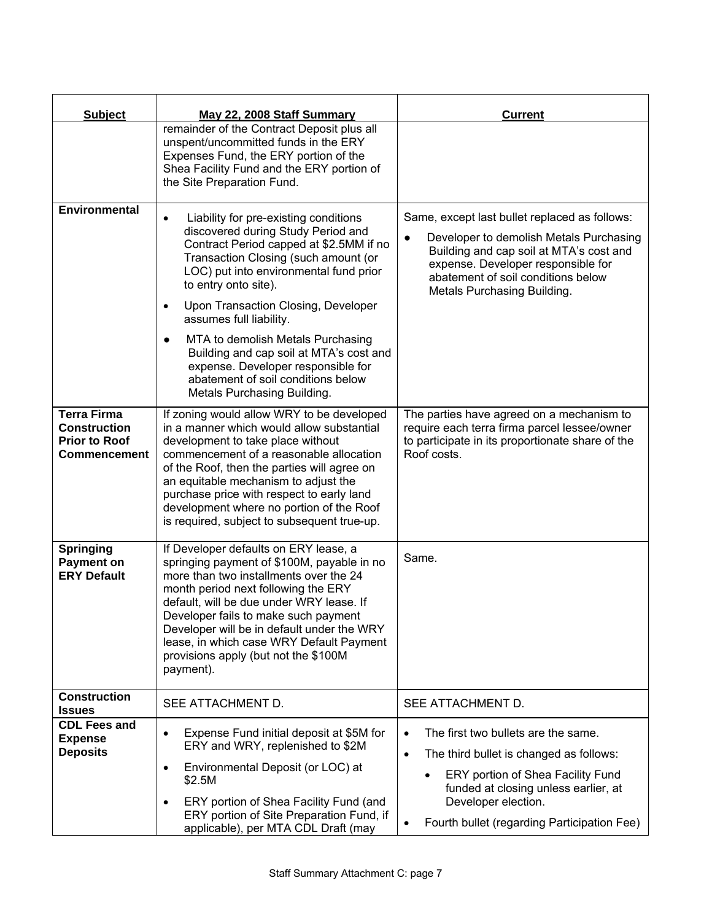| <b>Subject</b>                                                                           | May 22, 2008 Staff Summary                                                                                                                                                                                                                                                                                                                                                                              | <b>Current</b>                                                                                                                                                                                                                                              |
|------------------------------------------------------------------------------------------|---------------------------------------------------------------------------------------------------------------------------------------------------------------------------------------------------------------------------------------------------------------------------------------------------------------------------------------------------------------------------------------------------------|-------------------------------------------------------------------------------------------------------------------------------------------------------------------------------------------------------------------------------------------------------------|
|                                                                                          | remainder of the Contract Deposit plus all<br>unspent/uncommitted funds in the ERY<br>Expenses Fund, the ERY portion of the<br>Shea Facility Fund and the ERY portion of<br>the Site Preparation Fund.                                                                                                                                                                                                  |                                                                                                                                                                                                                                                             |
| Environmental                                                                            | Liability for pre-existing conditions<br>$\bullet$<br>discovered during Study Period and<br>Contract Period capped at \$2.5MM if no<br>Transaction Closing (such amount (or<br>LOC) put into environmental fund prior<br>to entry onto site).<br>Upon Transaction Closing, Developer<br>$\bullet$<br>assumes full liability.                                                                            | Same, except last bullet replaced as follows:<br>Developer to demolish Metals Purchasing<br>$\bullet$<br>Building and cap soil at MTA's cost and<br>expense. Developer responsible for<br>abatement of soil conditions below<br>Metals Purchasing Building. |
|                                                                                          | MTA to demolish Metals Purchasing<br>$\bullet$<br>Building and cap soil at MTA's cost and<br>expense. Developer responsible for<br>abatement of soil conditions below<br>Metals Purchasing Building.                                                                                                                                                                                                    |                                                                                                                                                                                                                                                             |
| <b>Terra Firma</b><br><b>Construction</b><br><b>Prior to Roof</b><br><b>Commencement</b> | If zoning would allow WRY to be developed<br>in a manner which would allow substantial<br>development to take place without<br>commencement of a reasonable allocation<br>of the Roof, then the parties will agree on<br>an equitable mechanism to adjust the<br>purchase price with respect to early land<br>development where no portion of the Roof<br>is required, subject to subsequent true-up.   | The parties have agreed on a mechanism to<br>require each terra firma parcel lessee/owner<br>to participate in its proportionate share of the<br>Roof costs.                                                                                                |
| <b>Springing</b><br><b>Payment on</b><br><b>ERY Default</b>                              | If Developer defaults on ERY lease, a<br>springing payment of \$100M, payable in no<br>more than two installments over the 24<br>month period next following the ERY<br>default, will be due under WRY lease. If<br>Developer fails to make such payment<br>Developer will be in default under the WRY<br>lease, in which case WRY Default Payment<br>provisions apply (but not the \$100M<br>payment). | Same.                                                                                                                                                                                                                                                       |
| <b>Construction</b><br><b>Issues</b>                                                     | SEE ATTACHMENT D.                                                                                                                                                                                                                                                                                                                                                                                       | SEE ATTACHMENT D.                                                                                                                                                                                                                                           |
| <b>CDL Fees and</b><br><b>Expense</b><br><b>Deposits</b>                                 | Expense Fund initial deposit at \$5M for<br>$\bullet$<br>ERY and WRY, replenished to \$2M<br>Environmental Deposit (or LOC) at<br>$\bullet$<br>\$2.5M                                                                                                                                                                                                                                                   | The first two bullets are the same.<br>$\bullet$<br>$\bullet$<br>The third bullet is changed as follows:<br>ERY portion of Shea Facility Fund<br>$\bullet$<br>funded at closing unless earlier, at                                                          |
|                                                                                          | ERY portion of Shea Facility Fund (and<br>$\bullet$<br>ERY portion of Site Preparation Fund, if<br>applicable), per MTA CDL Draft (may                                                                                                                                                                                                                                                                  | Developer election.<br>Fourth bullet (regarding Participation Fee)<br>$\bullet$                                                                                                                                                                             |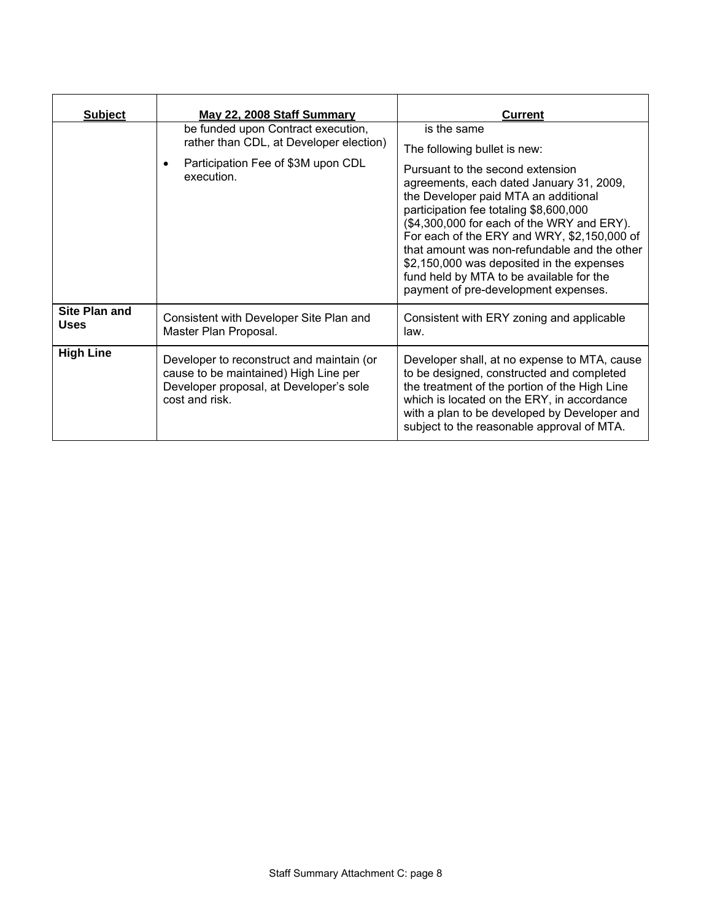| <b>Subject</b>                      | May 22, 2008 Staff Summary                                                                                                                      | <b>Current</b>                                                                                                                                                                                                                                                                                                                                                                                                                                                                              |
|-------------------------------------|-------------------------------------------------------------------------------------------------------------------------------------------------|---------------------------------------------------------------------------------------------------------------------------------------------------------------------------------------------------------------------------------------------------------------------------------------------------------------------------------------------------------------------------------------------------------------------------------------------------------------------------------------------|
|                                     | be funded upon Contract execution,<br>rather than CDL, at Developer election)<br>Participation Fee of \$3M upon CDL<br>$\bullet$<br>execution.  | is the same<br>The following bullet is new:<br>Pursuant to the second extension<br>agreements, each dated January 31, 2009,<br>the Developer paid MTA an additional<br>participation fee totaling \$8,600,000<br>(\$4,300,000 for each of the WRY and ERY).<br>For each of the ERY and WRY, \$2,150,000 of<br>that amount was non-refundable and the other<br>\$2,150,000 was deposited in the expenses<br>fund held by MTA to be available for the<br>payment of pre-development expenses. |
| <b>Site Plan and</b><br><b>Uses</b> | Consistent with Developer Site Plan and<br>Master Plan Proposal.                                                                                | Consistent with ERY zoning and applicable<br>law.                                                                                                                                                                                                                                                                                                                                                                                                                                           |
| <b>High Line</b>                    | Developer to reconstruct and maintain (or<br>cause to be maintained) High Line per<br>Developer proposal, at Developer's sole<br>cost and risk. | Developer shall, at no expense to MTA, cause<br>to be designed, constructed and completed<br>the treatment of the portion of the High Line<br>which is located on the ERY, in accordance<br>with a plan to be developed by Developer and<br>subject to the reasonable approval of MTA.                                                                                                                                                                                                      |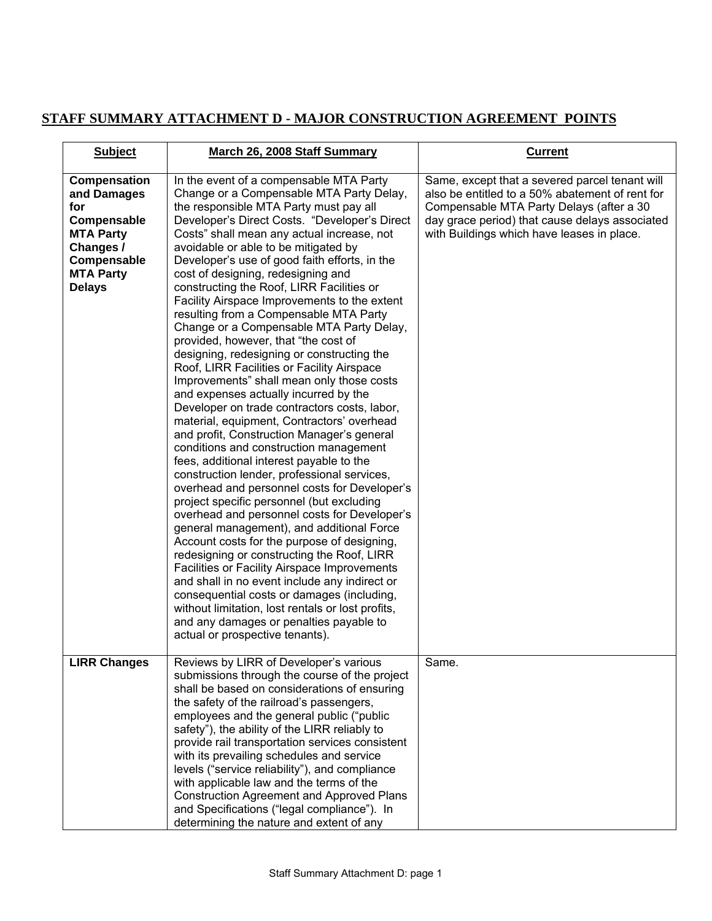# **STAFF SUMMARY ATTACHMENT D - MAJOR CONSTRUCTION AGREEMENT POINTS**

| <b>Subject</b>                                                                                                                                | <b>March 26, 2008 Staff Summary</b>                                                                                                                                                                                                                                                                                                                                                                                                                                                                                                                                                                                                                                                                                                                                                                                                                                                                                                                                                                                                                                                                                                                                                                                                                                                                                                                                                                                                                                                                                                                                                                                                | <b>Current</b>                                                                                                                                                                                                                                |
|-----------------------------------------------------------------------------------------------------------------------------------------------|------------------------------------------------------------------------------------------------------------------------------------------------------------------------------------------------------------------------------------------------------------------------------------------------------------------------------------------------------------------------------------------------------------------------------------------------------------------------------------------------------------------------------------------------------------------------------------------------------------------------------------------------------------------------------------------------------------------------------------------------------------------------------------------------------------------------------------------------------------------------------------------------------------------------------------------------------------------------------------------------------------------------------------------------------------------------------------------------------------------------------------------------------------------------------------------------------------------------------------------------------------------------------------------------------------------------------------------------------------------------------------------------------------------------------------------------------------------------------------------------------------------------------------------------------------------------------------------------------------------------------------|-----------------------------------------------------------------------------------------------------------------------------------------------------------------------------------------------------------------------------------------------|
| <b>Compensation</b><br>and Damages<br>for<br>Compensable<br><b>MTA Party</b><br>Changes /<br>Compensable<br><b>MTA Party</b><br><b>Delays</b> | In the event of a compensable MTA Party<br>Change or a Compensable MTA Party Delay,<br>the responsible MTA Party must pay all<br>Developer's Direct Costs. "Developer's Direct<br>Costs" shall mean any actual increase, not<br>avoidable or able to be mitigated by<br>Developer's use of good faith efforts, in the<br>cost of designing, redesigning and<br>constructing the Roof, LIRR Facilities or<br>Facility Airspace Improvements to the extent<br>resulting from a Compensable MTA Party<br>Change or a Compensable MTA Party Delay,<br>provided, however, that "the cost of<br>designing, redesigning or constructing the<br>Roof, LIRR Facilities or Facility Airspace<br>Improvements" shall mean only those costs<br>and expenses actually incurred by the<br>Developer on trade contractors costs, labor,<br>material, equipment, Contractors' overhead<br>and profit, Construction Manager's general<br>conditions and construction management<br>fees, additional interest payable to the<br>construction lender, professional services,<br>overhead and personnel costs for Developer's<br>project specific personnel (but excluding<br>overhead and personnel costs for Developer's<br>general management), and additional Force<br>Account costs for the purpose of designing,<br>redesigning or constructing the Roof, LIRR<br>Facilities or Facility Airspace Improvements<br>and shall in no event include any indirect or<br>consequential costs or damages (including,<br>without limitation, lost rentals or lost profits,<br>and any damages or penalties payable to<br>actual or prospective tenants). | Same, except that a severed parcel tenant will<br>also be entitled to a 50% abatement of rent for<br>Compensable MTA Party Delays (after a 30<br>day grace period) that cause delays associated<br>with Buildings which have leases in place. |
| <b>LIRR Changes</b>                                                                                                                           | Reviews by LIRR of Developer's various<br>submissions through the course of the project<br>shall be based on considerations of ensuring<br>the safety of the railroad's passengers,<br>employees and the general public ("public<br>safety"), the ability of the LIRR reliably to<br>provide rail transportation services consistent<br>with its prevailing schedules and service<br>levels ("service reliability"), and compliance<br>with applicable law and the terms of the<br>Construction Agreement and Approved Plans<br>and Specifications ("legal compliance"). In<br>determining the nature and extent of any                                                                                                                                                                                                                                                                                                                                                                                                                                                                                                                                                                                                                                                                                                                                                                                                                                                                                                                                                                                                            | Same.                                                                                                                                                                                                                                         |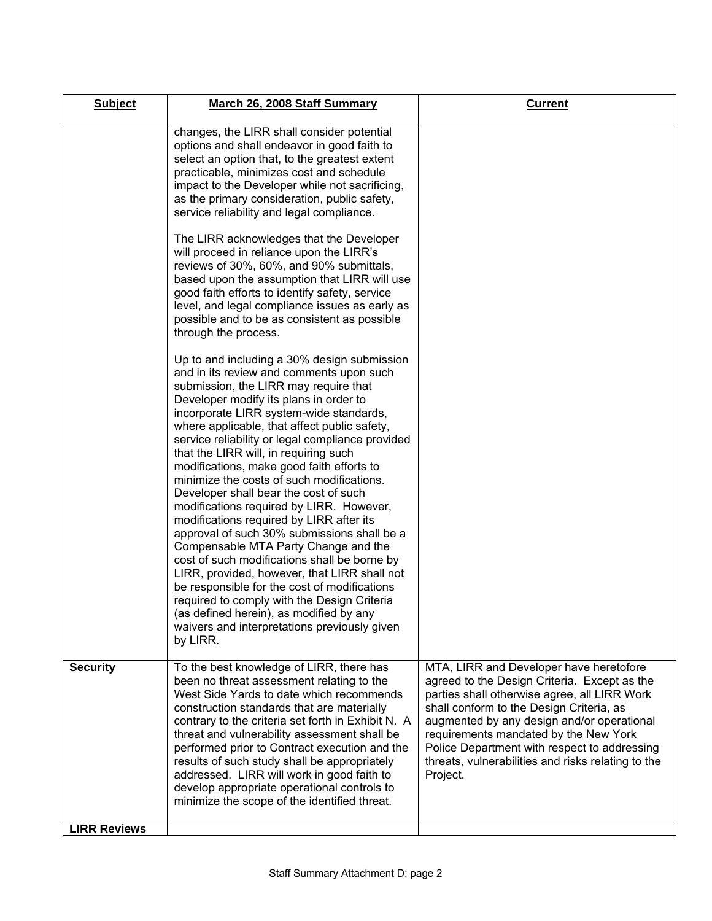| <b>Subject</b>      | March 26, 2008 Staff Summary                                                                                                                                                                                                                                                                                                                                                                                                                                                                                                                                                                                                                                                                                                                                                                                                                                                                                                                                                               | <b>Current</b>                                                                                                                                                                                                                                                                                                                                                                               |
|---------------------|--------------------------------------------------------------------------------------------------------------------------------------------------------------------------------------------------------------------------------------------------------------------------------------------------------------------------------------------------------------------------------------------------------------------------------------------------------------------------------------------------------------------------------------------------------------------------------------------------------------------------------------------------------------------------------------------------------------------------------------------------------------------------------------------------------------------------------------------------------------------------------------------------------------------------------------------------------------------------------------------|----------------------------------------------------------------------------------------------------------------------------------------------------------------------------------------------------------------------------------------------------------------------------------------------------------------------------------------------------------------------------------------------|
|                     | changes, the LIRR shall consider potential<br>options and shall endeavor in good faith to<br>select an option that, to the greatest extent<br>practicable, minimizes cost and schedule<br>impact to the Developer while not sacrificing,<br>as the primary consideration, public safety,<br>service reliability and legal compliance.                                                                                                                                                                                                                                                                                                                                                                                                                                                                                                                                                                                                                                                      |                                                                                                                                                                                                                                                                                                                                                                                              |
|                     | The LIRR acknowledges that the Developer<br>will proceed in reliance upon the LIRR's<br>reviews of 30%, 60%, and 90% submittals,<br>based upon the assumption that LIRR will use<br>good faith efforts to identify safety, service<br>level, and legal compliance issues as early as<br>possible and to be as consistent as possible<br>through the process.                                                                                                                                                                                                                                                                                                                                                                                                                                                                                                                                                                                                                               |                                                                                                                                                                                                                                                                                                                                                                                              |
|                     | Up to and including a 30% design submission<br>and in its review and comments upon such<br>submission, the LIRR may require that<br>Developer modify its plans in order to<br>incorporate LIRR system-wide standards,<br>where applicable, that affect public safety,<br>service reliability or legal compliance provided<br>that the LIRR will, in requiring such<br>modifications, make good faith efforts to<br>minimize the costs of such modifications.<br>Developer shall bear the cost of such<br>modifications required by LIRR. However,<br>modifications required by LIRR after its<br>approval of such 30% submissions shall be a<br>Compensable MTA Party Change and the<br>cost of such modifications shall be borne by<br>LIRR, provided, however, that LIRR shall not<br>be responsible for the cost of modifications<br>required to comply with the Design Criteria<br>(as defined herein), as modified by any<br>waivers and interpretations previously given<br>by LIRR. |                                                                                                                                                                                                                                                                                                                                                                                              |
| <b>Security</b>     | To the best knowledge of LIRR, there has<br>been no threat assessment relating to the<br>West Side Yards to date which recommends<br>construction standards that are materially<br>contrary to the criteria set forth in Exhibit N. A<br>threat and vulnerability assessment shall be<br>performed prior to Contract execution and the<br>results of such study shall be appropriately<br>addressed. LIRR will work in good faith to<br>develop appropriate operational controls to<br>minimize the scope of the identified threat.                                                                                                                                                                                                                                                                                                                                                                                                                                                        | MTA, LIRR and Developer have heretofore<br>agreed to the Design Criteria. Except as the<br>parties shall otherwise agree, all LIRR Work<br>shall conform to the Design Criteria, as<br>augmented by any design and/or operational<br>requirements mandated by the New York<br>Police Department with respect to addressing<br>threats, vulnerabilities and risks relating to the<br>Project. |
| <b>LIRR Reviews</b> |                                                                                                                                                                                                                                                                                                                                                                                                                                                                                                                                                                                                                                                                                                                                                                                                                                                                                                                                                                                            |                                                                                                                                                                                                                                                                                                                                                                                              |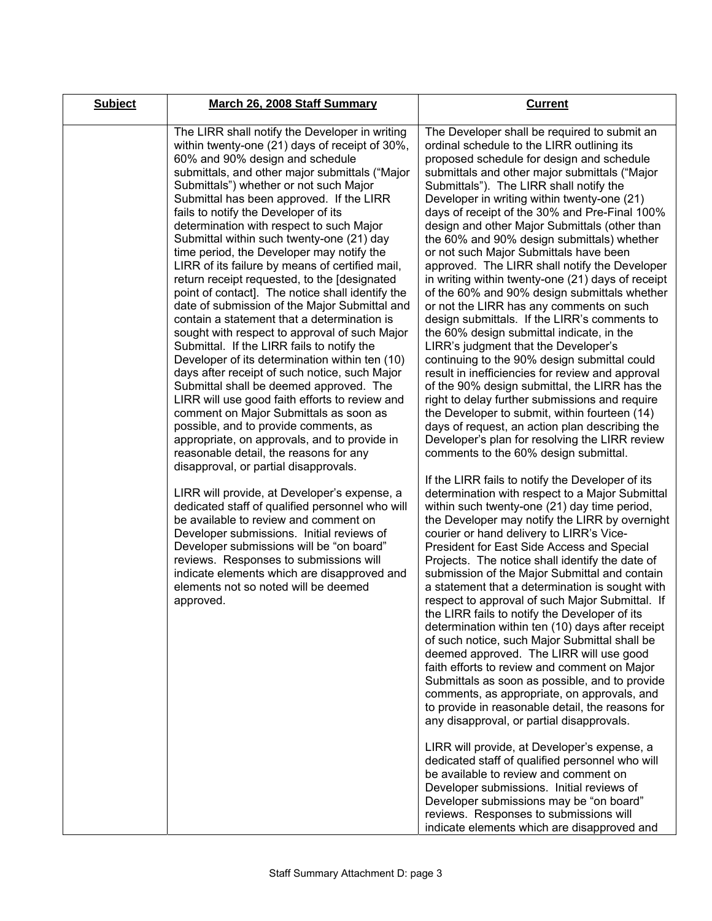| <b>Subject</b> | March 26, 2008 Staff Summary                                                                                                                                                                                                                                                                                                                                                                                                                                                                                                                                                                                                                                                                                                                                                                                                                                                                                                                                                                                                                                                                                                                                                                                                                                                                                                                                                                                                                                                                                                                                                                                             | <b>Current</b>                                                                                                                                                                                                                                                                                                                                                                                                                                                                                                                                                                                                                                                                                                                                                                                                                                                                                                                                                                                                                                                                                                                                                                                                                                                                                                                                                                                                                                                                                                                                                                                                                                                                                                                                                                                                                                                                                                                                                                                                                                                                                                                                                                                                                                                                                                                                                                                                                                                                                                        |
|----------------|--------------------------------------------------------------------------------------------------------------------------------------------------------------------------------------------------------------------------------------------------------------------------------------------------------------------------------------------------------------------------------------------------------------------------------------------------------------------------------------------------------------------------------------------------------------------------------------------------------------------------------------------------------------------------------------------------------------------------------------------------------------------------------------------------------------------------------------------------------------------------------------------------------------------------------------------------------------------------------------------------------------------------------------------------------------------------------------------------------------------------------------------------------------------------------------------------------------------------------------------------------------------------------------------------------------------------------------------------------------------------------------------------------------------------------------------------------------------------------------------------------------------------------------------------------------------------------------------------------------------------|-----------------------------------------------------------------------------------------------------------------------------------------------------------------------------------------------------------------------------------------------------------------------------------------------------------------------------------------------------------------------------------------------------------------------------------------------------------------------------------------------------------------------------------------------------------------------------------------------------------------------------------------------------------------------------------------------------------------------------------------------------------------------------------------------------------------------------------------------------------------------------------------------------------------------------------------------------------------------------------------------------------------------------------------------------------------------------------------------------------------------------------------------------------------------------------------------------------------------------------------------------------------------------------------------------------------------------------------------------------------------------------------------------------------------------------------------------------------------------------------------------------------------------------------------------------------------------------------------------------------------------------------------------------------------------------------------------------------------------------------------------------------------------------------------------------------------------------------------------------------------------------------------------------------------------------------------------------------------------------------------------------------------------------------------------------------------------------------------------------------------------------------------------------------------------------------------------------------------------------------------------------------------------------------------------------------------------------------------------------------------------------------------------------------------------------------------------------------------------------------------------------------------|
|                | The LIRR shall notify the Developer in writing<br>within twenty-one (21) days of receipt of 30%,<br>60% and 90% design and schedule<br>submittals, and other major submittals ("Major<br>Submittals") whether or not such Major<br>Submittal has been approved. If the LIRR<br>fails to notify the Developer of its<br>determination with respect to such Major<br>Submittal within such twenty-one (21) day<br>time period, the Developer may notify the<br>LIRR of its failure by means of certified mail,<br>return receipt requested, to the [designated<br>point of contact]. The notice shall identify the<br>date of submission of the Major Submittal and<br>contain a statement that a determination is<br>sought with respect to approval of such Major<br>Submittal. If the LIRR fails to notify the<br>Developer of its determination within ten (10)<br>days after receipt of such notice, such Major<br>Submittal shall be deemed approved. The<br>LIRR will use good faith efforts to review and<br>comment on Major Submittals as soon as<br>possible, and to provide comments, as<br>appropriate, on approvals, and to provide in<br>reasonable detail, the reasons for any<br>disapproval, or partial disapprovals.<br>LIRR will provide, at Developer's expense, a<br>dedicated staff of qualified personnel who will<br>be available to review and comment on<br>Developer submissions. Initial reviews of<br>Developer submissions will be "on board"<br>reviews. Responses to submissions will<br>indicate elements which are disapproved and<br>elements not so noted will be deemed<br>approved. | The Developer shall be required to submit an<br>ordinal schedule to the LIRR outlining its<br>proposed schedule for design and schedule<br>submittals and other major submittals ("Major<br>Submittals"). The LIRR shall notify the<br>Developer in writing within twenty-one (21)<br>days of receipt of the 30% and Pre-Final 100%<br>design and other Major Submittals (other than<br>the 60% and 90% design submittals) whether<br>or not such Major Submittals have been<br>approved. The LIRR shall notify the Developer<br>in writing within twenty-one (21) days of receipt<br>of the 60% and 90% design submittals whether<br>or not the LIRR has any comments on such<br>design submittals. If the LIRR's comments to<br>the 60% design submittal indicate, in the<br>LIRR's judgment that the Developer's<br>continuing to the 90% design submittal could<br>result in inefficiencies for review and approval<br>of the 90% design submittal, the LIRR has the<br>right to delay further submissions and require<br>the Developer to submit, within fourteen (14)<br>days of request, an action plan describing the<br>Developer's plan for resolving the LIRR review<br>comments to the 60% design submittal.<br>If the LIRR fails to notify the Developer of its<br>determination with respect to a Major Submittal<br>within such twenty-one (21) day time period,<br>the Developer may notify the LIRR by overnight<br>courier or hand delivery to LIRR's Vice-<br>President for East Side Access and Special<br>Projects. The notice shall identify the date of<br>submission of the Major Submittal and contain<br>a statement that a determination is sought with<br>respect to approval of such Major Submittal. If<br>the LIRR fails to notify the Developer of its<br>determination within ten (10) days after receipt<br>of such notice, such Major Submittal shall be<br>deemed approved. The LIRR will use good<br>faith efforts to review and comment on Major<br>Submittals as soon as possible, and to provide<br>comments, as appropriate, on approvals, and<br>to provide in reasonable detail, the reasons for<br>any disapproval, or partial disapprovals.<br>LIRR will provide, at Developer's expense, a<br>dedicated staff of qualified personnel who will<br>be available to review and comment on<br>Developer submissions. Initial reviews of<br>Developer submissions may be "on board"<br>reviews. Responses to submissions will<br>indicate elements which are disapproved and |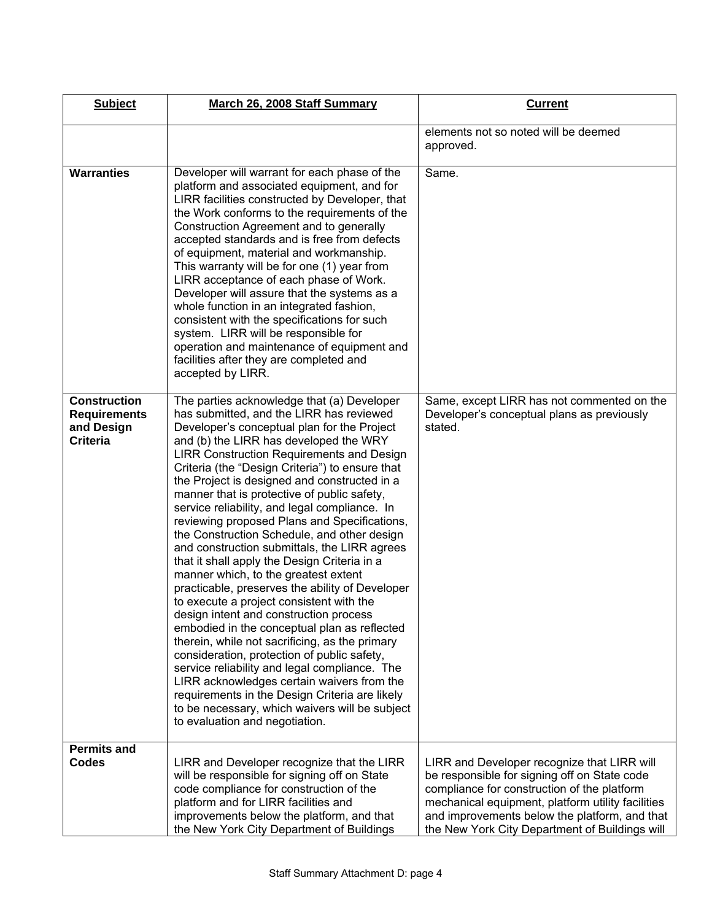| <b>Subject</b>                                                              | March 26, 2008 Staff Summary                                                                                                                                                                                                                                                                                                                                                                                                                                                                                                                                                                                                                                                                                                                                                                                                                                                                                                                                                                                                                                                                                                                                                                          | <b>Current</b>                                                                                                                                                                                                                                                                                     |
|-----------------------------------------------------------------------------|-------------------------------------------------------------------------------------------------------------------------------------------------------------------------------------------------------------------------------------------------------------------------------------------------------------------------------------------------------------------------------------------------------------------------------------------------------------------------------------------------------------------------------------------------------------------------------------------------------------------------------------------------------------------------------------------------------------------------------------------------------------------------------------------------------------------------------------------------------------------------------------------------------------------------------------------------------------------------------------------------------------------------------------------------------------------------------------------------------------------------------------------------------------------------------------------------------|----------------------------------------------------------------------------------------------------------------------------------------------------------------------------------------------------------------------------------------------------------------------------------------------------|
|                                                                             |                                                                                                                                                                                                                                                                                                                                                                                                                                                                                                                                                                                                                                                                                                                                                                                                                                                                                                                                                                                                                                                                                                                                                                                                       | elements not so noted will be deemed<br>approved.                                                                                                                                                                                                                                                  |
| <b>Warranties</b>                                                           | Developer will warrant for each phase of the<br>platform and associated equipment, and for<br>LIRR facilities constructed by Developer, that<br>the Work conforms to the requirements of the<br>Construction Agreement and to generally<br>accepted standards and is free from defects<br>of equipment, material and workmanship.<br>This warranty will be for one (1) year from<br>LIRR acceptance of each phase of Work.<br>Developer will assure that the systems as a<br>whole function in an integrated fashion,<br>consistent with the specifications for such<br>system. LIRR will be responsible for<br>operation and maintenance of equipment and<br>facilities after they are completed and<br>accepted by LIRR.                                                                                                                                                                                                                                                                                                                                                                                                                                                                            | Same.                                                                                                                                                                                                                                                                                              |
| <b>Construction</b><br><b>Requirements</b><br>and Design<br><b>Criteria</b> | The parties acknowledge that (a) Developer<br>has submitted, and the LIRR has reviewed<br>Developer's conceptual plan for the Project<br>and (b) the LIRR has developed the WRY<br>LIRR Construction Requirements and Design<br>Criteria (the "Design Criteria") to ensure that<br>the Project is designed and constructed in a<br>manner that is protective of public safety,<br>service reliability, and legal compliance. In<br>reviewing proposed Plans and Specifications,<br>the Construction Schedule, and other design<br>and construction submittals, the LIRR agrees<br>that it shall apply the Design Criteria in a<br>manner which, to the greatest extent<br>practicable, preserves the ability of Developer<br>to execute a project consistent with the<br>design intent and construction process<br>embodied in the conceptual plan as reflected<br>therein, while not sacrificing, as the primary<br>consideration, protection of public safety,<br>service reliability and legal compliance. The<br>LIRR acknowledges certain waivers from the<br>requirements in the Design Criteria are likely<br>to be necessary, which waivers will be subject<br>to evaluation and negotiation. | Same, except LIRR has not commented on the<br>Developer's conceptual plans as previously<br>stated.                                                                                                                                                                                                |
| <b>Permits and</b><br><b>Codes</b>                                          | LIRR and Developer recognize that the LIRR<br>will be responsible for signing off on State<br>code compliance for construction of the<br>platform and for LIRR facilities and<br>improvements below the platform, and that<br>the New York City Department of Buildings                                                                                                                                                                                                                                                                                                                                                                                                                                                                                                                                                                                                                                                                                                                                                                                                                                                                                                                               | LIRR and Developer recognize that LIRR will<br>be responsible for signing off on State code<br>compliance for construction of the platform<br>mechanical equipment, platform utility facilities<br>and improvements below the platform, and that<br>the New York City Department of Buildings will |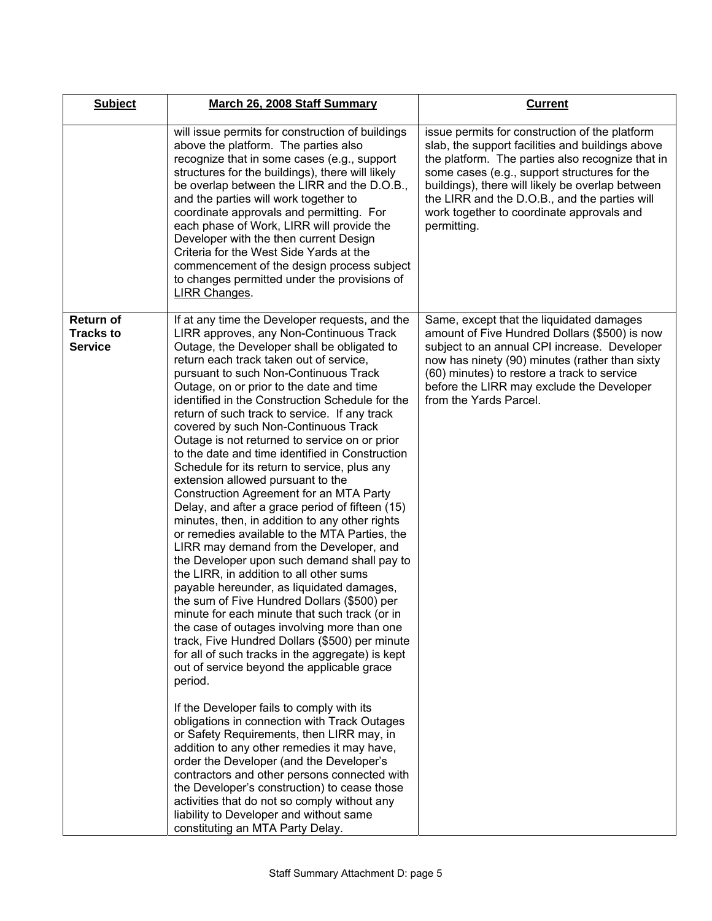| <b>Subject</b>                                  | March 26, 2008 Staff Summary                                                                                                                                                                                                                                                                                                                                                                                                                                                                                                                                                                                                                                                                                                                                                                                                                                                                                                                                                                                                                                                                                                                                                                                                                                                                                                                                                                                                                                                                                                                                                                                                                                                                                                                                                       | <b>Current</b>                                                                                                                                                                                                                                                                                                                                                          |
|-------------------------------------------------|------------------------------------------------------------------------------------------------------------------------------------------------------------------------------------------------------------------------------------------------------------------------------------------------------------------------------------------------------------------------------------------------------------------------------------------------------------------------------------------------------------------------------------------------------------------------------------------------------------------------------------------------------------------------------------------------------------------------------------------------------------------------------------------------------------------------------------------------------------------------------------------------------------------------------------------------------------------------------------------------------------------------------------------------------------------------------------------------------------------------------------------------------------------------------------------------------------------------------------------------------------------------------------------------------------------------------------------------------------------------------------------------------------------------------------------------------------------------------------------------------------------------------------------------------------------------------------------------------------------------------------------------------------------------------------------------------------------------------------------------------------------------------------|-------------------------------------------------------------------------------------------------------------------------------------------------------------------------------------------------------------------------------------------------------------------------------------------------------------------------------------------------------------------------|
|                                                 | will issue permits for construction of buildings<br>above the platform. The parties also<br>recognize that in some cases (e.g., support<br>structures for the buildings), there will likely<br>be overlap between the LIRR and the D.O.B.,<br>and the parties will work together to<br>coordinate approvals and permitting. For<br>each phase of Work, LIRR will provide the<br>Developer with the then current Design<br>Criteria for the West Side Yards at the<br>commencement of the design process subject<br>to changes permitted under the provisions of<br>LIRR Changes.                                                                                                                                                                                                                                                                                                                                                                                                                                                                                                                                                                                                                                                                                                                                                                                                                                                                                                                                                                                                                                                                                                                                                                                                   | issue permits for construction of the platform<br>slab, the support facilities and buildings above<br>the platform. The parties also recognize that in<br>some cases (e.g., support structures for the<br>buildings), there will likely be overlap between<br>the LIRR and the D.O.B., and the parties will<br>work together to coordinate approvals and<br>permitting. |
| Return of<br><b>Tracks to</b><br><b>Service</b> | If at any time the Developer requests, and the<br>LIRR approves, any Non-Continuous Track<br>Outage, the Developer shall be obligated to<br>return each track taken out of service,<br>pursuant to such Non-Continuous Track<br>Outage, on or prior to the date and time<br>identified in the Construction Schedule for the<br>return of such track to service. If any track<br>covered by such Non-Continuous Track<br>Outage is not returned to service on or prior<br>to the date and time identified in Construction<br>Schedule for its return to service, plus any<br>extension allowed pursuant to the<br>Construction Agreement for an MTA Party<br>Delay, and after a grace period of fifteen (15)<br>minutes, then, in addition to any other rights<br>or remedies available to the MTA Parties, the<br>LIRR may demand from the Developer, and<br>the Developer upon such demand shall pay to<br>the LIRR, in addition to all other sums<br>payable hereunder, as liquidated damages,<br>the sum of Five Hundred Dollars (\$500) per<br>minute for each minute that such track (or in<br>the case of outages involving more than one<br>track, Five Hundred Dollars (\$500) per minute<br>for all of such tracks in the aggregate) is kept<br>out of service beyond the applicable grace<br>period.<br>If the Developer fails to comply with its<br>obligations in connection with Track Outages<br>or Safety Requirements, then LIRR may, in<br>addition to any other remedies it may have,<br>order the Developer (and the Developer's<br>contractors and other persons connected with<br>the Developer's construction) to cease those<br>activities that do not so comply without any<br>liability to Developer and without same<br>constituting an MTA Party Delay. | Same, except that the liquidated damages<br>amount of Five Hundred Dollars (\$500) is now<br>subject to an annual CPI increase. Developer<br>now has ninety (90) minutes (rather than sixty<br>(60) minutes) to restore a track to service<br>before the LIRR may exclude the Developer<br>from the Yards Parcel.                                                       |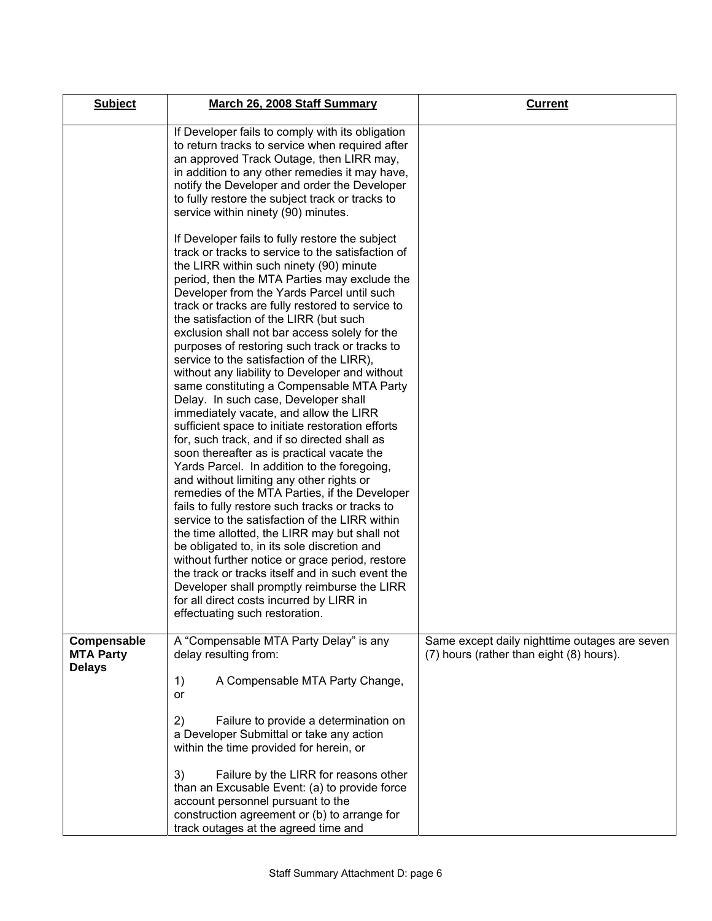| <b>Subject</b>                                   | March 26, 2008 Staff Summary                                                                                                                                                                                                                                                                                                                                                                                                                                                                                                                                                                                                                                                                                                                                                                                                                                                                                                                                                                                                                                                                                                                                                                                                                                                                                                                                                                                       | <b>Current</b>                                                                            |
|--------------------------------------------------|--------------------------------------------------------------------------------------------------------------------------------------------------------------------------------------------------------------------------------------------------------------------------------------------------------------------------------------------------------------------------------------------------------------------------------------------------------------------------------------------------------------------------------------------------------------------------------------------------------------------------------------------------------------------------------------------------------------------------------------------------------------------------------------------------------------------------------------------------------------------------------------------------------------------------------------------------------------------------------------------------------------------------------------------------------------------------------------------------------------------------------------------------------------------------------------------------------------------------------------------------------------------------------------------------------------------------------------------------------------------------------------------------------------------|-------------------------------------------------------------------------------------------|
|                                                  | If Developer fails to comply with its obligation<br>to return tracks to service when required after<br>an approved Track Outage, then LIRR may,<br>in addition to any other remedies it may have,<br>notify the Developer and order the Developer<br>to fully restore the subject track or tracks to<br>service within ninety (90) minutes.                                                                                                                                                                                                                                                                                                                                                                                                                                                                                                                                                                                                                                                                                                                                                                                                                                                                                                                                                                                                                                                                        |                                                                                           |
|                                                  | If Developer fails to fully restore the subject<br>track or tracks to service to the satisfaction of<br>the LIRR within such ninety (90) minute<br>period, then the MTA Parties may exclude the<br>Developer from the Yards Parcel until such<br>track or tracks are fully restored to service to<br>the satisfaction of the LIRR (but such<br>exclusion shall not bar access solely for the<br>purposes of restoring such track or tracks to<br>service to the satisfaction of the LIRR),<br>without any liability to Developer and without<br>same constituting a Compensable MTA Party<br>Delay. In such case, Developer shall<br>immediately vacate, and allow the LIRR<br>sufficient space to initiate restoration efforts<br>for, such track, and if so directed shall as<br>soon thereafter as is practical vacate the<br>Yards Parcel. In addition to the foregoing,<br>and without limiting any other rights or<br>remedies of the MTA Parties, if the Developer<br>fails to fully restore such tracks or tracks to<br>service to the satisfaction of the LIRR within<br>the time allotted, the LIRR may but shall not<br>be obligated to, in its sole discretion and<br>without further notice or grace period, restore<br>the track or tracks itself and in such event the<br>Developer shall promptly reimburse the LIRR<br>for all direct costs incurred by LIRR in<br>effectuating such restoration. |                                                                                           |
| Compensable<br><b>MTA Party</b><br><b>Delays</b> | A "Compensable MTA Party Delay" is any<br>delay resulting from:<br>A Compensable MTA Party Change,<br>1)<br>or<br>2)<br>Failure to provide a determination on<br>a Developer Submittal or take any action<br>within the time provided for herein, or                                                                                                                                                                                                                                                                                                                                                                                                                                                                                                                                                                                                                                                                                                                                                                                                                                                                                                                                                                                                                                                                                                                                                               | Same except daily nighttime outages are seven<br>(7) hours (rather than eight (8) hours). |
|                                                  | 3)<br>Failure by the LIRR for reasons other<br>than an Excusable Event: (a) to provide force<br>account personnel pursuant to the<br>construction agreement or (b) to arrange for<br>track outages at the agreed time and                                                                                                                                                                                                                                                                                                                                                                                                                                                                                                                                                                                                                                                                                                                                                                                                                                                                                                                                                                                                                                                                                                                                                                                          |                                                                                           |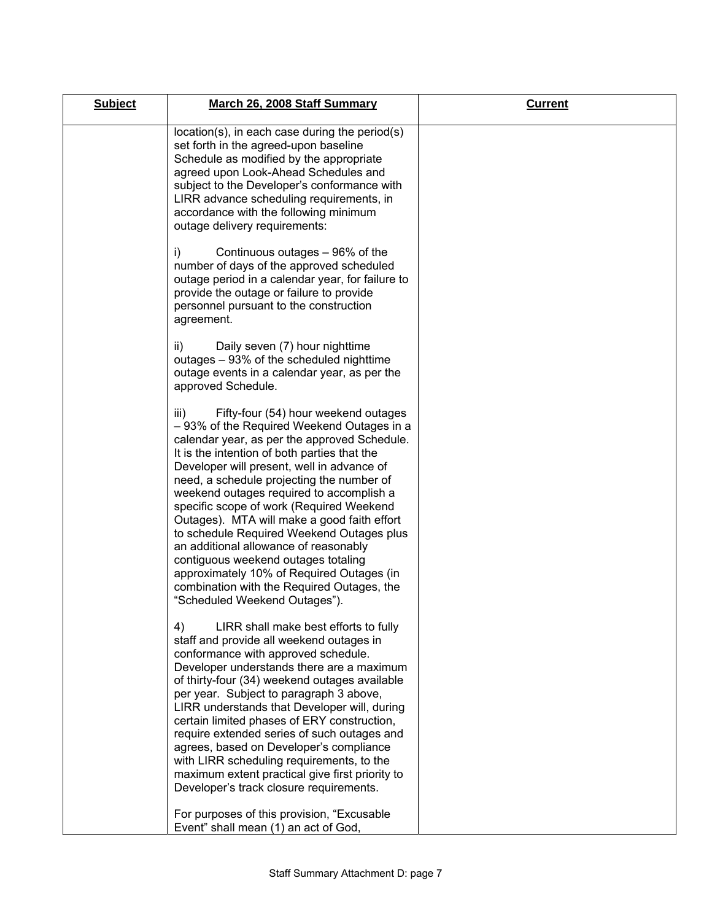| <b>Subject</b> | March 26, 2008 Staff Summary                                                                                                                                                                                                                                                                                                                                                                                                                                                                                                                                                                                                                                                          | <b>Current</b> |
|----------------|---------------------------------------------------------------------------------------------------------------------------------------------------------------------------------------------------------------------------------------------------------------------------------------------------------------------------------------------------------------------------------------------------------------------------------------------------------------------------------------------------------------------------------------------------------------------------------------------------------------------------------------------------------------------------------------|----------------|
|                | location(s), in each case during the period(s)<br>set forth in the agreed-upon baseline<br>Schedule as modified by the appropriate<br>agreed upon Look-Ahead Schedules and<br>subject to the Developer's conformance with<br>LIRR advance scheduling requirements, in<br>accordance with the following minimum<br>outage delivery requirements:                                                                                                                                                                                                                                                                                                                                       |                |
|                | i)<br>Continuous outages – 96% of the<br>number of days of the approved scheduled<br>outage period in a calendar year, for failure to<br>provide the outage or failure to provide<br>personnel pursuant to the construction<br>agreement.                                                                                                                                                                                                                                                                                                                                                                                                                                             |                |
|                | ii)<br>Daily seven (7) hour nighttime<br>outages – 93% of the scheduled nighttime<br>outage events in a calendar year, as per the<br>approved Schedule.                                                                                                                                                                                                                                                                                                                                                                                                                                                                                                                               |                |
|                | Fifty-four (54) hour weekend outages<br>iii)<br>- 93% of the Required Weekend Outages in a<br>calendar year, as per the approved Schedule.<br>It is the intention of both parties that the<br>Developer will present, well in advance of<br>need, a schedule projecting the number of<br>weekend outages required to accomplish a<br>specific scope of work (Required Weekend<br>Outages). MTA will make a good faith effort<br>to schedule Required Weekend Outages plus<br>an additional allowance of reasonably<br>contiguous weekend outages totaling<br>approximately 10% of Required Outages (in<br>combination with the Required Outages, the<br>"Scheduled Weekend Outages"). |                |
|                | 4)<br>LIRR shall make best efforts to fully<br>staff and provide all weekend outages in<br>conformance with approved schedule.<br>Developer understands there are a maximum<br>of thirty-four (34) weekend outages available<br>per year. Subject to paragraph 3 above,<br>LIRR understands that Developer will, during<br>certain limited phases of ERY construction,<br>require extended series of such outages and<br>agrees, based on Developer's compliance<br>with LIRR scheduling requirements, to the<br>maximum extent practical give first priority to<br>Developer's track closure requirements.                                                                           |                |
|                | For purposes of this provision, "Excusable<br>Event" shall mean (1) an act of God,                                                                                                                                                                                                                                                                                                                                                                                                                                                                                                                                                                                                    |                |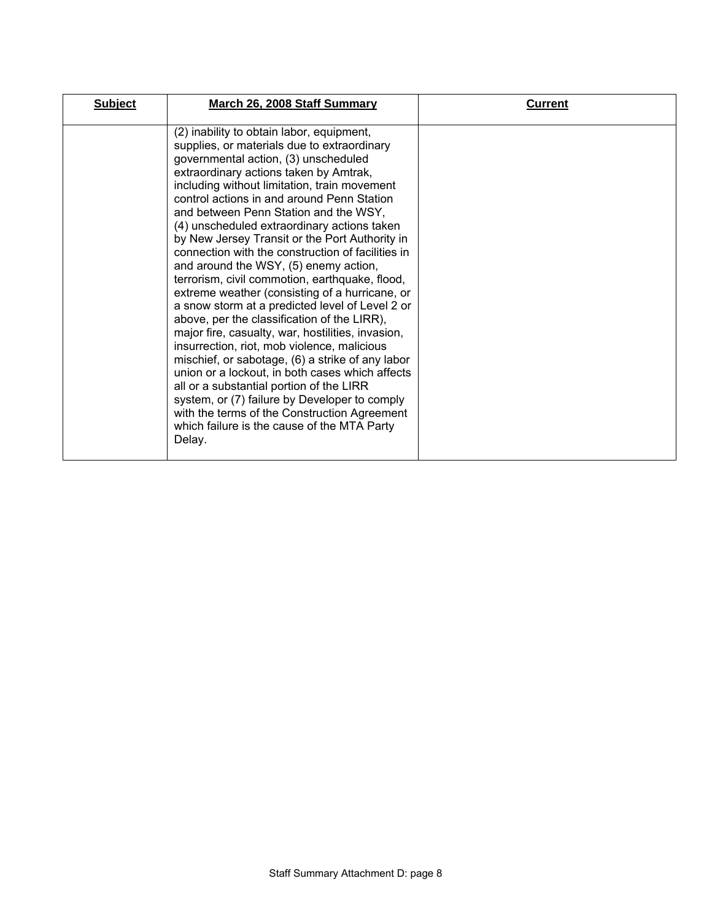| <b>Subject</b> | March 26, 2008 Staff Summary                                                                                                                                                                                                                                                                                                                                                                                                                                                                                                                                                                                                                                                                                                                                                                                                                                                                                                                                                                                                                                                                                                            | <b>Current</b> |
|----------------|-----------------------------------------------------------------------------------------------------------------------------------------------------------------------------------------------------------------------------------------------------------------------------------------------------------------------------------------------------------------------------------------------------------------------------------------------------------------------------------------------------------------------------------------------------------------------------------------------------------------------------------------------------------------------------------------------------------------------------------------------------------------------------------------------------------------------------------------------------------------------------------------------------------------------------------------------------------------------------------------------------------------------------------------------------------------------------------------------------------------------------------------|----------------|
|                | (2) inability to obtain labor, equipment,<br>supplies, or materials due to extraordinary<br>governmental action, (3) unscheduled<br>extraordinary actions taken by Amtrak,<br>including without limitation, train movement<br>control actions in and around Penn Station<br>and between Penn Station and the WSY,<br>(4) unscheduled extraordinary actions taken<br>by New Jersey Transit or the Port Authority in<br>connection with the construction of facilities in<br>and around the WSY, (5) enemy action,<br>terrorism, civil commotion, earthquake, flood,<br>extreme weather (consisting of a hurricane, or<br>a snow storm at a predicted level of Level 2 or<br>above, per the classification of the LIRR),<br>major fire, casualty, war, hostilities, invasion,<br>insurrection, riot, mob violence, malicious<br>mischief, or sabotage, (6) a strike of any labor<br>union or a lockout, in both cases which affects<br>all or a substantial portion of the LIRR<br>system, or (7) failure by Developer to comply<br>with the terms of the Construction Agreement<br>which failure is the cause of the MTA Party<br>Delay. |                |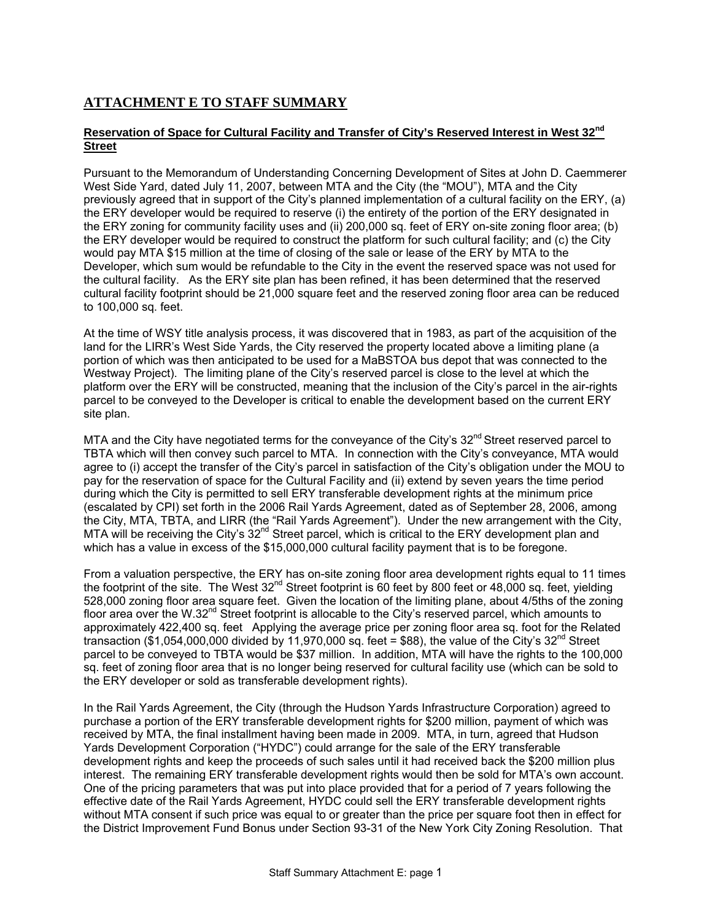## **ATTACHMENT E TO STAFF SUMMARY**

#### **Reservation of Space for Cultural Facility and Transfer of City's Reserved Interest in West 32nd Street**

Pursuant to the Memorandum of Understanding Concerning Development of Sites at John D. Caemmerer West Side Yard, dated July 11, 2007, between MTA and the City (the "MOU"), MTA and the City previously agreed that in support of the City's planned implementation of a cultural facility on the ERY, (a) the ERY developer would be required to reserve (i) the entirety of the portion of the ERY designated in the ERY zoning for community facility uses and (ii) 200,000 sq. feet of ERY on-site zoning floor area; (b) the ERY developer would be required to construct the platform for such cultural facility; and (c) the City would pay MTA \$15 million at the time of closing of the sale or lease of the ERY by MTA to the Developer, which sum would be refundable to the City in the event the reserved space was not used for the cultural facility. As the ERY site plan has been refined, it has been determined that the reserved cultural facility footprint should be 21,000 square feet and the reserved zoning floor area can be reduced to 100,000 sq. feet.

At the time of WSY title analysis process, it was discovered that in 1983, as part of the acquisition of the land for the LIRR's West Side Yards, the City reserved the property located above a limiting plane (a portion of which was then anticipated to be used for a MaBSTOA bus depot that was connected to the Westway Project). The limiting plane of the City's reserved parcel is close to the level at which the platform over the ERY will be constructed, meaning that the inclusion of the City's parcel in the air-rights parcel to be conveyed to the Developer is critical to enable the development based on the current ERY site plan.

MTA and the City have negotiated terms for the conveyance of the City's  $32<sup>nd</sup>$  Street reserved parcel to TBTA which will then convey such parcel to MTA. In connection with the City's conveyance, MTA would agree to (i) accept the transfer of the City's parcel in satisfaction of the City's obligation under the MOU to pay for the reservation of space for the Cultural Facility and (ii) extend by seven years the time period during which the City is permitted to sell ERY transferable development rights at the minimum price (escalated by CPI) set forth in the 2006 Rail Yards Agreement, dated as of September 28, 2006, among the City, MTA, TBTA, and LIRR (the "Rail Yards Agreement"). Under the new arrangement with the City, MTA will be receiving the City's  $32^{nd}$  Street parcel, which is critical to the ERY development plan and which has a value in excess of the \$15,000,000 cultural facility payment that is to be foregone.

From a valuation perspective, the ERY has on-site zoning floor area development rights equal to 11 times the footprint of the site. The West  $32<sup>nd</sup>$  Street footprint is 60 feet by 800 feet or 48,000 sq. feet, yielding 528,000 zoning floor area square feet. Given the location of the limiting plane, about 4/5ths of the zoning floor area over the W.32<sup>nd</sup> Street footprint is allocable to the City's reserved parcel, which amounts to approximately 422,400 sq. feet Applying the average price per zoning floor area sq. foot for the Related transaction ( $$1,054,000,000$  divided by  $11,970,000$  sq. feet = \$88), the value of the City's 32<sup>nd</sup> Street parcel to be conveyed to TBTA would be \$37 million. In addition, MTA will have the rights to the 100,000 sq. feet of zoning floor area that is no longer being reserved for cultural facility use (which can be sold to the ERY developer or sold as transferable development rights).

In the Rail Yards Agreement, the City (through the Hudson Yards Infrastructure Corporation) agreed to purchase a portion of the ERY transferable development rights for \$200 million, payment of which was received by MTA, the final installment having been made in 2009. MTA, in turn, agreed that Hudson Yards Development Corporation ("HYDC") could arrange for the sale of the ERY transferable development rights and keep the proceeds of such sales until it had received back the \$200 million plus interest. The remaining ERY transferable development rights would then be sold for MTA's own account. One of the pricing parameters that was put into place provided that for a period of 7 years following the effective date of the Rail Yards Agreement, HYDC could sell the ERY transferable development rights without MTA consent if such price was equal to or greater than the price per square foot then in effect for the District Improvement Fund Bonus under Section 93-31 of the New York City Zoning Resolution. That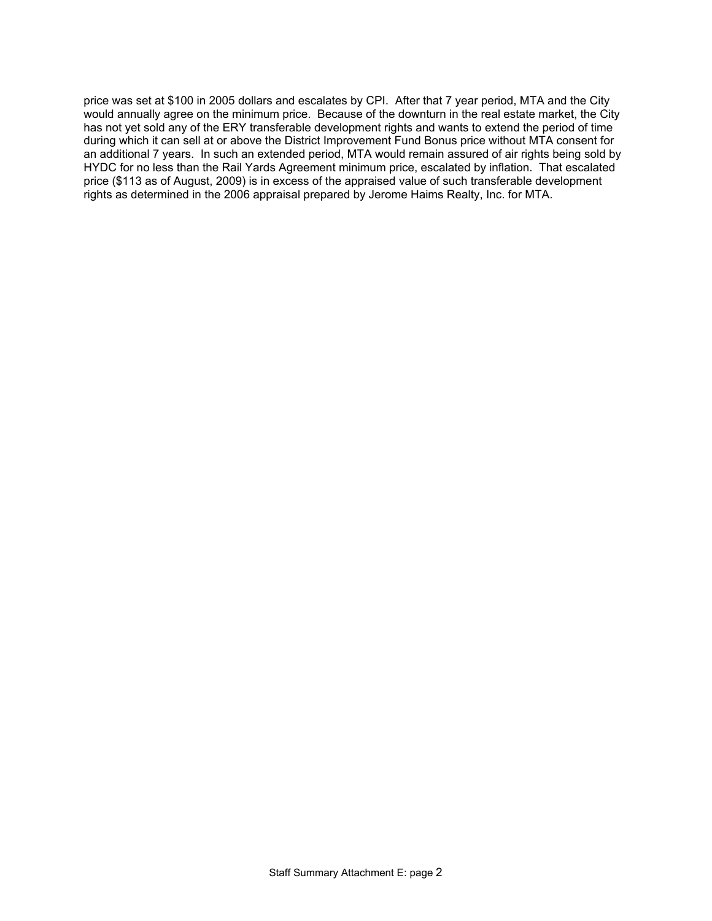price was set at \$100 in 2005 dollars and escalates by CPI. After that 7 year period, MTA and the City would annually agree on the minimum price. Because of the downturn in the real estate market, the City has not yet sold any of the ERY transferable development rights and wants to extend the period of time during which it can sell at or above the District Improvement Fund Bonus price without MTA consent for an additional 7 years. In such an extended period, MTA would remain assured of air rights being sold by HYDC for no less than the Rail Yards Agreement minimum price, escalated by inflation. That escalated price (\$113 as of August, 2009) is in excess of the appraised value of such transferable development rights as determined in the 2006 appraisal prepared by Jerome Haims Realty, Inc. for MTA.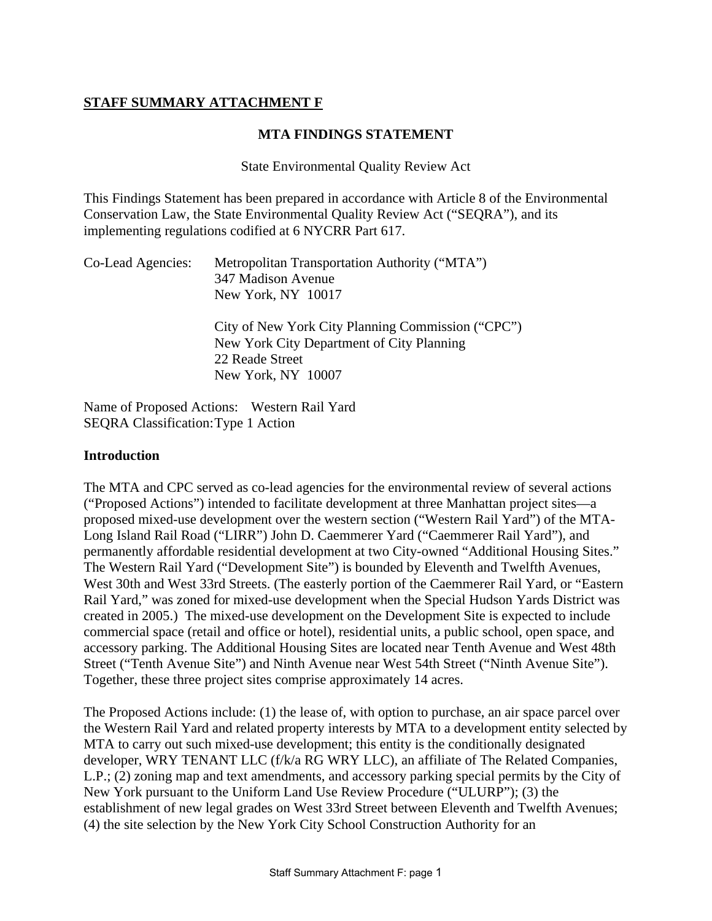## **STAFF SUMMARY ATTACHMENT F**

### **MTA FINDINGS STATEMENT**

State Environmental Quality Review Act

This Findings Statement has been prepared in accordance with Article 8 of the Environmental Conservation Law, the State Environmental Quality Review Act ("SEQRA"), and its implementing regulations codified at 6 NYCRR Part 617.

| Co-Lead Agencies: | Metropolitan Transportation Authority ("MTA")     |
|-------------------|---------------------------------------------------|
|                   | 347 Madison Avenue                                |
|                   | New York, NY 10017                                |
|                   | City of New York City Planning Commission ("CPC") |
|                   | New York City Department of City Planning         |
|                   | 22 Reade Street                                   |
|                   | New York, NY 10007                                |

Name of Proposed Actions: Western Rail Yard SEQRA Classification: Type 1 Action

#### **Introduction**

The MTA and CPC served as co-lead agencies for the environmental review of several actions ("Proposed Actions") intended to facilitate development at three Manhattan project sites—a proposed mixed-use development over the western section ("Western Rail Yard") of the MTA-Long Island Rail Road ("LIRR") John D. Caemmerer Yard ("Caemmerer Rail Yard"), and permanently affordable residential development at two City-owned "Additional Housing Sites." The Western Rail Yard ("Development Site") is bounded by Eleventh and Twelfth Avenues, West 30th and West 33rd Streets. (The easterly portion of the Caemmerer Rail Yard, or "Eastern Rail Yard," was zoned for mixed-use development when the Special Hudson Yards District was created in 2005.) The mixed-use development on the Development Site is expected to include commercial space (retail and office or hotel), residential units, a public school, open space, and accessory parking. The Additional Housing Sites are located near Tenth Avenue and West 48th Street ("Tenth Avenue Site") and Ninth Avenue near West 54th Street ("Ninth Avenue Site"). Together, these three project sites comprise approximately 14 acres.

The Proposed Actions include: (1) the lease of, with option to purchase, an air space parcel over the Western Rail Yard and related property interests by MTA to a development entity selected by MTA to carry out such mixed-use development; this entity is the conditionally designated developer, WRY TENANT LLC (f/k/a RG WRY LLC), an affiliate of The Related Companies, L.P.; (2) zoning map and text amendments, and accessory parking special permits by the City of New York pursuant to the Uniform Land Use Review Procedure ("ULURP"); (3) the establishment of new legal grades on West 33rd Street between Eleventh and Twelfth Avenues; (4) the site selection by the New York City School Construction Authority for an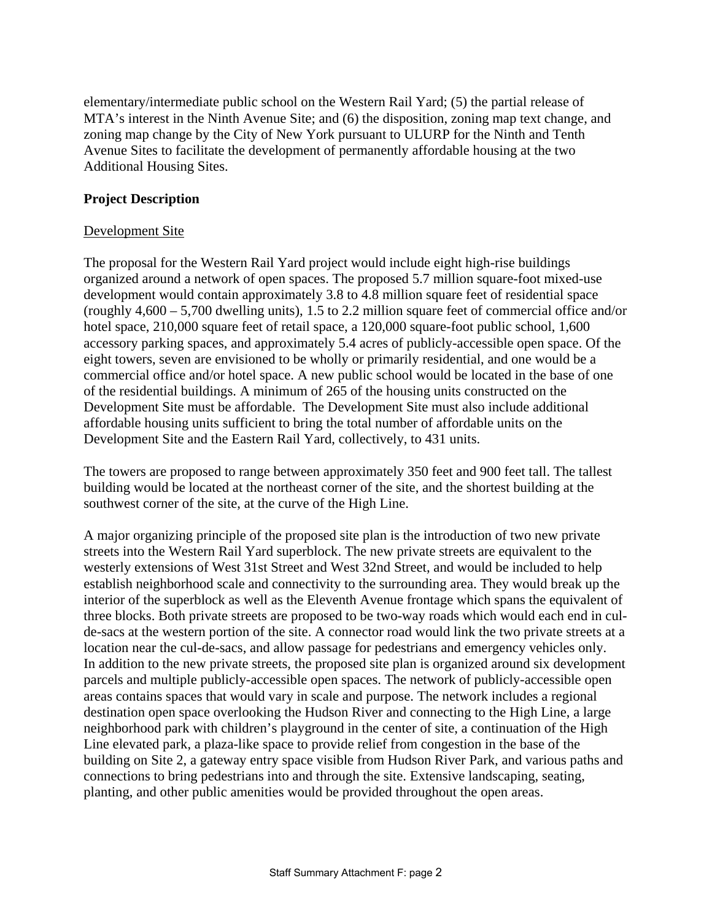elementary/intermediate public school on the Western Rail Yard; (5) the partial release of MTA's interest in the Ninth Avenue Site; and (6) the disposition, zoning map text change, and zoning map change by the City of New York pursuant to ULURP for the Ninth and Tenth Avenue Sites to facilitate the development of permanently affordable housing at the two Additional Housing Sites.

### **Project Description**

### Development Site

The proposal for the Western Rail Yard project would include eight high-rise buildings organized around a network of open spaces. The proposed 5.7 million square-foot mixed-use development would contain approximately 3.8 to 4.8 million square feet of residential space (roughly 4,600 – 5,700 dwelling units), 1.5 to 2.2 million square feet of commercial office and/or hotel space, 210,000 square feet of retail space, a 120,000 square-foot public school, 1,600 accessory parking spaces, and approximately 5.4 acres of publicly-accessible open space. Of the eight towers, seven are envisioned to be wholly or primarily residential, and one would be a commercial office and/or hotel space. A new public school would be located in the base of one of the residential buildings. A minimum of 265 of the housing units constructed on the Development Site must be affordable. The Development Site must also include additional affordable housing units sufficient to bring the total number of affordable units on the Development Site and the Eastern Rail Yard, collectively, to 431 units.

The towers are proposed to range between approximately 350 feet and 900 feet tall. The tallest building would be located at the northeast corner of the site, and the shortest building at the southwest corner of the site, at the curve of the High Line.

A major organizing principle of the proposed site plan is the introduction of two new private streets into the Western Rail Yard superblock. The new private streets are equivalent to the westerly extensions of West 31st Street and West 32nd Street, and would be included to help establish neighborhood scale and connectivity to the surrounding area. They would break up the interior of the superblock as well as the Eleventh Avenue frontage which spans the equivalent of three blocks. Both private streets are proposed to be two-way roads which would each end in culde-sacs at the western portion of the site. A connector road would link the two private streets at a location near the cul-de-sacs, and allow passage for pedestrians and emergency vehicles only. In addition to the new private streets, the proposed site plan is organized around six development parcels and multiple publicly-accessible open spaces. The network of publicly-accessible open areas contains spaces that would vary in scale and purpose. The network includes a regional destination open space overlooking the Hudson River and connecting to the High Line, a large neighborhood park with children's playground in the center of site, a continuation of the High Line elevated park, a plaza-like space to provide relief from congestion in the base of the building on Site 2, a gateway entry space visible from Hudson River Park, and various paths and connections to bring pedestrians into and through the site. Extensive landscaping, seating, planting, and other public amenities would be provided throughout the open areas.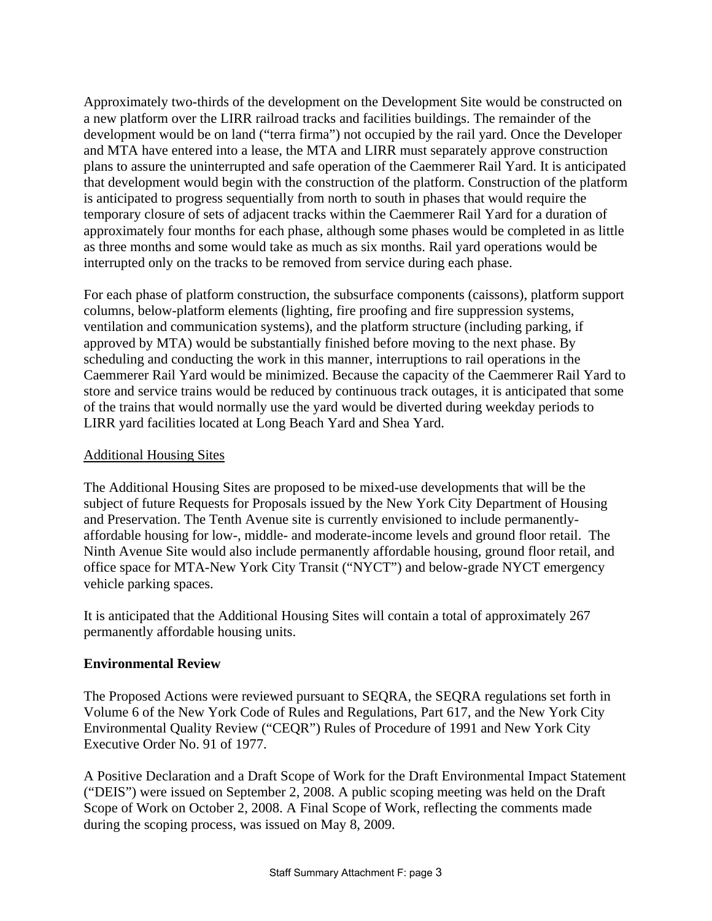Approximately two-thirds of the development on the Development Site would be constructed on a new platform over the LIRR railroad tracks and facilities buildings. The remainder of the development would be on land ("terra firma") not occupied by the rail yard. Once the Developer and MTA have entered into a lease, the MTA and LIRR must separately approve construction plans to assure the uninterrupted and safe operation of the Caemmerer Rail Yard. It is anticipated that development would begin with the construction of the platform. Construction of the platform is anticipated to progress sequentially from north to south in phases that would require the temporary closure of sets of adjacent tracks within the Caemmerer Rail Yard for a duration of approximately four months for each phase, although some phases would be completed in as little as three months and some would take as much as six months. Rail yard operations would be interrupted only on the tracks to be removed from service during each phase.

For each phase of platform construction, the subsurface components (caissons), platform support columns, below-platform elements (lighting, fire proofing and fire suppression systems, ventilation and communication systems), and the platform structure (including parking, if approved by MTA) would be substantially finished before moving to the next phase. By scheduling and conducting the work in this manner, interruptions to rail operations in the Caemmerer Rail Yard would be minimized. Because the capacity of the Caemmerer Rail Yard to store and service trains would be reduced by continuous track outages, it is anticipated that some of the trains that would normally use the yard would be diverted during weekday periods to LIRR yard facilities located at Long Beach Yard and Shea Yard.

## Additional Housing Sites

The Additional Housing Sites are proposed to be mixed-use developments that will be the subject of future Requests for Proposals issued by the New York City Department of Housing and Preservation. The Tenth Avenue site is currently envisioned to include permanentlyaffordable housing for low-, middle- and moderate-income levels and ground floor retail. The Ninth Avenue Site would also include permanently affordable housing, ground floor retail, and office space for MTA-New York City Transit ("NYCT") and below-grade NYCT emergency vehicle parking spaces.

It is anticipated that the Additional Housing Sites will contain a total of approximately 267 permanently affordable housing units.

## **Environmental Review**

The Proposed Actions were reviewed pursuant to SEQRA, the SEQRA regulations set forth in Volume 6 of the New York Code of Rules and Regulations, Part 617, and the New York City Environmental Quality Review ("CEQR") Rules of Procedure of 1991 and New York City Executive Order No. 91 of 1977.

A Positive Declaration and a Draft Scope of Work for the Draft Environmental Impact Statement ("DEIS") were issued on September 2, 2008. A public scoping meeting was held on the Draft Scope of Work on October 2, 2008. A Final Scope of Work, reflecting the comments made during the scoping process, was issued on May 8, 2009.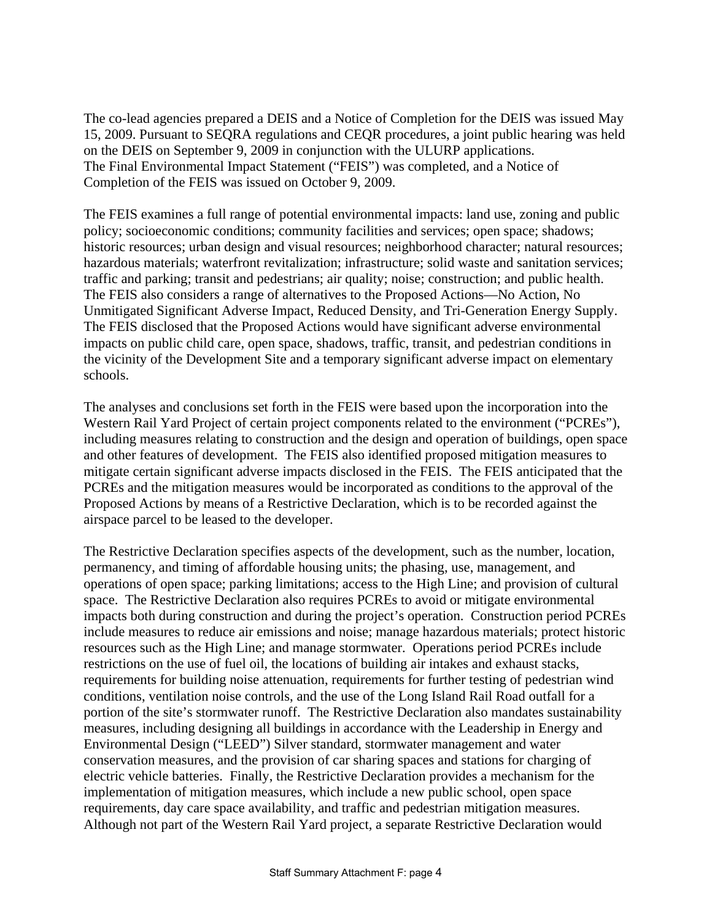The co-lead agencies prepared a DEIS and a Notice of Completion for the DEIS was issued May 15, 2009. Pursuant to SEQRA regulations and CEQR procedures, a joint public hearing was held on the DEIS on September 9, 2009 in conjunction with the ULURP applications. The Final Environmental Impact Statement ("FEIS") was completed, and a Notice of Completion of the FEIS was issued on October 9, 2009.

The FEIS examines a full range of potential environmental impacts: land use, zoning and public policy; socioeconomic conditions; community facilities and services; open space; shadows; historic resources; urban design and visual resources; neighborhood character; natural resources; hazardous materials; waterfront revitalization; infrastructure; solid waste and sanitation services; traffic and parking; transit and pedestrians; air quality; noise; construction; and public health. The FEIS also considers a range of alternatives to the Proposed Actions—No Action, No Unmitigated Significant Adverse Impact, Reduced Density, and Tri-Generation Energy Supply. The FEIS disclosed that the Proposed Actions would have significant adverse environmental impacts on public child care, open space, shadows, traffic, transit, and pedestrian conditions in the vicinity of the Development Site and a temporary significant adverse impact on elementary schools.

The analyses and conclusions set forth in the FEIS were based upon the incorporation into the Western Rail Yard Project of certain project components related to the environment ("PCREs"), including measures relating to construction and the design and operation of buildings, open space and other features of development. The FEIS also identified proposed mitigation measures to mitigate certain significant adverse impacts disclosed in the FEIS. The FEIS anticipated that the PCREs and the mitigation measures would be incorporated as conditions to the approval of the Proposed Actions by means of a Restrictive Declaration, which is to be recorded against the airspace parcel to be leased to the developer.

The Restrictive Declaration specifies aspects of the development, such as the number, location, permanency, and timing of affordable housing units; the phasing, use, management, and operations of open space; parking limitations; access to the High Line; and provision of cultural space. The Restrictive Declaration also requires PCREs to avoid or mitigate environmental impacts both during construction and during the project's operation. Construction period PCREs include measures to reduce air emissions and noise; manage hazardous materials; protect historic resources such as the High Line; and manage stormwater. Operations period PCREs include restrictions on the use of fuel oil, the locations of building air intakes and exhaust stacks, requirements for building noise attenuation, requirements for further testing of pedestrian wind conditions, ventilation noise controls, and the use of the Long Island Rail Road outfall for a portion of the site's stormwater runoff. The Restrictive Declaration also mandates sustainability measures, including designing all buildings in accordance with the Leadership in Energy and Environmental Design ("LEED") Silver standard, stormwater management and water conservation measures, and the provision of car sharing spaces and stations for charging of electric vehicle batteries. Finally, the Restrictive Declaration provides a mechanism for the implementation of mitigation measures, which include a new public school, open space requirements, day care space availability, and traffic and pedestrian mitigation measures. Although not part of the Western Rail Yard project, a separate Restrictive Declaration would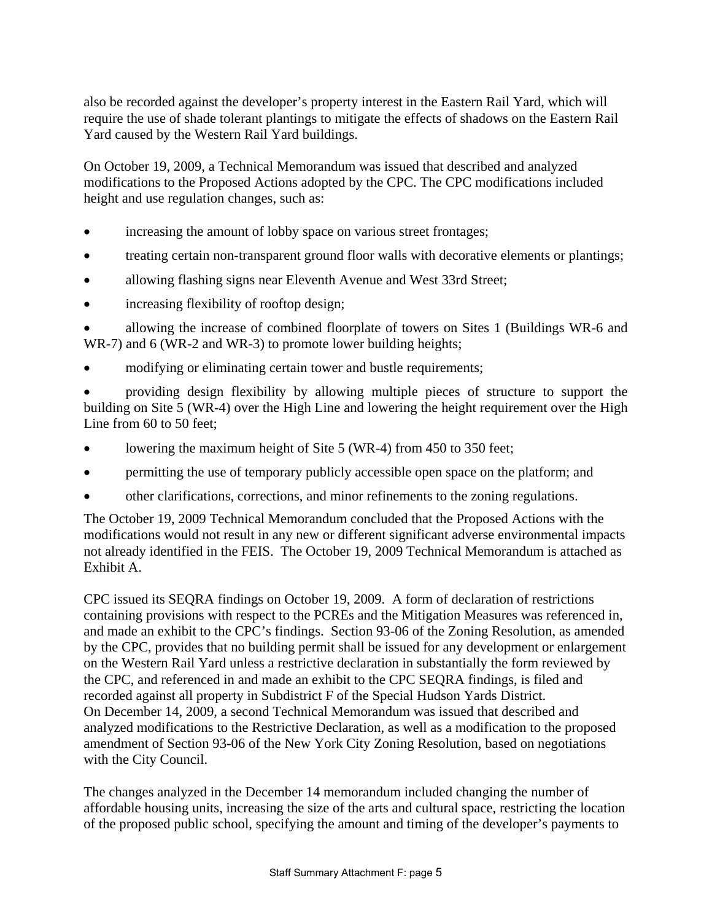also be recorded against the developer's property interest in the Eastern Rail Yard, which will require the use of shade tolerant plantings to mitigate the effects of shadows on the Eastern Rail Yard caused by the Western Rail Yard buildings.

On October 19, 2009, a Technical Memorandum was issued that described and analyzed modifications to the Proposed Actions adopted by the CPC. The CPC modifications included height and use regulation changes, such as:

- increasing the amount of lobby space on various street frontages;
- treating certain non-transparent ground floor walls with decorative elements or plantings;
- allowing flashing signs near Eleventh Avenue and West 33rd Street;
- increasing flexibility of rooftop design;

 allowing the increase of combined floorplate of towers on Sites 1 (Buildings WR-6 and WR-7) and 6 (WR-2 and WR-3) to promote lower building heights;

modifying or eliminating certain tower and bustle requirements;

 providing design flexibility by allowing multiple pieces of structure to support the building on Site 5 (WR-4) over the High Line and lowering the height requirement over the High Line from 60 to 50 feet:

- lowering the maximum height of Site 5 (WR-4) from 450 to 350 feet;
- permitting the use of temporary publicly accessible open space on the platform; and
- other clarifications, corrections, and minor refinements to the zoning regulations.

The October 19, 2009 Technical Memorandum concluded that the Proposed Actions with the modifications would not result in any new or different significant adverse environmental impacts not already identified in the FEIS. The October 19, 2009 Technical Memorandum is attached as Exhibit A.

CPC issued its SEQRA findings on October 19, 2009. A form of declaration of restrictions containing provisions with respect to the PCREs and the Mitigation Measures was referenced in, and made an exhibit to the CPC's findings. Section 93-06 of the Zoning Resolution, as amended by the CPC, provides that no building permit shall be issued for any development or enlargement on the Western Rail Yard unless a restrictive declaration in substantially the form reviewed by the CPC, and referenced in and made an exhibit to the CPC SEQRA findings, is filed and recorded against all property in Subdistrict F of the Special Hudson Yards District. On December 14, 2009, a second Technical Memorandum was issued that described and analyzed modifications to the Restrictive Declaration, as well as a modification to the proposed amendment of Section 93-06 of the New York City Zoning Resolution, based on negotiations with the City Council.

The changes analyzed in the December 14 memorandum included changing the number of affordable housing units, increasing the size of the arts and cultural space, restricting the location of the proposed public school, specifying the amount and timing of the developer's payments to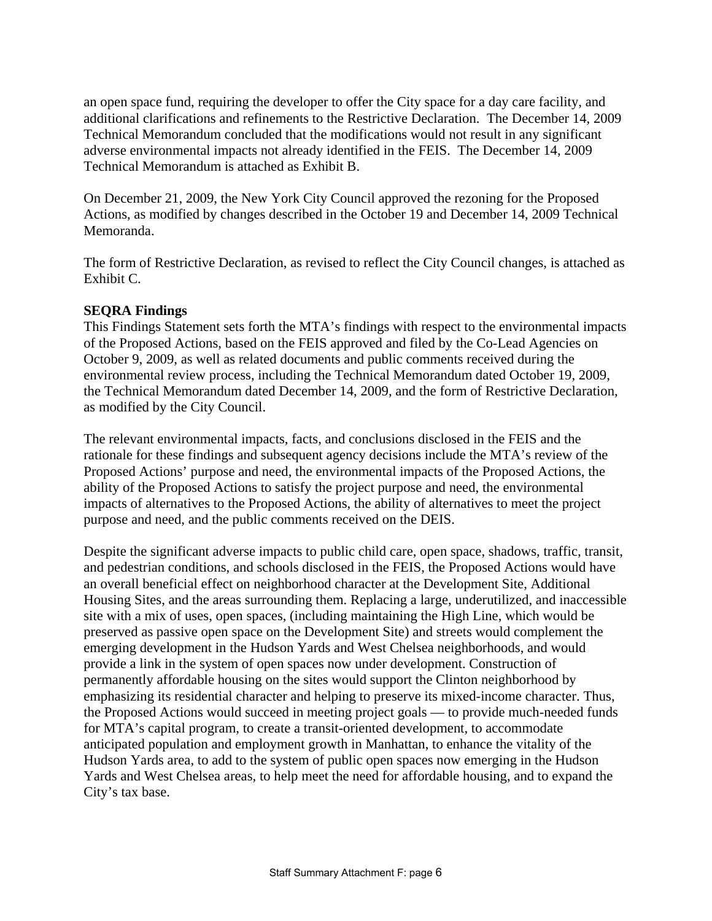an open space fund, requiring the developer to offer the City space for a day care facility, and additional clarifications and refinements to the Restrictive Declaration. The December 14, 2009 Technical Memorandum concluded that the modifications would not result in any significant adverse environmental impacts not already identified in the FEIS. The December 14, 2009 Technical Memorandum is attached as Exhibit B.

On December 21, 2009, the New York City Council approved the rezoning for the Proposed Actions, as modified by changes described in the October 19 and December 14, 2009 Technical Memoranda.

The form of Restrictive Declaration, as revised to reflect the City Council changes, is attached as Exhibit C.

### **SEQRA Findings**

This Findings Statement sets forth the MTA's findings with respect to the environmental impacts of the Proposed Actions, based on the FEIS approved and filed by the Co-Lead Agencies on October 9, 2009, as well as related documents and public comments received during the environmental review process, including the Technical Memorandum dated October 19, 2009, the Technical Memorandum dated December 14, 2009, and the form of Restrictive Declaration, as modified by the City Council.

The relevant environmental impacts, facts, and conclusions disclosed in the FEIS and the rationale for these findings and subsequent agency decisions include the MTA's review of the Proposed Actions' purpose and need, the environmental impacts of the Proposed Actions, the ability of the Proposed Actions to satisfy the project purpose and need, the environmental impacts of alternatives to the Proposed Actions, the ability of alternatives to meet the project purpose and need, and the public comments received on the DEIS.

Despite the significant adverse impacts to public child care, open space, shadows, traffic, transit, and pedestrian conditions, and schools disclosed in the FEIS, the Proposed Actions would have an overall beneficial effect on neighborhood character at the Development Site, Additional Housing Sites, and the areas surrounding them. Replacing a large, underutilized, and inaccessible site with a mix of uses, open spaces, (including maintaining the High Line, which would be preserved as passive open space on the Development Site) and streets would complement the emerging development in the Hudson Yards and West Chelsea neighborhoods, and would provide a link in the system of open spaces now under development. Construction of permanently affordable housing on the sites would support the Clinton neighborhood by emphasizing its residential character and helping to preserve its mixed-income character. Thus, the Proposed Actions would succeed in meeting project goals — to provide much-needed funds for MTA's capital program, to create a transit-oriented development, to accommodate anticipated population and employment growth in Manhattan, to enhance the vitality of the Hudson Yards area, to add to the system of public open spaces now emerging in the Hudson Yards and West Chelsea areas, to help meet the need for affordable housing, and to expand the City's tax base.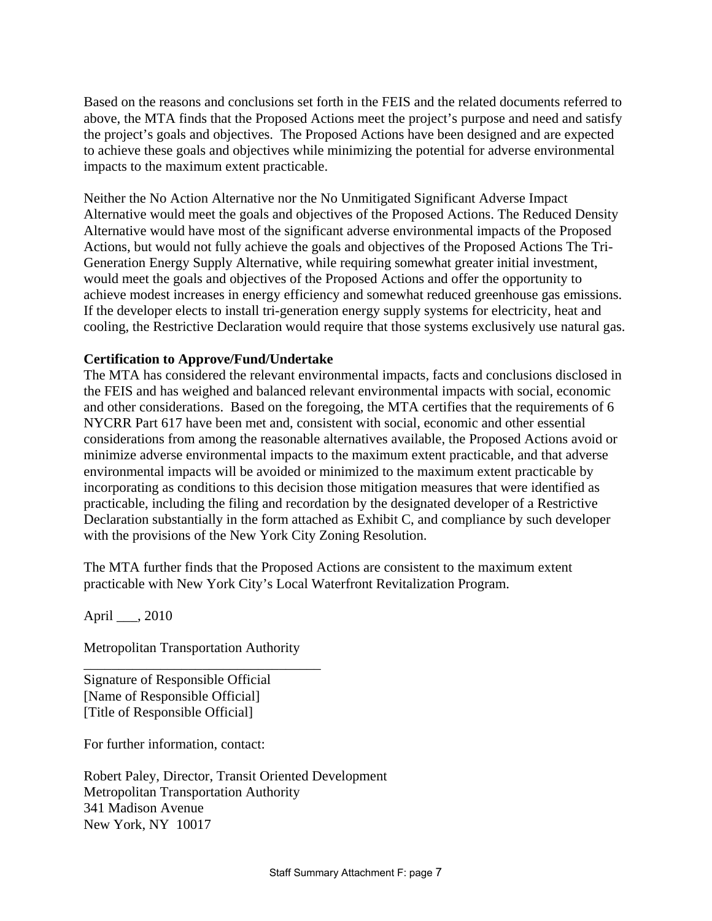Based on the reasons and conclusions set forth in the FEIS and the related documents referred to above, the MTA finds that the Proposed Actions meet the project's purpose and need and satisfy the project's goals and objectives. The Proposed Actions have been designed and are expected to achieve these goals and objectives while minimizing the potential for adverse environmental impacts to the maximum extent practicable.

Neither the No Action Alternative nor the No Unmitigated Significant Adverse Impact Alternative would meet the goals and objectives of the Proposed Actions. The Reduced Density Alternative would have most of the significant adverse environmental impacts of the Proposed Actions, but would not fully achieve the goals and objectives of the Proposed Actions The Tri-Generation Energy Supply Alternative, while requiring somewhat greater initial investment, would meet the goals and objectives of the Proposed Actions and offer the opportunity to achieve modest increases in energy efficiency and somewhat reduced greenhouse gas emissions. If the developer elects to install tri-generation energy supply systems for electricity, heat and cooling, the Restrictive Declaration would require that those systems exclusively use natural gas.

### **Certification to Approve/Fund/Undertake**

The MTA has considered the relevant environmental impacts, facts and conclusions disclosed in the FEIS and has weighed and balanced relevant environmental impacts with social, economic and other considerations. Based on the foregoing, the MTA certifies that the requirements of 6 NYCRR Part 617 have been met and, consistent with social, economic and other essential considerations from among the reasonable alternatives available, the Proposed Actions avoid or minimize adverse environmental impacts to the maximum extent practicable, and that adverse environmental impacts will be avoided or minimized to the maximum extent practicable by incorporating as conditions to this decision those mitigation measures that were identified as practicable, including the filing and recordation by the designated developer of a Restrictive Declaration substantially in the form attached as Exhibit C, and compliance by such developer with the provisions of the New York City Zoning Resolution.

The MTA further finds that the Proposed Actions are consistent to the maximum extent practicable with New York City's Local Waterfront Revitalization Program.

April \_\_\_, 2010

Metropolitan Transportation Authority

\_\_\_\_\_\_\_\_\_\_\_\_\_\_\_\_\_\_\_\_\_\_\_\_\_\_\_\_\_\_\_\_\_\_

Signature of Responsible Official [Name of Responsible Official] [Title of Responsible Official]

For further information, contact:

Robert Paley, Director, Transit Oriented Development Metropolitan Transportation Authority 341 Madison Avenue New York, NY 10017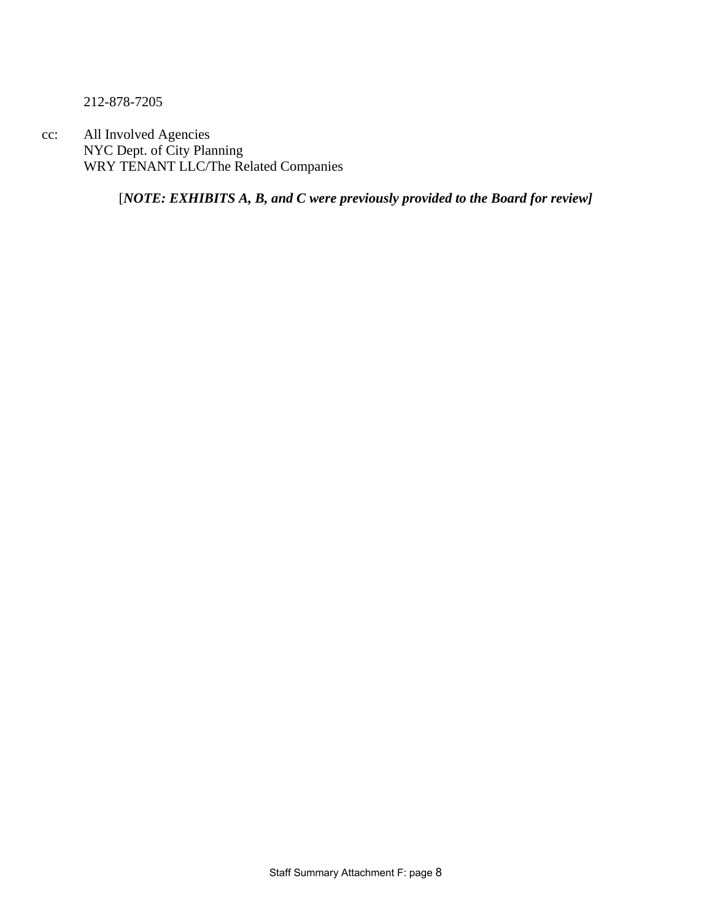212-878-7205

cc: All Involved Agencies NYC Dept. of City Planning WRY TENANT LLC/The Related Companies

[*NOTE: EXHIBITS A, B, and C were previously provided to the Board for review]*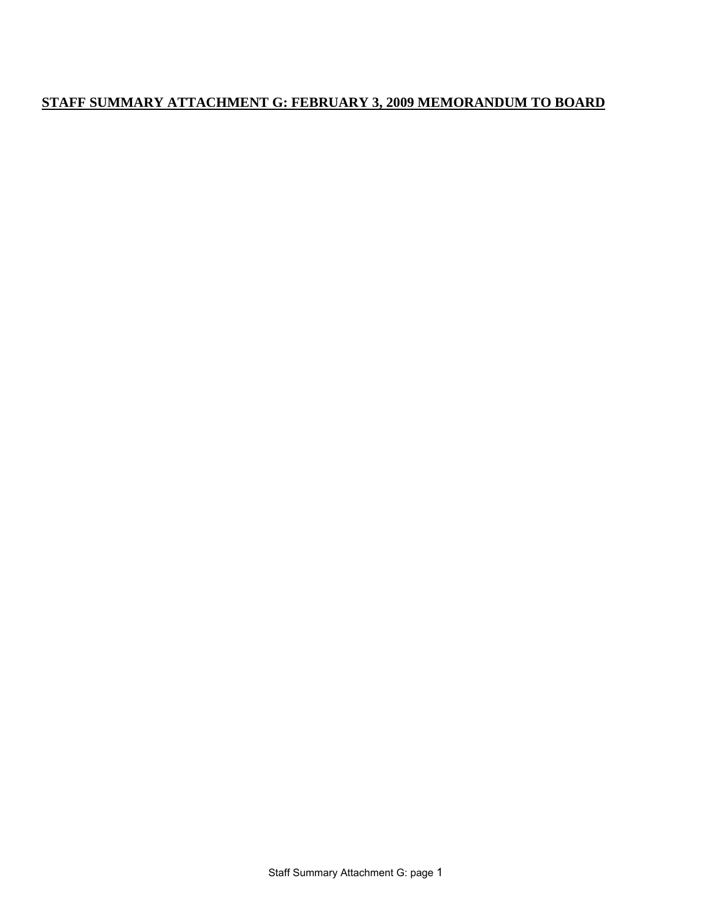## **STAFF SUMMARY ATTACHMENT G: FEBRUARY 3, 2009 MEMORANDUM TO BOARD**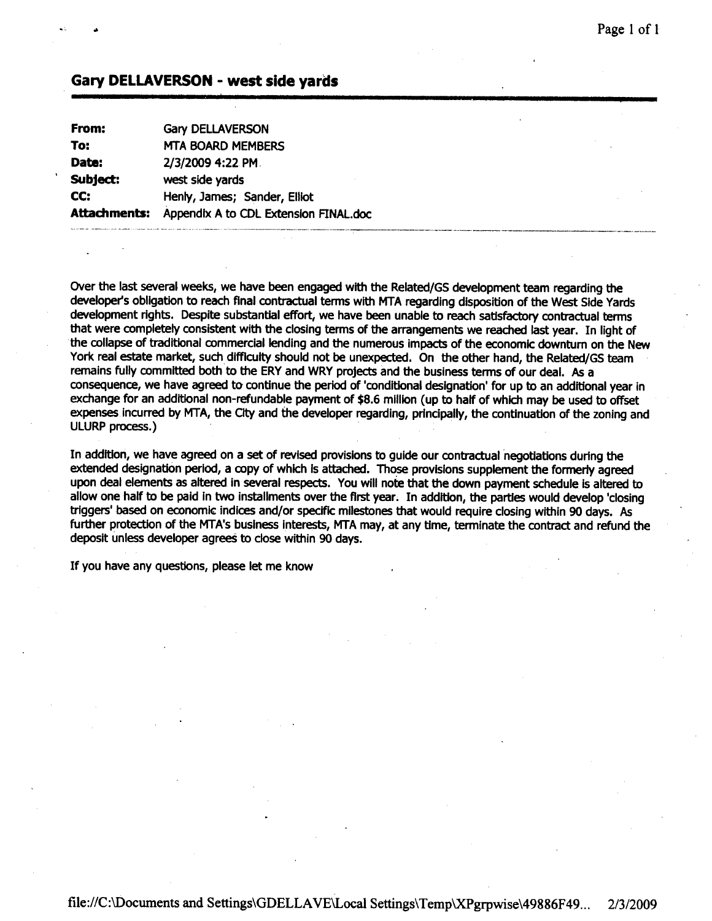#### **Gary DELLAVERSON - west side vards**

| From:        | <b>Gary DELLAVERSON</b>               |
|--------------|---------------------------------------|
| To:          | <b>MTA BOARD MEMBERS</b>              |
| Date:        | 2/3/2009 4:22 PM.                     |
| Subject:     | west side yards                       |
| CC:          | Henly, James; Sander, Elliot          |
| Attachments: | Appendix A to CDL Extension FINAL.doc |

Over the last several weeks, we have been engaged with the Related/GS development team regarding the developer's obligation to reach final contractual terms with MTA regarding disposition of the West Side Yards development rights. Despite substantial effort, we have been unable to reach satisfactory contractual terms that were completely consistent with the closing terms of the arrangements we reached last year. In light of the collapse of traditional commercial lending and the numerous impacts of the economic downturn on the New York real estate market, such difficulty should not be unexpected. On the other hand, the Related/GS team remains fully committed both to the ERY and WRY projects and the business terms of our deal. As a consequence, we have agreed to continue the period of 'conditional designation' for up to an additional year in exchange for an additional non-refundable payment of \$8.6 million (up to half of which may be used to offset expenses incurred by MTA, the City and the developer regarding, principally, the continuation of the zoning and ULURP process.)

In addition, we have agreed on a set of revised provisions to quide our contractual negotiations during the extended designation period, a copy of which is attached. Those provisions supplement the formerly agreed upon deal elements as altered in several respects. You will note that the down payment schedule is altered to allow one half to be paid in two installments over the first year. In addition, the parties would develop 'closing triggers' based on economic indices and/or specific milestones that would require closing within 90 days. As further protection of the MTA's business interests, MTA may, at any time, terminate the contract and refund the deposit unless developer agrees to close within 90 days.

If you have any questions, please let me know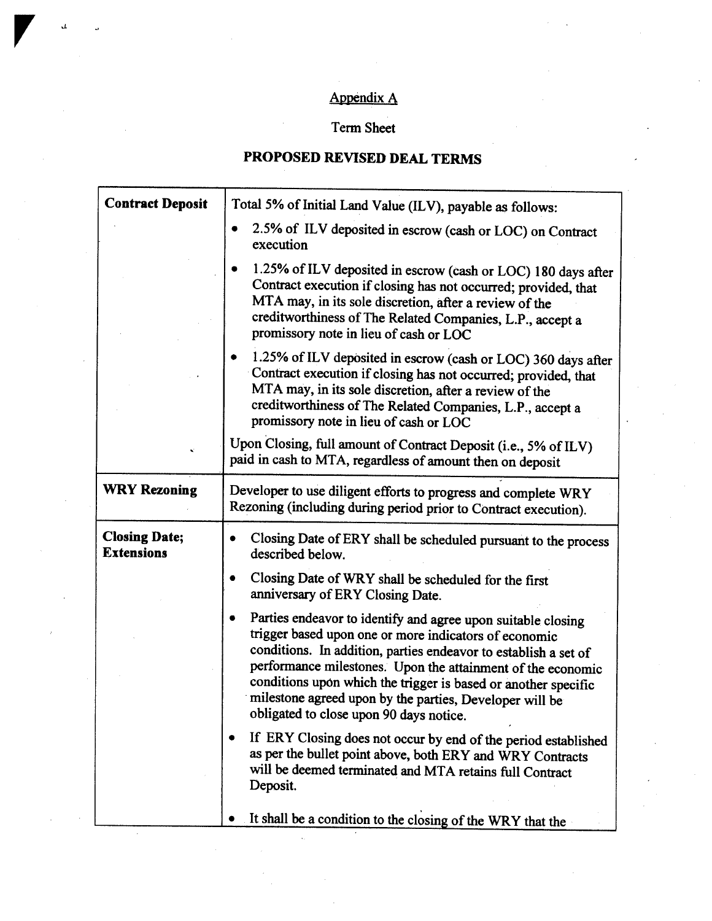# **Appendix A**

# Term Sheet

# PROPOSED REVISED DEAL TERMS

| <b>Contract Deposit</b>                   | Total 5% of Initial Land Value (ILV), payable as follows:                                                                                                                                                                                                                                                                                                                                                                            |  |
|-------------------------------------------|--------------------------------------------------------------------------------------------------------------------------------------------------------------------------------------------------------------------------------------------------------------------------------------------------------------------------------------------------------------------------------------------------------------------------------------|--|
|                                           | 2.5% of ILV deposited in escrow (cash or LOC) on Contract<br>execution                                                                                                                                                                                                                                                                                                                                                               |  |
|                                           | 1.25% of ILV deposited in escrow (cash or LOC) 180 days after<br>Contract execution if closing has not occurred; provided, that<br>MTA may, in its sole discretion, after a review of the<br>creditworthiness of The Related Companies, L.P., accept a<br>promissory note in lieu of cash or LOC                                                                                                                                     |  |
|                                           | 1.25% of ILV deposited in escrow (cash or LOC) 360 days after<br>Contract execution if closing has not occurred; provided, that<br>MTA may, in its sole discretion, after a review of the<br>creditworthiness of The Related Companies, L.P., accept a<br>promissory note in lieu of cash or LOC                                                                                                                                     |  |
|                                           | Upon Closing, full amount of Contract Deposit (i.e., 5% of ILV)<br>paid in cash to MTA, regardless of amount then on deposit                                                                                                                                                                                                                                                                                                         |  |
| <b>WRY Rezoning</b>                       | Developer to use diligent efforts to progress and complete WRY<br>Rezoning (including during period prior to Contract execution).                                                                                                                                                                                                                                                                                                    |  |
| <b>Closing Date;</b><br><b>Extensions</b> | Closing Date of ERY shall be scheduled pursuant to the process<br>described below.                                                                                                                                                                                                                                                                                                                                                   |  |
|                                           | Closing Date of WRY shall be scheduled for the first<br>٠<br>anniversary of ERY Closing Date.                                                                                                                                                                                                                                                                                                                                        |  |
|                                           | Parties endeavor to identify and agree upon suitable closing<br>٠<br>trigger based upon one or more indicators of economic<br>conditions. In addition, parties endeavor to establish a set of<br>performance milestones. Upon the attainment of the economic<br>conditions upon which the trigger is based or another specific<br>milestone agreed upon by the parties, Developer will be<br>obligated to close upon 90 days notice. |  |
|                                           | If ERY Closing does not occur by end of the period established<br>as per the bullet point above, both ERY and WRY Contracts<br>will be deemed terminated and MTA retains full Contract<br>Deposit.                                                                                                                                                                                                                                   |  |
|                                           | It shall be a condition to the closing of the WRY that the                                                                                                                                                                                                                                                                                                                                                                           |  |